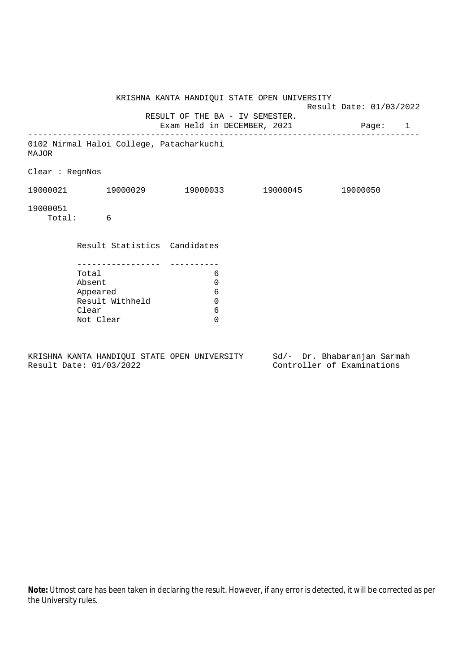|                 |                                              |                                 | KRISHNA KANTA HANDIQUI STATE OPEN UNIVERSITY | Result Date: 01/03/2022 |  |
|-----------------|----------------------------------------------|---------------------------------|----------------------------------------------|-------------------------|--|
|                 |                                              | RESULT OF THE BA - IV SEMESTER. | Exam Held in DECEMBER, 2021 Page: 1          |                         |  |
| <b>MAJOR</b>    | 0102 Nirmal Haloi College, Patacharkuchi     |                                 |                                              |                         |  |
| Clear : RegnNos |                                              |                                 |                                              |                         |  |
|                 | 19000021 19000029 19000033 19000045 19000050 |                                 |                                              |                         |  |
| 19000051        | Total: 6                                     |                                 |                                              |                         |  |
|                 | Result Statistics Candidates                 |                                 |                                              |                         |  |
|                 | Total                                        | 6                               |                                              |                         |  |
|                 | Absent                                       | $\mathbf 0$                     |                                              |                         |  |
|                 | Appeared                                     | 6                               |                                              |                         |  |
|                 | Result Withheld                              | $\mathbf 0$                     |                                              |                         |  |
|                 | Clear                                        | 6                               |                                              |                         |  |
|                 | Not Clear                                    | $\Omega$                        |                                              |                         |  |
|                 |                                              |                                 |                                              |                         |  |

KRISHNA KANTA HANDIQUI STATE OPEN UNIVERSITY Sd/- Dr. Bhabaranjan Sarmah Result Date: 01/03/2022 Controller of Examinations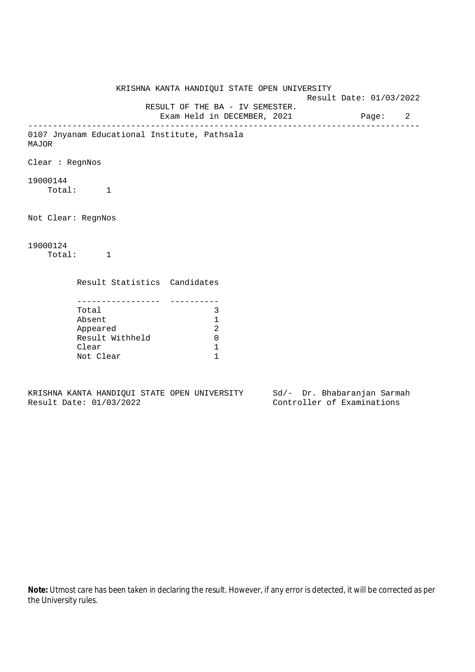KRISHNA KANTA HANDIQUI STATE OPEN UNIVERSITY Result Date: 01/03/2022 RESULT OF THE BA - IV SEMESTER. Exam Held in DECEMBER, 2021 Page: 2 -------------------------------------------------------------------------------- 0107 Jnyanam Educational Institute, Pathsala MAJOR Clear : RegnNos 19000144 Total: 1 Not Clear: RegnNos 19000124 Total: 1 Result Statistics Candidates ----------------- ---------- Total 3 Absent 1 Appeared 2 Result Withheld 0 Clear 1 Not Clear 1

KRISHNA KANTA HANDIQUI STATE OPEN UNIVERSITY Sd/- Dr. Bhabaranjan Sarmah Result Date: 01/03/2022 Controller of Examinations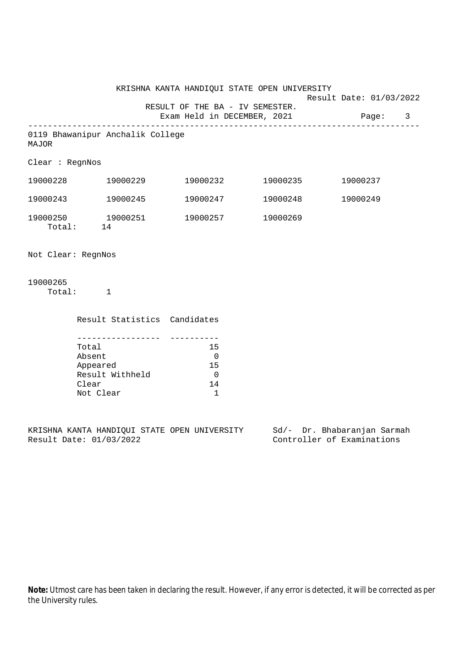KRISHNA KANTA HANDIQUI STATE OPEN UNIVERSITY Result Date: 01/03/2022 RESULT OF THE BA - IV SEMESTER. Exam Held in DECEMBER, 2021 Page: 3 -------------------------------------------------------------------------------- 0119 Bhawanipur Anchalik College MAJOR Clear : RegnNos 19000228 19000229 19000232 19000235 19000237 19000243 19000245 19000247 19000248 19000249 19000250 19000251 19000257 19000269 Total: 14

Not Clear: RegnNos

19000265 Total: 1

| Result Statistics Candidates |    |
|------------------------------|----|
|                              |    |
|                              |    |
| Total                        | 15 |
| Absent                       |    |
| Appeared                     | 15 |
| Result Withheld              |    |
| Clear                        | 14 |
| Not Clear                    |    |

KRISHNA KANTA HANDIQUI STATE OPEN UNIVERSITY Sd/- Dr. Bhabaranjan Sarmah Result Date: 01/03/2022 Controller of Examinations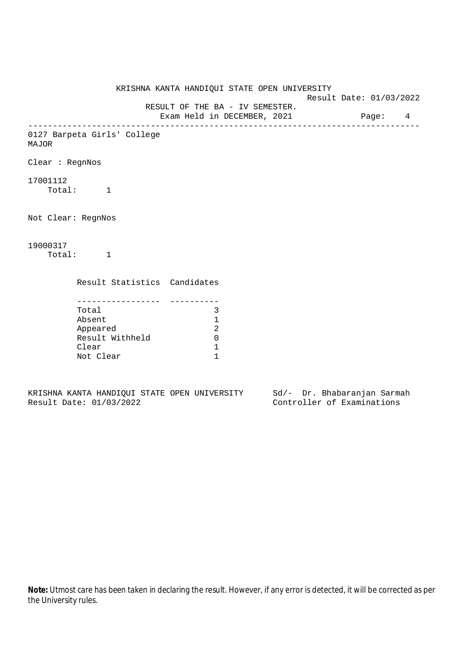KRISHNA KANTA HANDIQUI STATE OPEN UNIVERSITY Result Date: 01/03/2022 RESULT OF THE BA - IV SEMESTER. Exam Held in DECEMBER, 2021 Page: 4 -------------------------------------------------------------------------------- 0127 Barpeta Girls' College MAJOR Clear : RegnNos 17001112 Total: 1 Not Clear: RegnNos 19000317 Total: 1 Result Statistics Candidates ----------------- ---------- Total 3 Absent 1 Appeared 2 Result Withheld 0 Clear 1 Not Clear 1

KRISHNA KANTA HANDIQUI STATE OPEN UNIVERSITY Sd/- Dr. Bhabaranjan Sarmah Result Date: 01/03/2022 Controller of Examinations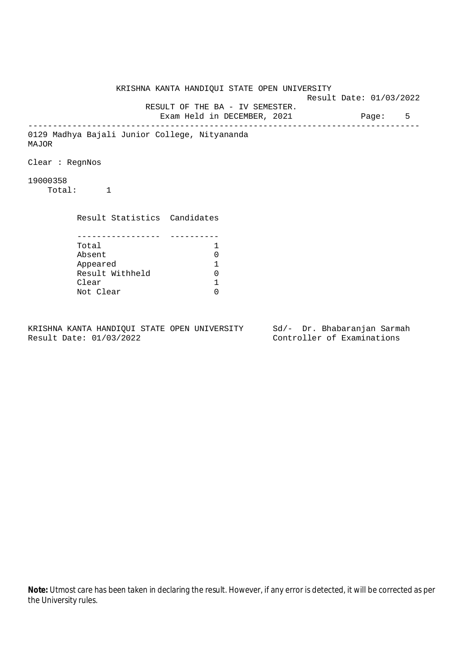KRISHNA KANTA HANDIQUI STATE OPEN UNIVERSITY Result Date: 01/03/2022 RESULT OF THE BA - IV SEMESTER. Exam Held in DECEMBER, 2021 Page: 5 -------------------------------------------------------------------------------- 0129 Madhya Bajali Junior College, Nityananda MAJOR Clear : RegnNos 19000358 Total: 1 Result Statistics Candidates ----------------- ---------- Total 1 Absent<br>
Appeared 1<br>
Result Withheld 0<br>
Clear 1 Appeared 1 Result Withheld Clear Not Clear 0

KRISHNA KANTA HANDIQUI STATE OPEN UNIVERSITY Sd/- Dr. Bhabaranjan Sarmah Result Date: 01/03/2022 Controller of Examinations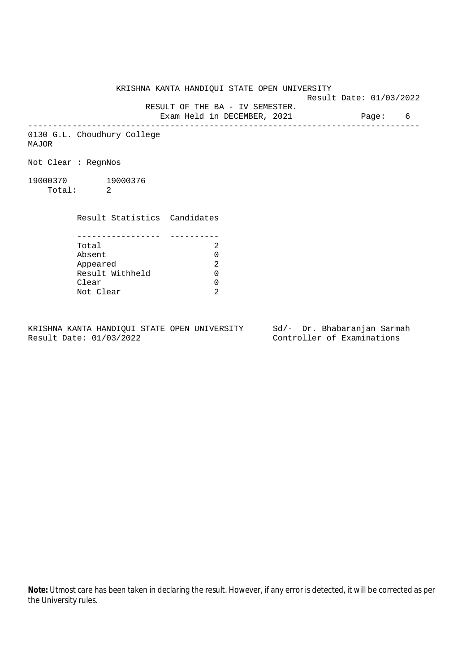Result Date: 01/03/2022

 RESULT OF THE BA - IV SEMESTER. Exam Held in DECEMBER, 2021 Page: 6

--------------------------------------------------------------------------------

0130 G.L. Choudhury College MAJOR

Not Clear : RegnNos

19000370 19000376 Total: 2

Result Statistics Candidates

| Total           |  |
|-----------------|--|
| Absent          |  |
| Appeared        |  |
| Result Withheld |  |
| Clear           |  |
| Not Clear       |  |

KRISHNA KANTA HANDIQUI STATE OPEN UNIVERSITY Sd/- Dr. Bhabaranjan Sarmah<br>Result Date: 01/03/2022 Controller of Examinations

Controller of Examinations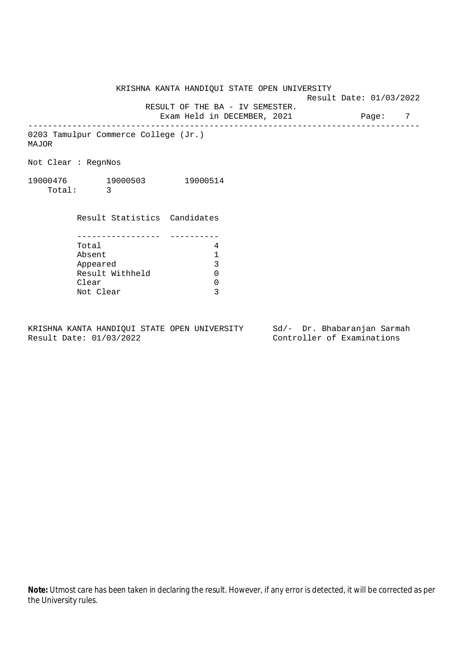Result Date: 01/03/2022

 RESULT OF THE BA - IV SEMESTER. Exam Held in DECEMBER, 2021 Page: 7

--------------------------------------------------------------------------------

0203 Tamulpur Commerce College (Jr.) MAJOR

Not Clear : RegnNos

| 19000476 | 19000503 | 19000514 |
|----------|----------|----------|
| Total:   |          |          |

 Result Statistics Candidates ----------------- ---------- Total 4<br>Absent 1 Absent 1 Appeared 3 Result Withheld 0 Clear 0

Not Clear 3

KRISHNA KANTA HANDIQUI STATE OPEN UNIVERSITY Sd/- Dr. Bhabaranjan Sarmah Result Date: 01/03/2022 Controller of Examinations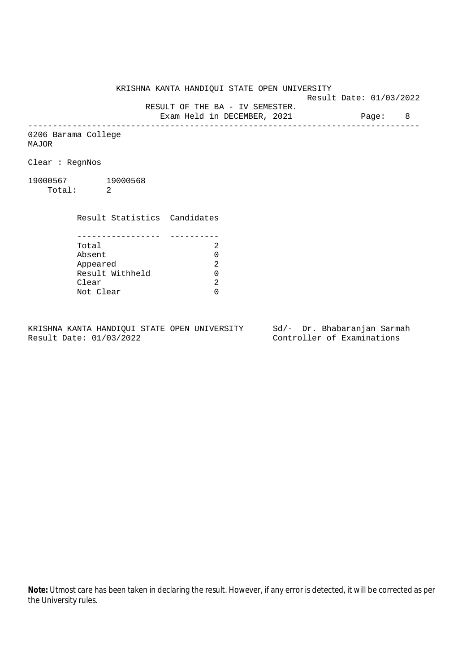Result Date: 01/03/2022

 RESULT OF THE BA - IV SEMESTER. Exam Held in DECEMBER, 2021 Page: 8

--------------------------------------------------------------------------------

0206 Barama College MAJOR

Clear : RegnNos

19000567 19000568 Total: 2

> Result Statistics Candidates ----------------- ---------- Total 2 Absent<br>
> Appeared 2<br>
> Result Withheld 0<br>
> Clear 2 Appeared Result Withheld 0 Clear

Not Clear 0

KRISHNA KANTA HANDIQUI STATE OPEN UNIVERSITY Sd/- Dr. Bhabaranjan Sarmah Result Date: 01/03/2022 Controller of Examinations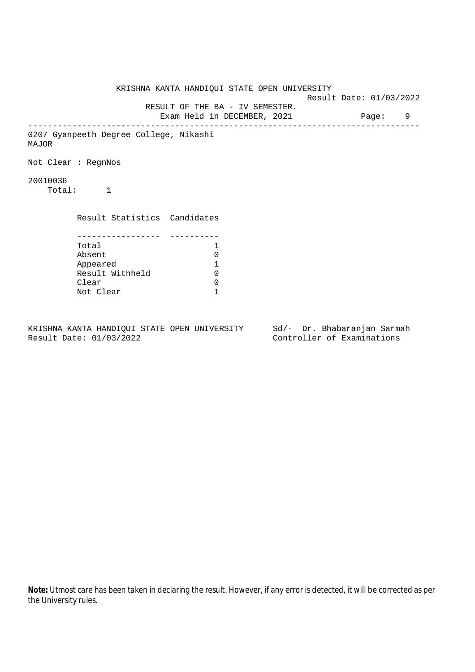KRISHNA KANTA HANDIQUI STATE OPEN UNIVERSITY Result Date: 01/03/2022 RESULT OF THE BA - IV SEMESTER. Exam Held in DECEMBER, 2021 Page: 9 -------------------------------------------------------------------------------- 0207 Gyanpeeth Degree College, Nikashi MAJOR Not Clear : RegnNos 20010036 Total: 1 Result Statistics Candidates ----------------- ---------- Total 1 Absent 0<br>
Appeared 1<br>
Result Withheld 0 Appeared 1 Result Withheld Clear 0 Not Clear 1

KRISHNA KANTA HANDIQUI STATE OPEN UNIVERSITY Sd/- Dr. Bhabaranjan Sarmah Result Date: 01/03/2022 Controller of Examinations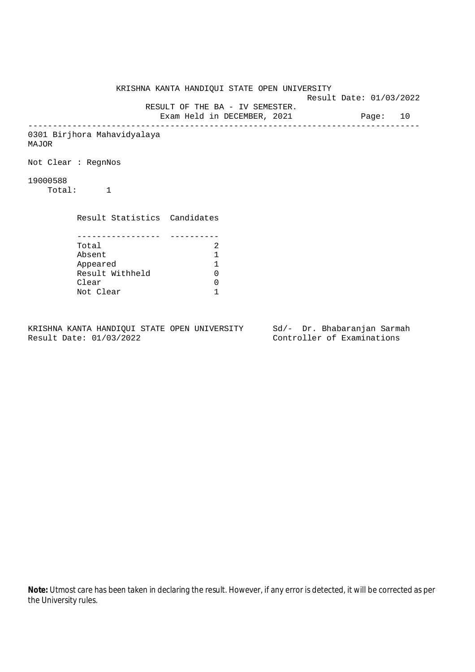KRISHNA KANTA HANDIQUI STATE OPEN UNIVERSITY Result Date: 01/03/2022 RESULT OF THE BA - IV SEMESTER. Exam Held in DECEMBER, 2021 Page: 10 -------------------------------------------------------------------------------- 0301 Birjhora Mahavidyalaya MAJOR Not Clear : RegnNos 19000588 Total: 1 Result Statistics Candidates ----------------- ---------- Total 2<br>Absent 1 Absent 1 Appeared 1 Result Withheld Clear 0 Not Clear 1

KRISHNA KANTA HANDIQUI STATE OPEN UNIVERSITY Sd/- Dr. Bhabaranjan Sarmah Result Date: 01/03/2022 Controller of Examinations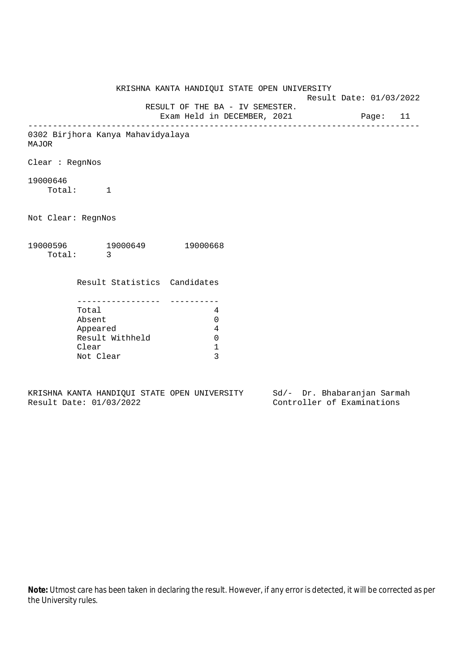KRISHNA KANTA HANDIQUI STATE OPEN UNIVERSITY Result Date: 01/03/2022 RESULT OF THE BA - IV SEMESTER. Exam Held in DECEMBER, 2021 Page: 11 -------------------------------------------------------------------------------- 0302 Birjhora Kanya Mahavidyalaya MAJOR Clear : RegnNos 19000646 Total: 1 Not Clear: RegnNos 19000596 19000649 19000668 Total: 3 Result Statistics Candidates ----------------- ---------- Total 4 Absent 0 Appeared 4 Result Withheld 0 Clear 1 Not Clear 3

KRISHNA KANTA HANDIQUI STATE OPEN UNIVERSITY Sd/- Dr. Bhabaranjan Sarmah Result Date: 01/03/2022 Controller of Examinations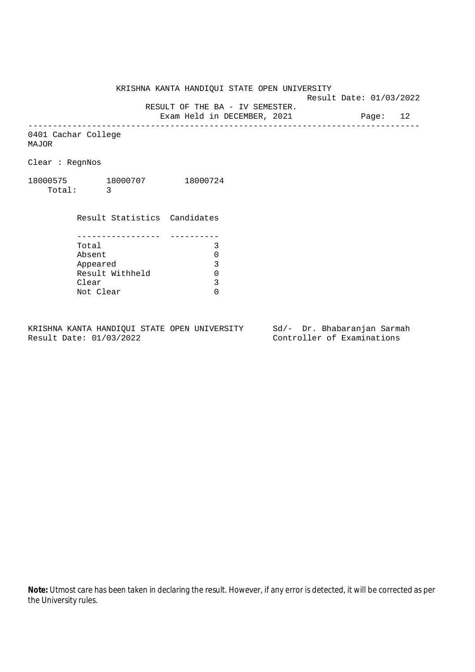Result Date: 01/03/2022

RESULT OF THE BA - IV SEMESTER.

Exam Held in DECEMBER, 2021 Page: 12 --------------------------------------------------------------------------------

0401 Cachar College MAJOR

Clear : RegnNos

18000575 18000707 18000724 Total: 3

> Result Statistics Candidates ----------------- ---------- Total 3 Absent<br>
> Appeared 0<br>
> Result Withheld 0<br>
> Clear 3 Appeared Result Withheld Clear Not Clear 0

KRISHNA KANTA HANDIQUI STATE OPEN UNIVERSITY Sd/- Dr. Bhabaranjan Sarmah Result Date: 01/03/2022 Controller of Examinations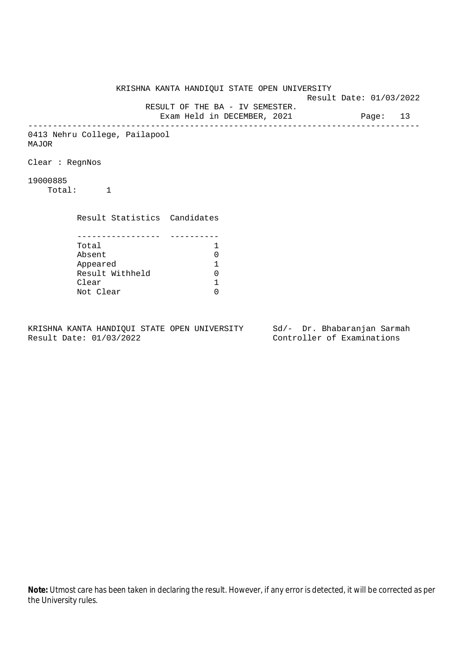KRISHNA KANTA HANDIQUI STATE OPEN UNIVERSITY Result Date: 01/03/2022 RESULT OF THE BA - IV SEMESTER. Exam Held in DECEMBER, 2021 Page: 13 -------------------------------------------------------------------------------- 0413 Nehru College, Pailapool MAJOR Clear : RegnNos 19000885 Total: 1 Result Statistics Candidates ----------------- ---------- Total 1 Absent<br>
Appeared 1<br>
Result Withheld 0<br>
Clear 1 Appeared 1 Result Withheld Clear Not Clear 0

KRISHNA KANTA HANDIQUI STATE OPEN UNIVERSITY Sd/- Dr. Bhabaranjan Sarmah Result Date: 01/03/2022 Controller of Examinations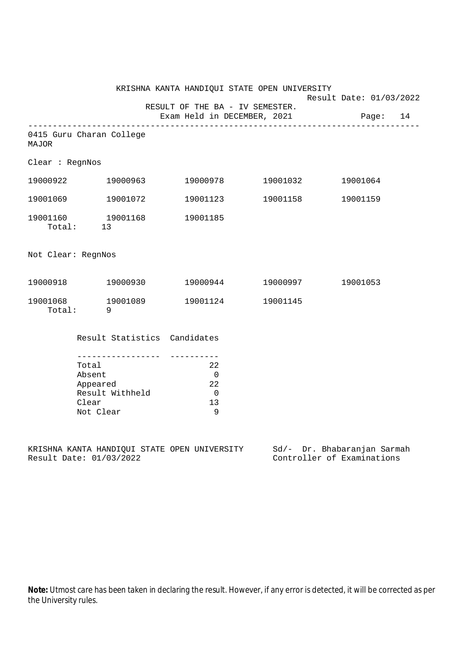|                    |                                                                                             | KRISHNA KANTA HANDIQUI STATE OPEN UNIVERSITY                   | Result Date: 01/03/2022 |  |
|--------------------|---------------------------------------------------------------------------------------------|----------------------------------------------------------------|-------------------------|--|
|                    |                                                                                             | RESULT OF THE BA - IV SEMESTER.<br>Exam Held in DECEMBER, 2021 | Page: 14                |  |
| <b>MAJOR</b>       | 0415 Guru Charan College                                                                    |                                                                |                         |  |
| Clear : RegnNos    |                                                                                             |                                                                |                         |  |
|                    | 19000922 19000963                                                                           | 19000978    19001032                                           | 19001064                |  |
|                    | 19001069 19001072                                                                           | 19001123 19001158                                              | 19001159                |  |
|                    | 19001160  19001168  19001185<br>Total: 13                                                   |                                                                |                         |  |
| Not Clear: RegnNos |                                                                                             |                                                                |                         |  |
|                    |                                                                                             | $19000918$ $19000930$ $19000944$ $19000997$                    | 19001053                |  |
|                    | 19001068 19001089<br>Total: 9                                                               | 19001124 19001145                                              |                         |  |
|                    | Result Statistics Candidates                                                                |                                                                |                         |  |
|                    | ___________________<br>Total<br>Absent<br>Appeared<br>Result Withheld<br>Clear<br>Not Clear | 22<br>$\overline{0}$<br>22<br>$\overline{0}$<br>13<br>9        |                         |  |

KRISHNA KANTA HANDIQUI STATE OPEN UNIVERSITY Sd/- Dr. Bhabaranjan Sarmah Result Date: 01/03/2022 Controller of Examinations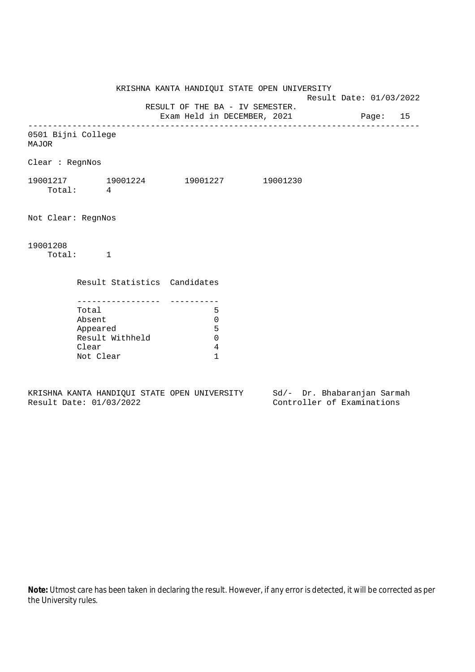Result Date: 01/03/2022

 RESULT OF THE BA - IV SEMESTER. Exam Held in DECEMBER, 2021 Page: 15

--------------------------------------------------------------------------------

0501 Bijni College

MAJOR

Clear : RegnNos

19001217 19001224 19001227 19001230 Total: 4

Not Clear: RegnNos

19001208

Total: 1

Result Statistics Candidates

| Total           |   |
|-----------------|---|
| Absent          |   |
| Appeared        | 5 |
| Result Withheld |   |
| Clear           |   |
| Not Clear       |   |

KRISHNA KANTA HANDIQUI STATE OPEN UNIVERSITY Sd/- Dr. Bhabaranjan Sarmah Result Date: 01/03/2022 Controller of Examinations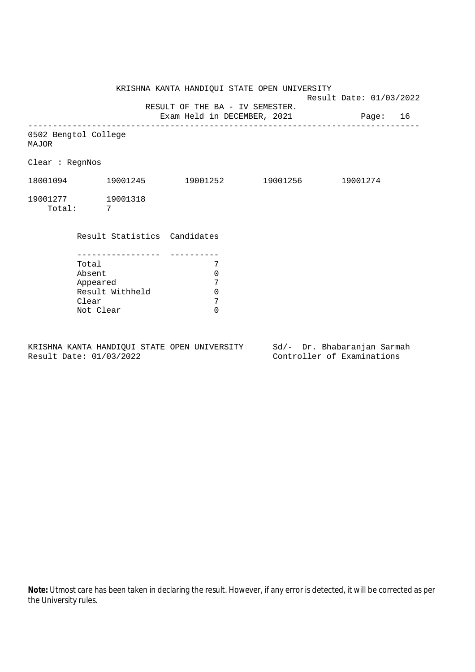KRISHNA KANTA HANDIQUI STATE OPEN UNIVERSITY Result Date: 01/03/2022 RESULT OF THE BA - IV SEMESTER. Exam Held in DECEMBER, 2021 Page: 16 -------------------------------------------------------------------------------- 0502 Bengtol College MAJOR Clear : RegnNos 18001094 19001245 19001252 19001256 19001274 19001277 19001318 Total: 7 Result Statistics Candidates ----------------- ---------- Total 7 Absent 0 Appeared 7<br>Result Withheld 0 Result Withheld 0<br>Clear 7 Clear 7<br>Not Clear 6 Not Clear

KRISHNA KANTA HANDIQUI STATE OPEN UNIVERSITY Sd/- Dr. Bhabaranjan Sarmah Result Date: 01/03/2022 Controller of Examinations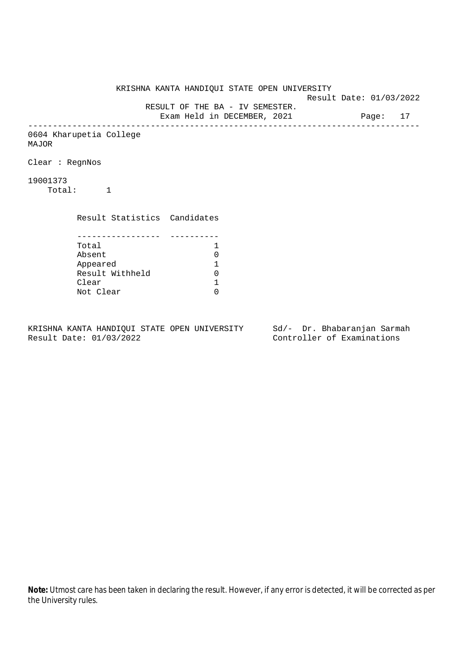KRISHNA KANTA HANDIQUI STATE OPEN UNIVERSITY Result Date: 01/03/2022 RESULT OF THE BA - IV SEMESTER. Exam Held in DECEMBER, 2021 Page: 17 -------------------------------------------------------------------------------- 0604 Kharupetia College MAJOR Clear : RegnNos 19001373 Total: 1 Result Statistics Candidates ----------------- ---------- Total 1 Absent<br>
Appeared 1<br>
Result Withheld 0<br>
Clear 1 Appeared 1 Result Withheld Clear Not Clear 0

KRISHNA KANTA HANDIQUI STATE OPEN UNIVERSITY Sd/- Dr. Bhabaranjan Sarmah Result Date: 01/03/2022 Controller of Examinations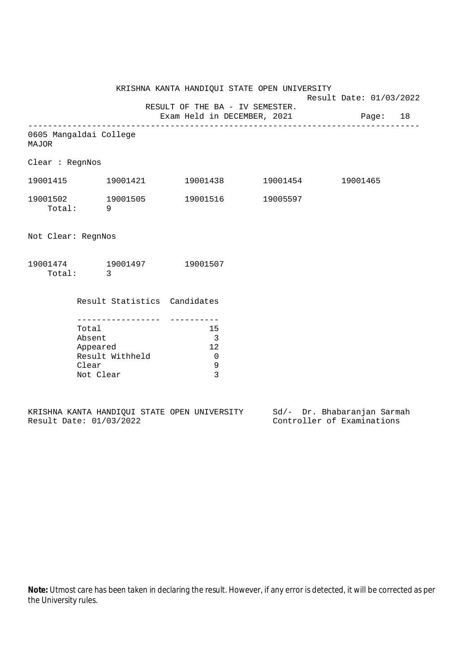Result Date: 01/03/2022

RESULT OF THE BA - IV SEMESTER.

Exam Held in DECEMBER, 2021 Page: 18 --------------------------------------------------------------------------------

0605 Mangaldai College MAJOR

Clear : RegnNos

| 19001415           | 19001421 | 19001438 | 19001454 | 19001465 |
|--------------------|----------|----------|----------|----------|
| 19001502<br>Total: | 19001505 | 19001516 | 19005597 |          |

Not Clear: RegnNos

| 19001474 | 19001497 | 19001507 |
|----------|----------|----------|
| Total:   |          |          |

Result Statistics Candidates

| Total           | 15 |
|-----------------|----|
| Absent          |    |
| Appeared        | 12 |
| Result Withheld |    |
| Clear           |    |
| Not Clear       |    |

|  |                         |  | KRISHNA KANTA HANDIOUI STATE OPEN UNIVERSITY |  | Sd/- Dr. Bhabaranjan Sarmah |  |
|--|-------------------------|--|----------------------------------------------|--|-----------------------------|--|
|  | Result Date: 01/03/2022 |  |                                              |  | Controller of Examinations  |  |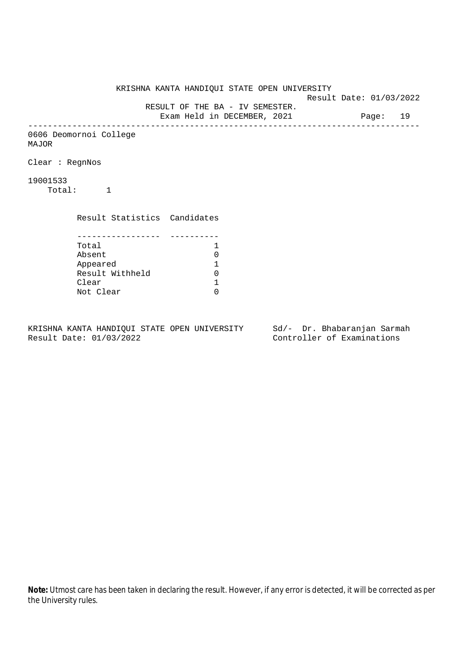KRISHNA KANTA HANDIQUI STATE OPEN UNIVERSITY Result Date: 01/03/2022 RESULT OF THE BA - IV SEMESTER. Exam Held in DECEMBER, 2021 Page: 19 -------------------------------------------------------------------------------- 0606 Deomornoi College MAJOR Clear : RegnNos 19001533 Total: 1 Result Statistics Candidates ----------------- ---------- Total 1 Absent<br>
Appeared 1<br>
Result Withheld 0<br>
Clear 1 Appeared 1 Result Withheld Clear Not Clear 0

KRISHNA KANTA HANDIQUI STATE OPEN UNIVERSITY Sd/- Dr. Bhabaranjan Sarmah Result Date: 01/03/2022 Controller of Examinations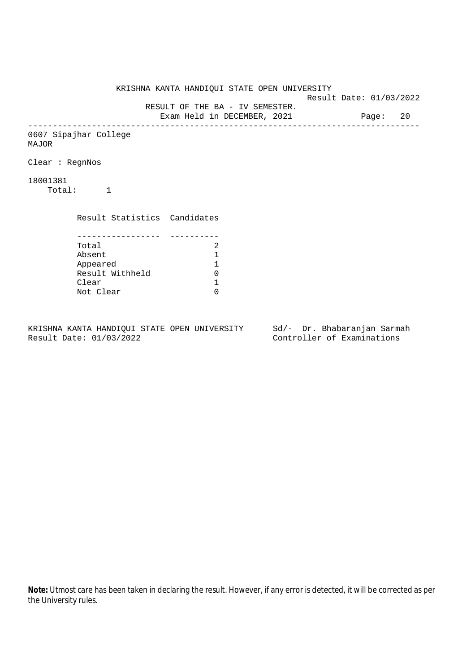KRISHNA KANTA HANDIQUI STATE OPEN UNIVERSITY Result Date: 01/03/2022 RESULT OF THE BA - IV SEMESTER. Exam Held in DECEMBER, 2021 Page: 20 -------------------------------------------------------------------------------- 0607 Sipajhar College MAJOR Clear : RegnNos 18001381 Total: 1 Result Statistics Candidates ----------------- ---------- Total 2<br>Absent 1 Absent<br>
Appeared 1<br>
Result Withheld 0<br>
Clear 1 Appeared 1 Result Withheld Clear Not Clear 0

KRISHNA KANTA HANDIQUI STATE OPEN UNIVERSITY Sd/- Dr. Bhabaranjan Sarmah Result Date: 01/03/2022 Controller of Examinations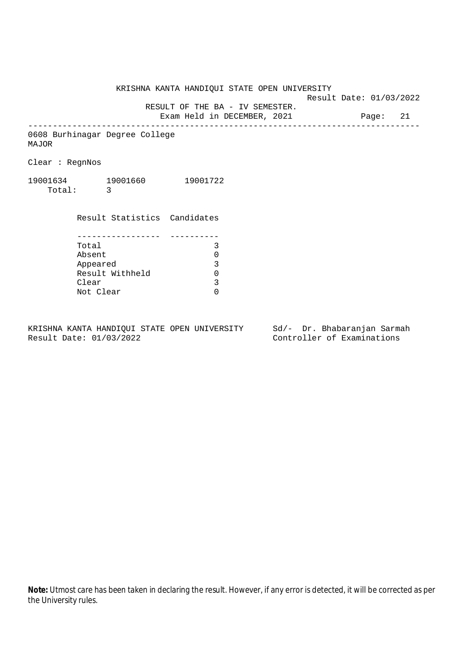Result Date: 01/03/2022

 RESULT OF THE BA - IV SEMESTER. Exam Held in DECEMBER, 2021 Page: 21

--------------------------------------------------------------------------------

0608 Burhinagar Degree College MAJOR

Clear : RegnNos

19001634 19001660 19001722 Total: 3

> Result Statistics Candidates ----------------- ---------- Total 3 Absent 0<br>
> Appeared 3<br>
> Result Withheld 0 Appeared Result Withheld 0<br>Clear 3 Clear Not Clear 0

KRISHNA KANTA HANDIQUI STATE OPEN UNIVERSITY Sd/- Dr. Bhabaranjan Sarmah Result Date: 01/03/2022 Controller of Examinations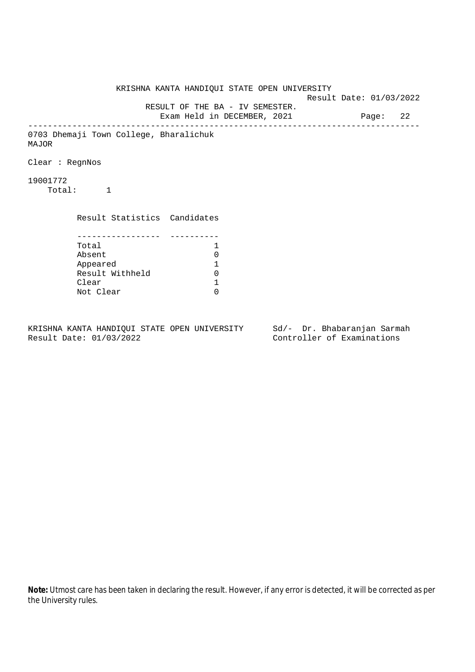KRISHNA KANTA HANDIQUI STATE OPEN UNIVERSITY Result Date: 01/03/2022 RESULT OF THE BA - IV SEMESTER. Exam Held in DECEMBER, 2021 Page: 22 -------------------------------------------------------------------------------- 0703 Dhemaji Town College, Bharalichuk MAJOR Clear : RegnNos 19001772 Total: 1 Result Statistics Candidates ----------------- ---------- Total 1 Absent<br>
Appeared 1<br>
Result Withheld 0<br>
Clear 1 Appeared 1 Result Withheld Clear Not Clear 0

KRISHNA KANTA HANDIQUI STATE OPEN UNIVERSITY Sd/- Dr. Bhabaranjan Sarmah Result Date: 01/03/2022 Controller of Examinations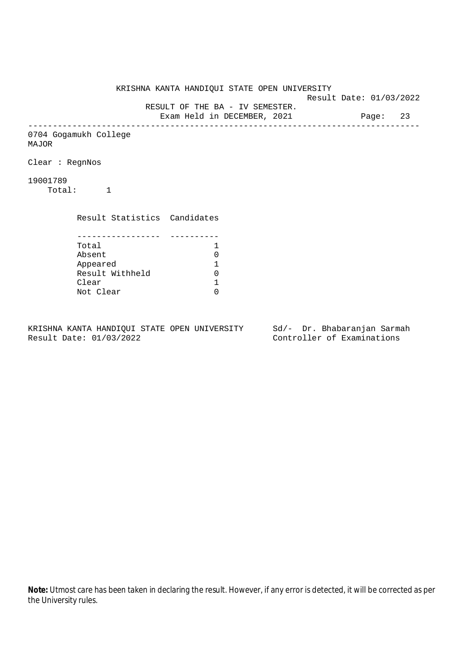KRISHNA KANTA HANDIQUI STATE OPEN UNIVERSITY Result Date: 01/03/2022 RESULT OF THE BA - IV SEMESTER. Exam Held in DECEMBER, 2021 Page: 23 -------------------------------------------------------------------------------- 0704 Gogamukh College MAJOR Clear : RegnNos 19001789 Total: 1 Result Statistics Candidates ----------------- ---------- Total 1<br>Absent 0 Absent<br>
Appeared 1<br>
Result Withheld 0<br>
Clear 1 Appeared 1 Result Withheld 0 Clear Not Clear 0

KRISHNA KANTA HANDIQUI STATE OPEN UNIVERSITY Sd/- Dr. Bhabaranjan Sarmah Result Date: 01/03/2022 Controller of Examinations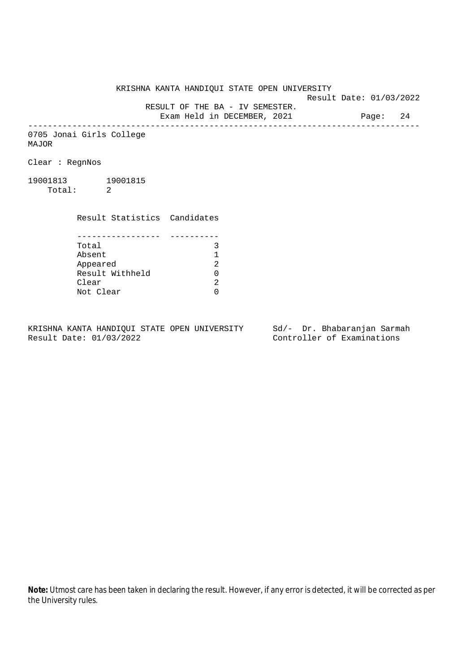Result Date: 01/03/2022

RESULT OF THE BA - IV SEMESTER.

Exam Held in DECEMBER, 2021 Page: 24 --------------------------------------------------------------------------------

0705 Jonai Girls College MAJOR

Clear : RegnNos

19001813 19001815 Total: 2

Clear

 Result Statistics Candidates ----------------- ---------- Total 3<br>Absent 1 Absent 1 Appeared

Not Clear 0

KRISHNA KANTA HANDIQUI STATE OPEN UNIVERSITY Sd/- Dr. Bhabaranjan Sarmah Result Date: 01/03/2022 Controller of Examinations

Result Withheld 0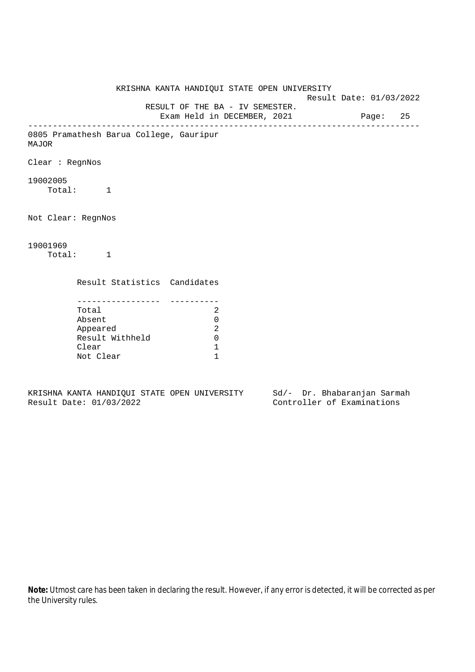KRISHNA KANTA HANDIQUI STATE OPEN UNIVERSITY Result Date: 01/03/2022 RESULT OF THE BA - IV SEMESTER. Exam Held in DECEMBER, 2021 Page: 25 -------------------------------------------------------------------------------- 0805 Pramathesh Barua College, Gauripur MAJOR Clear : RegnNos 19002005 Total: 1 Not Clear: RegnNos 19001969 Total: 1 Result Statistics Candidates ----------------- ---------- Total 2 Absent 0 Appeared 2 Result Withheld 0 Clear 1 Not Clear 1

KRISHNA KANTA HANDIQUI STATE OPEN UNIVERSITY Sd/- Dr. Bhabaranjan Sarmah Result Date: 01/03/2022 Controller of Examinations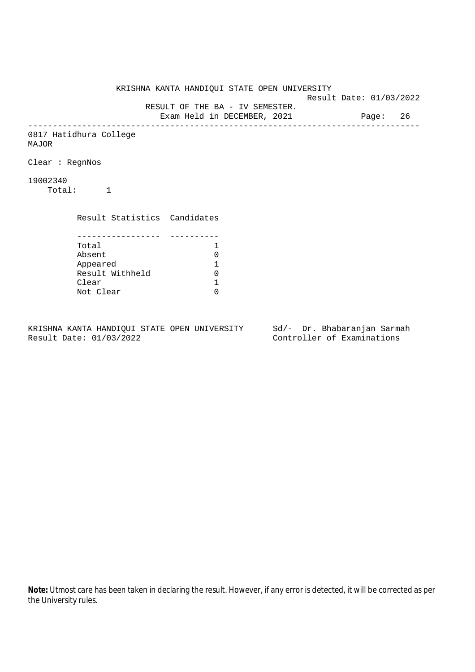KRISHNA KANTA HANDIQUI STATE OPEN UNIVERSITY Result Date: 01/03/2022 RESULT OF THE BA - IV SEMESTER. Exam Held in DECEMBER, 2021 Page: 26 -------------------------------------------------------------------------------- 0817 Hatidhura College MAJOR Clear : RegnNos 19002340 Total: 1 Result Statistics Candidates ----------------- ---------- Total 1 Absent<br>
Appeared 1<br>
Result Withheld 0<br>
Clear 1 Appeared 1 Result Withheld Clear Not Clear 0

KRISHNA KANTA HANDIQUI STATE OPEN UNIVERSITY Sd/- Dr. Bhabaranjan Sarmah Result Date: 01/03/2022 Controller of Examinations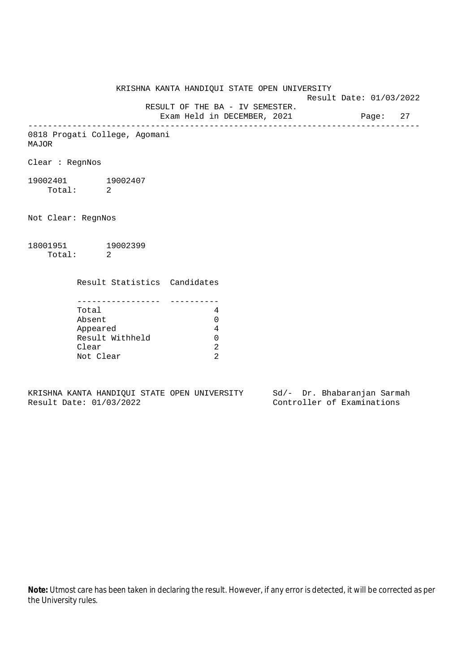KRISHNA KANTA HANDIQUI STATE OPEN UNIVERSITY Result Date: 01/03/2022 RESULT OF THE BA - IV SEMESTER. Exam Held in DECEMBER, 2021 Page: 27 -------------------------------------------------------------------------------- 0818 Progati College, Agomani MAJOR Clear : RegnNos 19002401 19002407 Total: 2 Not Clear: RegnNos 18001951 19002399 Total: 2 Result Statistics Candidates ----------------- ---------- Total 4 Absent 0 Appeared 4 Result Withheld 0 Clear 2

KRISHNA KANTA HANDIQUI STATE OPEN UNIVERSITY Sd/- Dr. Bhabaranjan Sarmah Result Date: 01/03/2022 Controller of Examinations

Not Clear 2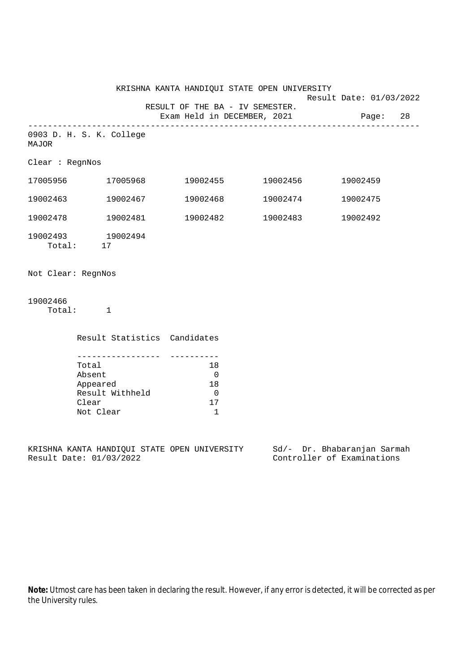|                                   |                          |                             | KRISHNA KANTA HANDIQUI STATE OPEN UNIVERSITY                            |                   | Result Date: 01/03/2022 |          |  |
|-----------------------------------|--------------------------|-----------------------------|-------------------------------------------------------------------------|-------------------|-------------------------|----------|--|
|                                   |                          |                             | RESULT OF THE BA - IV SEMESTER.<br>Exam Held in DECEMBER, 2021 Page: 28 |                   |                         |          |  |
| 0903 D. H. S. K. College<br>MAJOR |                          |                             |                                                                         |                   |                         |          |  |
| Clear : RegnNos                   |                          |                             |                                                                         |                   |                         |          |  |
|                                   |                          |                             | $17005956$ $17005968$ $19002455$ $19002456$                             |                   |                         | 19002459 |  |
| 19002463                          |                          |                             | $19002467$ $19002468$ $19002474$                                        |                   |                         | 19002475 |  |
|                                   |                          | 19002478    19002481        |                                                                         | 19002482 19002483 |                         | 19002492 |  |
| 19002493 19002494                 | Total: 17                |                             |                                                                         |                   |                         |          |  |
| Not Clear: RegnNos                |                          |                             |                                                                         |                   |                         |          |  |
| 19002466                          | Total: 1                 |                             |                                                                         |                   |                         |          |  |
|                                   |                          |                             | Result Statistics Candidates                                            |                   |                         |          |  |
|                                   | Total<br>Absent<br>Clear | Appeared<br>Result Withheld | -----------<br>18<br>$\overline{0}$<br>18<br>$\overline{0}$<br>17       |                   |                         |          |  |

KRISHNA KANTA HANDIQUI STATE OPEN UNIVERSITY Sd/- Dr. Bhabaranjan Sarmah Result Date: 01/03/2022 Controller of Examinations

Not Clear 1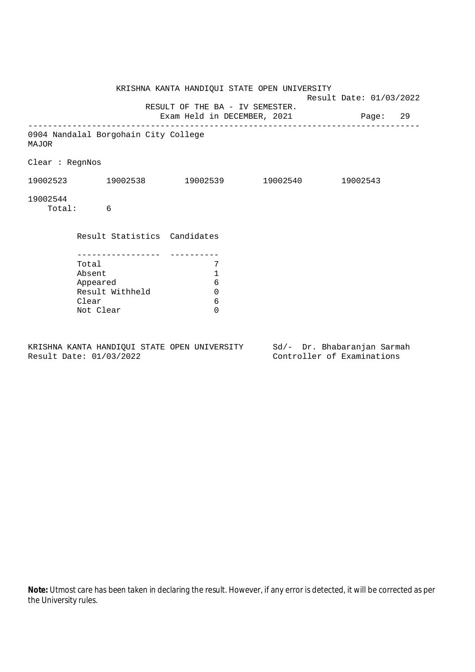|                 |                                                                      | KRISHNA KANTA HANDIQUI STATE OPEN UNIVERSITY           | Result Date: 01/03/2022              |  |
|-----------------|----------------------------------------------------------------------|--------------------------------------------------------|--------------------------------------|--|
|                 |                                                                      | RESULT OF THE BA - IV SEMESTER.                        | Exam Held in DECEMBER, 2021 Page: 29 |  |
| <b>MAJOR</b>    | 0904 Nandalal Borgohain City College                                 |                                                        |                                      |  |
| Clear : RegnNos |                                                                      |                                                        |                                      |  |
|                 | $19002523$ $19002538$ $19002539$ $19002540$ $19002543$               |                                                        |                                      |  |
| 19002544        | Total: 6                                                             |                                                        |                                      |  |
|                 | Result Statistics Candidates                                         |                                                        |                                      |  |
|                 | Total<br>Absent<br>Appeared<br>Result Withheld<br>Clear<br>Not Clear | 7<br>1<br>$6\phantom{1}6$<br>$\Omega$<br>6<br>$\Omega$ |                                      |  |

KRISHNA KANTA HANDIQUI STATE OPEN UNIVERSITY Sd/- Dr. Bhabaranjan Sarmah Result Date: 01/03/2022 Controller of Examinations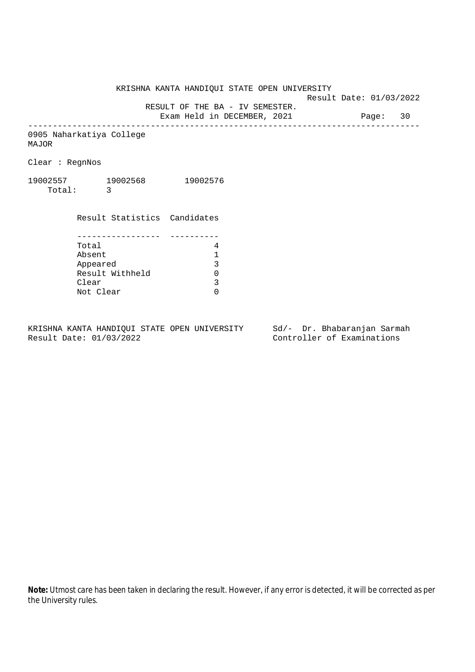Result Date: 01/03/2022

RESULT OF THE BA - IV SEMESTER.

Exam Held in DECEMBER, 2021 Page: 30 --------------------------------------------------------------------------------

0905 Naharkatiya College MAJOR

Clear : RegnNos

19002557 19002568 19002576 Total: 3

|           | Result Statistics Candidates |   |
|-----------|------------------------------|---|
|           |                              |   |
|           |                              |   |
| Total     |                              |   |
| Absent    |                              |   |
| Appeared  |                              | 3 |
|           | Result Withheld              |   |
| Clear     |                              | 3 |
| Not Clear |                              |   |

KRISHNA KANTA HANDIQUI STATE OPEN UNIVERSITY Sd/- Dr. Bhabaranjan Sarmah<br>Result Date: 01/03/2022 Controller of Examinations

Controller of Examinations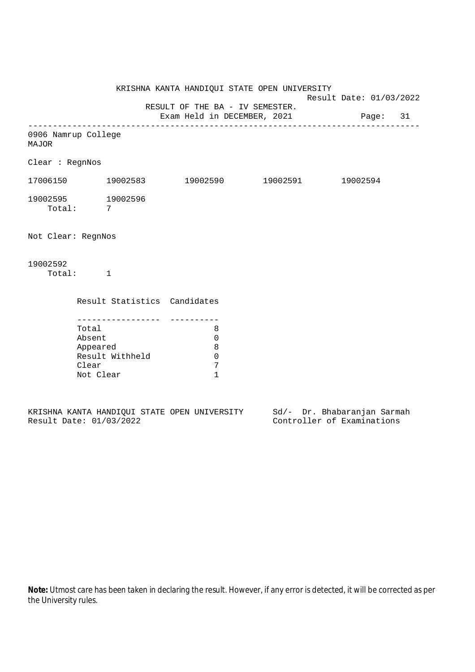KRISHNA KANTA HANDIQUI STATE OPEN UNIVERSITY Result Date: 01/03/2022 RESULT OF THE BA - IV SEMESTER. Exam Held in DECEMBER, 2021 Page: 31 -------------------------------------------------------------------------------- 0906 Namrup College MAJOR Clear : RegnNos 17006150 19002583 19002590 19002591 19002594 19002595 19002596 Total: 7 Not Clear: RegnNos 19002592 Total: 1 Result Statistics Candidates ----------------- ---------- Total 8 Absent 0 Appeared 8 Result Withheld 0<br>Clear 7 Clear Not Clear 1

|  |                         |  | KRISHNA KANTA HANDIOUI STATE OPEN UNIVERSITY |  |  | Sd/- Dr. Bhabaranjan Sarmah |  |
|--|-------------------------|--|----------------------------------------------|--|--|-----------------------------|--|
|  | Result Date: 01/03/2022 |  |                                              |  |  | Controller of Examinations  |  |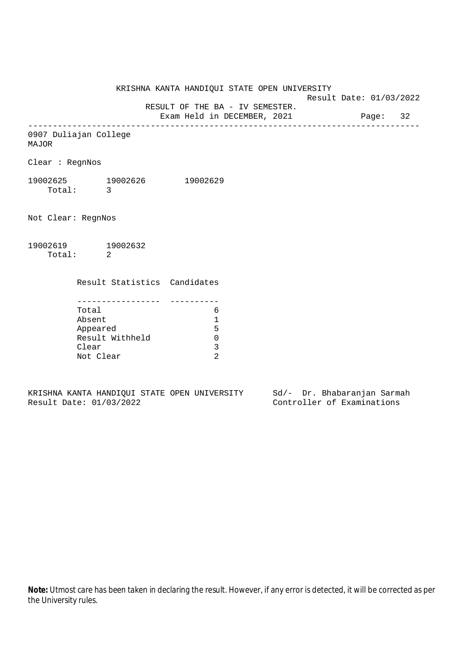Result Date: 01/03/2022

 RESULT OF THE BA - IV SEMESTER. Exam Held in DECEMBER, 2021 Page: 32

--------------------------------------------------------------------------------

0907 Duliajan College

MAJOR

Clear : RegnNos

19002625 19002626 19002629 Total: 3

Not Clear: RegnNos

19002619 19002632 Total: 2

Result Statistics Candidates

| Total           |   |
|-----------------|---|
| Absent          |   |
| Appeared        | ц |
| Result Withheld |   |
| Clear           |   |
| Not Clear       |   |

KRISHNA KANTA HANDIQUI STATE OPEN UNIVERSITY Sd/- Dr. Bhabaranjan Sarmah Result Date: 01/03/2022 Controller of Examinations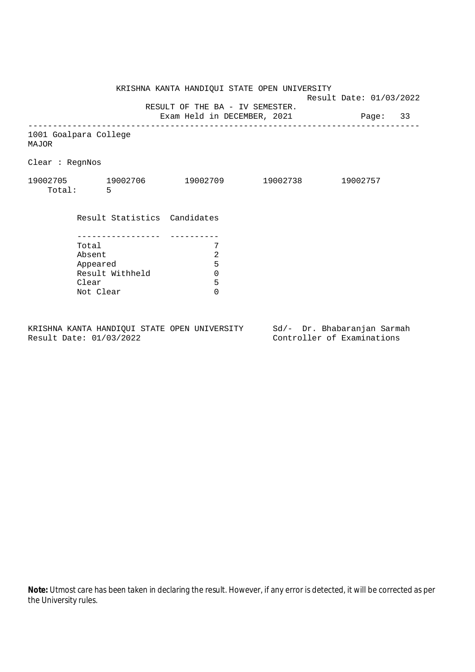KRISHNA KANTA HANDIQUI STATE OPEN UNIVERSITY Result Date: 01/03/2022 RESULT OF THE BA - IV SEMESTER. Exam Held in DECEMBER, 2021 Page: 33 -------------------------------------------------------------------------------- 1001 Goalpara College MAJOR Clear : RegnNos 19002705 19002706 19002709 19002738 19002757 Total: 5 Result Statistics Candidates ----------------- ---------- Total 7<br>Absent 2 Absent<br>
Appeared 5<br>
Result Withheld 6<br>
Clear 5 Appeared Result Withheld 0 Clear Not Clear 0

KRISHNA KANTA HANDIQUI STATE OPEN UNIVERSITY Sd/- Dr. Bhabaranjan Sarmah Result Date: 01/03/2022 Controller of Examinations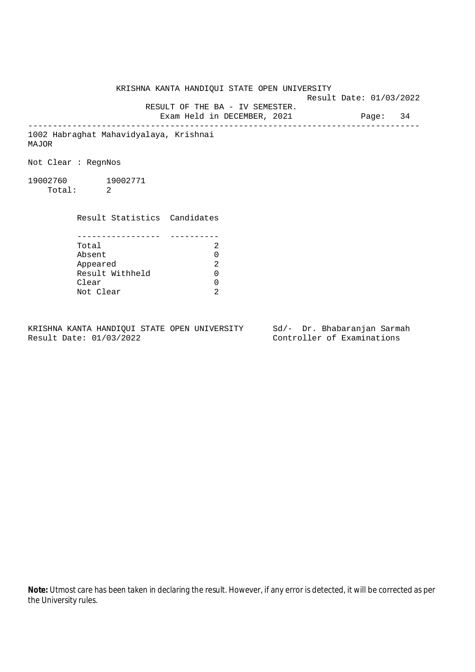KRISHNA KANTA HANDIQUI STATE OPEN UNIVERSITY Result Date: 01/03/2022 RESULT OF THE BA - IV SEMESTER. Exam Held in DECEMBER, 2021 Page: 34 -------------------------------------------------------------------------------- 1002 Habraghat Mahavidyalaya, Krishnai MAJOR Not Clear : RegnNos 19002760 19002771 Total: 2 Result Statistics Candidates ----------------- ---------- Total 2 Absent 0<br>
Appeared 2<br>
Result Withheld 0 Appeared Result Withheld 0 Clear 0 Not Clear 2

KRISHNA KANTA HANDIQUI STATE OPEN UNIVERSITY Sd/- Dr. Bhabaranjan Sarmah Result Date: 01/03/2022 Controller of Examinations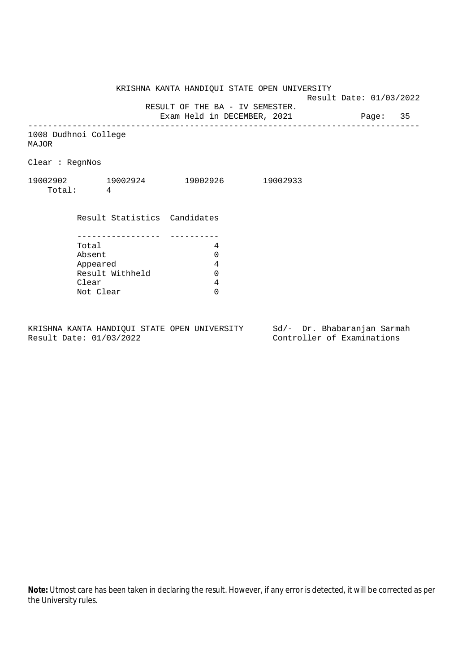Result Date: 01/03/2022

RESULT OF THE BA - IV SEMESTER.

Exam Held in DECEMBER, 2021 Page: 35 --------------------------------------------------------------------------------

1008 Dudhnoi College MAJOR

Clear : RegnNos

| 19002902 | 19002924 | 19002926 | 19002933 |
|----------|----------|----------|----------|
| Total:   |          |          |          |

 Result Statistics Candidates ----------------- ---------- Total 4 Absent 0<br>Appeared 4<br>Result Withheld 0 Appeared Result Withheld 0 Clear 4 Not Clear 0

KRISHNA KANTA HANDIQUI STATE OPEN UNIVERSITY Sd/- Dr. Bhabaranjan Sarmah Result Date: 01/03/2022 Controller of Examinations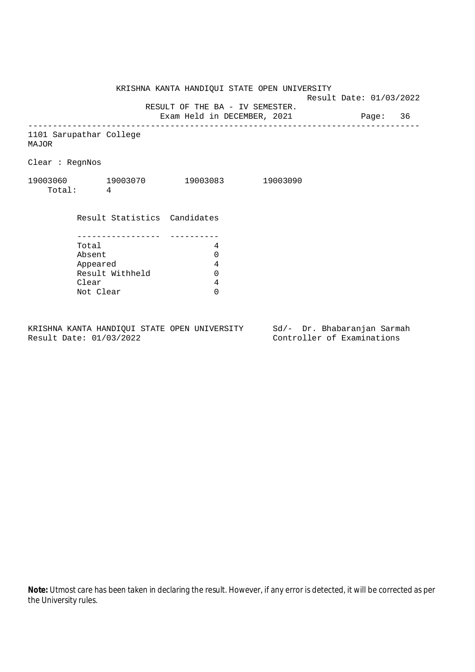Result Date: 01/03/2022

RESULT OF THE BA - IV SEMESTER.

Exam Held in DECEMBER, 2021 Page: 36 --------------------------------------------------------------------------------

1101 Sarupathar College MAJOR

Clear : RegnNos

| 19003060 | 19003070 | 19003083 | 19003090 |
|----------|----------|----------|----------|
| Total:   |          |          |          |

| Result Statistics Candidates |   |
|------------------------------|---|
|                              |   |
|                              |   |
| Total                        |   |
| Absent                       |   |
| Appeared                     | 4 |
| Result Withheld              |   |
| Clear                        |   |
| Not Clear                    |   |

KRISHNA KANTA HANDIQUI STATE OPEN UNIVERSITY Sd/- Dr. Bhabaranjan Sarmah<br>Result Date: 01/03/2022 Controller of Examinations

Controller of Examinations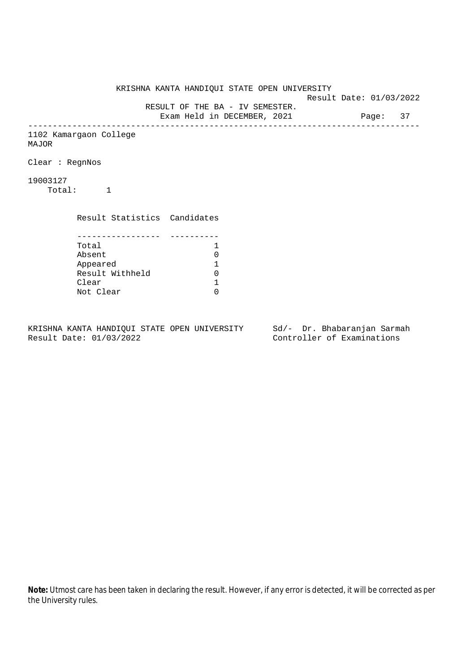KRISHNA KANTA HANDIQUI STATE OPEN UNIVERSITY Result Date: 01/03/2022 RESULT OF THE BA - IV SEMESTER. Exam Held in DECEMBER, 2021 Page: 37 -------------------------------------------------------------------------------- 1102 Kamargaon College MAJOR Clear : RegnNos 19003127 Total: 1 Result Statistics Candidates ----------------- ---------- Total 1<br>Absent 0 Absent<br>
Appeared 1<br>
Result Withheld 0<br>
Clear 1 Appeared 1 Result Withheld 0 Clear Not Clear 0

KRISHNA KANTA HANDIQUI STATE OPEN UNIVERSITY Sd/- Dr. Bhabaranjan Sarmah Result Date: 01/03/2022 Controller of Examinations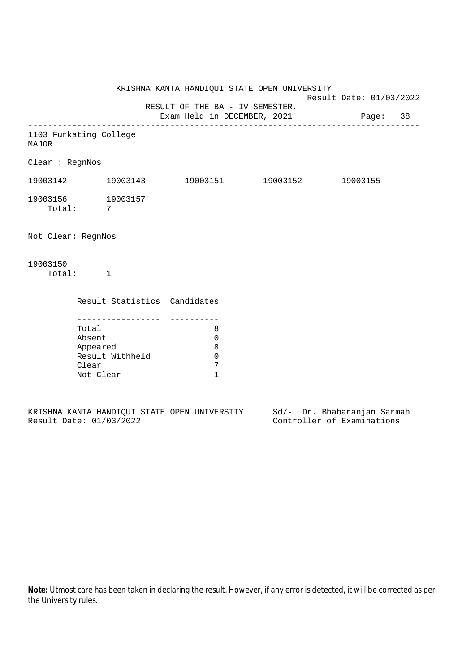KRISHNA KANTA HANDIQUI STATE OPEN UNIVERSITY Result Date: 01/03/2022 RESULT OF THE BA - IV SEMESTER. Exam Held in DECEMBER, 2021 Page: 38 -------------------------------------------------------------------------------- 1103 Furkating College MAJOR Clear : RegnNos 19003142 19003143 19003151 19003152 19003155 19003156 19003157 Total: 7 Not Clear: RegnNos 19003150 Total: 1 Result Statistics Candidates ----------------- ---------- Total 8 Absent 0 Appeared 8 Result Withheld 0<br>Clear 7 Clear Not Clear 1

|  |                         |  | KRISHNA KANTA HANDIOUI STATE OPEN UNIVERSITY |  |  | Sd/- Dr. Bhabaranjan Sarmah |  |
|--|-------------------------|--|----------------------------------------------|--|--|-----------------------------|--|
|  | Result Date: 01/03/2022 |  |                                              |  |  | Controller of Examinations  |  |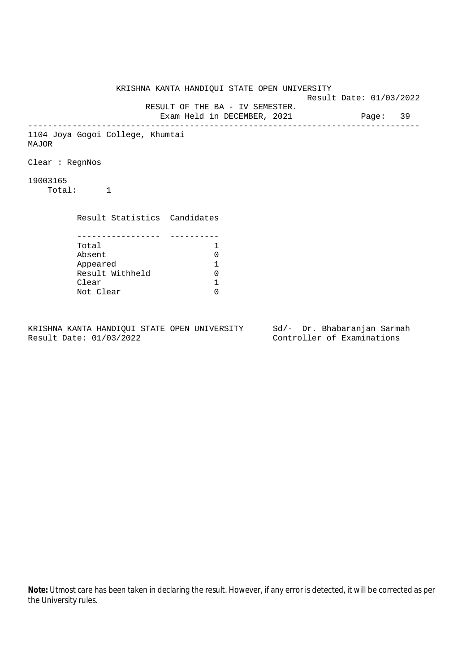KRISHNA KANTA HANDIQUI STATE OPEN UNIVERSITY Result Date: 01/03/2022 RESULT OF THE BA - IV SEMESTER. Exam Held in DECEMBER, 2021 Page: 39 -------------------------------------------------------------------------------- 1104 Joya Gogoi College, Khumtai MAJOR Clear : RegnNos 19003165 Total: 1 Result Statistics Candidates ----------------- ---------- Total 1 Absent<br>
Appeared 1<br>
Result Withheld 0<br>
Clear 1 Appeared 1 Result Withheld Clear Not Clear 0

KRISHNA KANTA HANDIQUI STATE OPEN UNIVERSITY Sd/- Dr. Bhabaranjan Sarmah Result Date: 01/03/2022 Controller of Examinations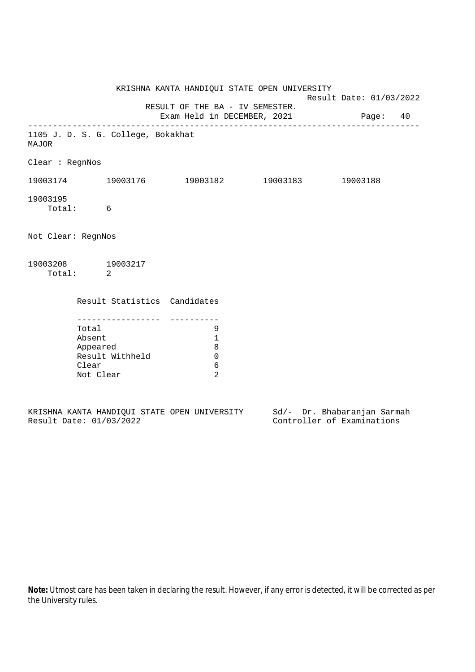|                    |                                                   | KRISHNA KANTA HANDIQUI STATE OPEN UNIVERSITY |                                                                         | Result Date: 01/03/2022 |  |  |  |
|--------------------|---------------------------------------------------|----------------------------------------------|-------------------------------------------------------------------------|-------------------------|--|--|--|
|                    |                                                   |                                              | RESULT OF THE BA - IV SEMESTER.<br>Exam Held in DECEMBER, 2021 Page: 40 |                         |  |  |  |
| MAJOR              |                                                   | 1105 J. D. S. G. College, Bokakhat           |                                                                         |                         |  |  |  |
| Clear : RegnNos    |                                                   |                                              |                                                                         |                         |  |  |  |
|                    |                                                   |                                              | $19003174$ 19003176 19003182 19003183 19003188                          |                         |  |  |  |
| 19003195           | Total: 6                                          |                                              |                                                                         |                         |  |  |  |
| Not Clear: RegnNos |                                                   |                                              |                                                                         |                         |  |  |  |
| 19003208 19003217  | Total: 2                                          |                                              |                                                                         |                         |  |  |  |
|                    |                                                   | Result Statistics Candidates                 |                                                                         |                         |  |  |  |
|                    | Total<br>Absent<br>Appeared<br>Clear<br>Not Clear | Result Withheld                              | 9<br>1<br>8<br>$\mathbf 0$<br>6<br>2                                    |                         |  |  |  |

|  |                         |  | KRISHNA KANTA HANDIOUI STATE OPEN UNIVERSITY |  | Sd/- Dr. Bhabaranjan Sarmah |  |
|--|-------------------------|--|----------------------------------------------|--|-----------------------------|--|
|  | Result Date: 01/03/2022 |  |                                              |  | Controller of Examinations  |  |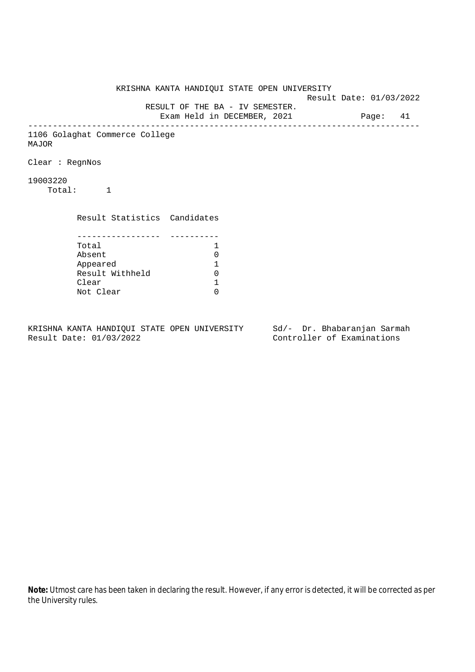KRISHNA KANTA HANDIQUI STATE OPEN UNIVERSITY Result Date: 01/03/2022 RESULT OF THE BA - IV SEMESTER. Exam Held in DECEMBER, 2021 Page: 41 -------------------------------------------------------------------------------- 1106 Golaghat Commerce College MAJOR Clear : RegnNos 19003220 Total: 1 Result Statistics Candidates ----------------- ---------- Total 1 Absent<br>
Appeared 1<br>
Result Withheld 0<br>
Clear 1 Appeared 1 Result Withheld Clear Not Clear 0

KRISHNA KANTA HANDIQUI STATE OPEN UNIVERSITY Sd/- Dr. Bhabaranjan Sarmah Result Date: 01/03/2022 Controller of Examinations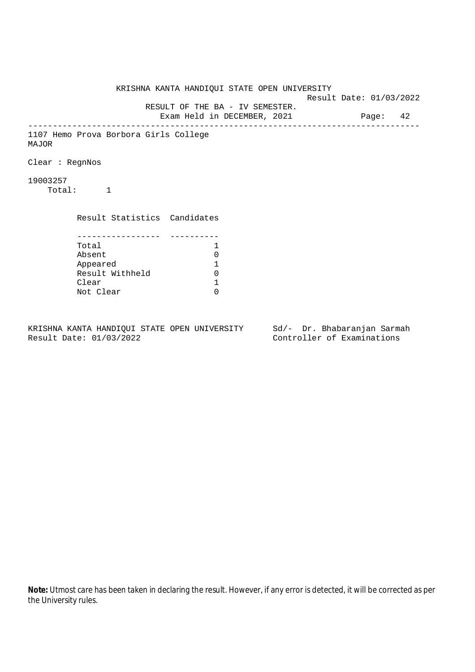KRISHNA KANTA HANDIQUI STATE OPEN UNIVERSITY Result Date: 01/03/2022 RESULT OF THE BA - IV SEMESTER. Exam Held in DECEMBER, 2021 Page: 42 -------------------------------------------------------------------------------- 1107 Hemo Prova Borbora Girls College MAJOR Clear : RegnNos 19003257 Total: 1 Result Statistics Candidates ----------------- ---------- Total 1 Absent<br>
Appeared 1<br>
Result Withheld 0<br>
Clear 1 Appeared 1 Result Withheld Clear Not Clear 0

KRISHNA KANTA HANDIQUI STATE OPEN UNIVERSITY Sd/- Dr. Bhabaranjan Sarmah Result Date: 01/03/2022 Controller of Examinations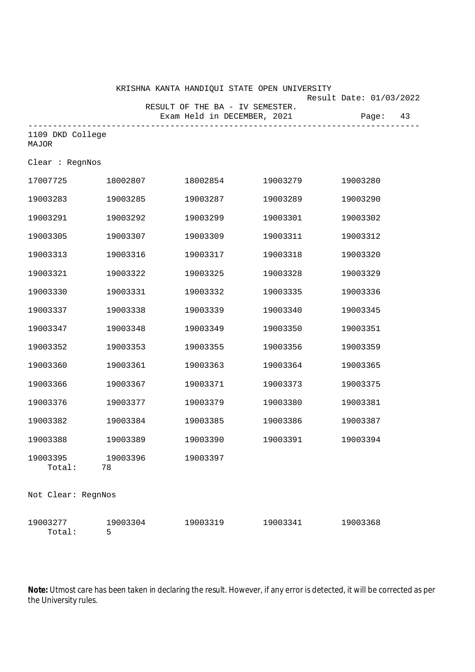KRISHNA KANTA HANDIQUI STATE OPEN UNIVERSITY

Result Date: 01/03/2022

 RESULT OF THE BA - IV SEMESTER. Exam Held in DECEMBER, 2021 Page: 43 -------------------------------------------------------------------------------- 1109 DKD College Clear : RegnNos

MAJOR

| 17007725           | 18002807       | 18002854 | 19003279 | 19003280 |
|--------------------|----------------|----------|----------|----------|
| 19003283           | 19003285       | 19003287 | 19003289 | 19003290 |
| 19003291           | 19003292       | 19003299 | 19003301 | 19003302 |
| 19003305           | 19003307       | 19003309 | 19003311 | 19003312 |
| 19003313           | 19003316       | 19003317 | 19003318 | 19003320 |
| 19003321           | 19003322       | 19003325 | 19003328 | 19003329 |
| 19003330           | 19003331       | 19003332 | 19003335 | 19003336 |
| 19003337           | 19003338       | 19003339 | 19003340 | 19003345 |
| 19003347           | 19003348       | 19003349 | 19003350 | 19003351 |
| 19003352           | 19003353       | 19003355 | 19003356 | 19003359 |
| 19003360           | 19003361       | 19003363 | 19003364 | 19003365 |
| 19003366           | 19003367       | 19003371 | 19003373 | 19003375 |
| 19003376           | 19003377       | 19003379 | 19003380 | 19003381 |
| 19003382           | 19003384       | 19003385 | 19003386 | 19003387 |
| 19003388           | 19003389       | 19003390 | 19003391 | 19003394 |
| 19003395<br>Total: | 19003396<br>78 | 19003397 |          |          |
| Not Clear: RegnNos |                |          |          |          |
| 19003277<br>Total: | 19003304<br>5  | 19003319 | 19003341 | 19003368 |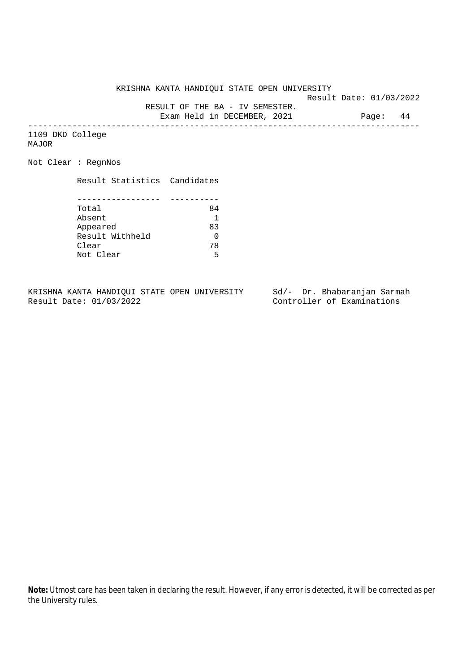KRISHNA KANTA HANDIQUI STATE OPEN UNIVERSITY

Result Date: 01/03/2022

RESULT OF THE BA - IV SEMESTER.

Exam Held in DECEMBER, 2021 Page: 44 --------------------------------------------------------------------------------

1109 DKD College MAJOR

Not Clear : RegnNos

Result Statistics Candidates

| Total           | 84 |
|-----------------|----|
| Absent          |    |
| Appeared        | 83 |
| Result Withheld |    |
| Clear           | 78 |
| Not Clear       | ᄃ  |

KRISHNA KANTA HANDIQUI STATE OPEN UNIVERSITY Sd/- Dr. Bhabaranjan Sarmah<br>Result Date: 01/03/2022 Controller of Examinations

Controller of Examinations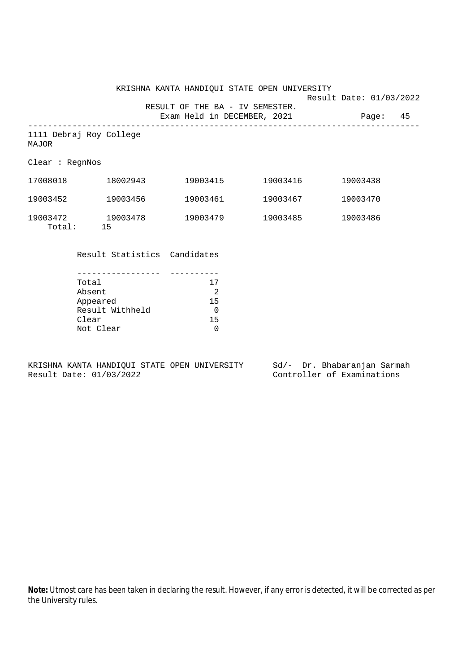KRISHNA KANTA HANDIQUI STATE OPEN UNIVERSITY Result Date: 01/03/2022 RESULT OF THE BA - IV SEMESTER. Exam Held in DECEMBER, 2021 Page: 45 -------------------------------------------------------------------------------- 1111 Debraj Roy College MAJOR Clear : RegnNos 17008018 18002943 19003415 19003416 19003438 19003452 19003456 19003461 19003467 19003470 19003472 19003478 19003479 19003485 19003486 Total: 15 Result Statistics Candidates

| Total           | 17           |
|-----------------|--------------|
| Absent          | 2            |
| Appeared        | 15           |
| Result Withheld | <sup>0</sup> |
| Clear           | 15           |
| Not Clear       | ∩            |

KRISHNA KANTA HANDIQUI STATE OPEN UNIVERSITY Sd/- Dr. Bhabaranjan Sarmah Result Date: 01/03/2022 Controller of Examinations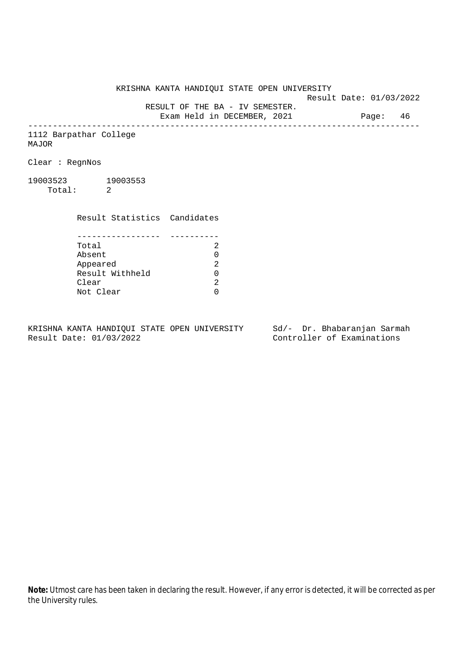KRISHNA KANTA HANDIQUI STATE OPEN UNIVERSITY

Result Date: 01/03/2022

RESULT OF THE BA - IV SEMESTER.

Exam Held in DECEMBER, 2021 Page: 46 --------------------------------------------------------------------------------

1112 Barpathar College MAJOR

Clear : RegnNos

19003523 19003553 Total: 2

> Result Statistics Candidates ----------------- ---------- Total 2

> Absent<br>
> Appeared 2<br>
> Result Withheld 0<br>
> Clear 2 Appeared Result Withheld 0 Clear Not Clear 0

KRISHNA KANTA HANDIQUI STATE OPEN UNIVERSITY Sd/- Dr. Bhabaranjan Sarmah Result Date: 01/03/2022 Controller of Examinations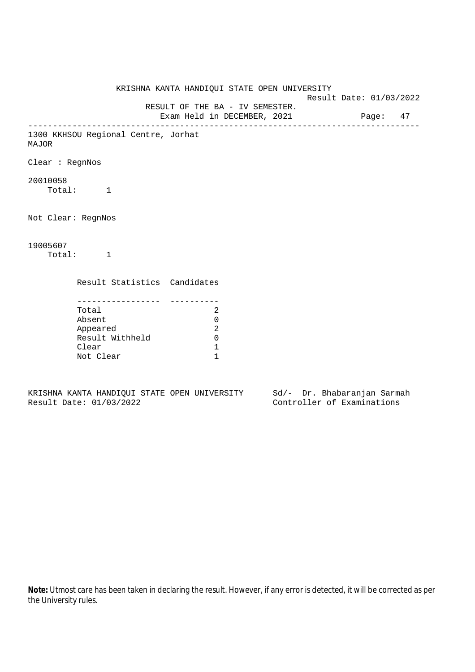KRISHNA KANTA HANDIQUI STATE OPEN UNIVERSITY Result Date: 01/03/2022 RESULT OF THE BA - IV SEMESTER. Exam Held in DECEMBER, 2021 Page: 47 -------------------------------------------------------------------------------- 1300 KKHSOU Regional Centre, Jorhat MAJOR Clear : RegnNos 20010058 Total: 1 Not Clear: RegnNos 19005607 Total: 1 Result Statistics Candidates ----------------- ---------- Total 2 Absent 0 Appeared 2 Result Withheld 0 Clear 1 Not Clear 1

KRISHNA KANTA HANDIQUI STATE OPEN UNIVERSITY Sd/- Dr. Bhabaranjan Sarmah Result Date: 01/03/2022 Controller of Examinations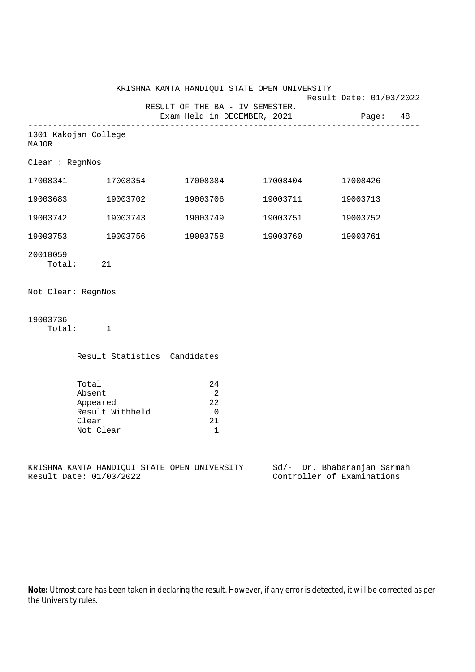|                    |                                                                                            |                                                                                    | KRISHNA KANTA HANDIQUI STATE OPEN UNIVERSITY |                                                                 |
|--------------------|--------------------------------------------------------------------------------------------|------------------------------------------------------------------------------------|----------------------------------------------|-----------------------------------------------------------------|
|                    |                                                                                            | RESULT OF THE BA - IV SEMESTER.                                                    |                                              | Result Date: 01/03/2022<br>Exam Held in DECEMBER, 2021 Page: 48 |
| MAJOR              | 1301 Kakojan College                                                                       |                                                                                    |                                              |                                                                 |
| Clear : RegnNos    |                                                                                            |                                                                                    |                                              |                                                                 |
|                    | 17008341 17008354                                                                          |                                                                                    | 17008384 17008404                            | 17008426                                                        |
| 19003683           | 19003702                                                                                   | 19003706                                                                           | 19003711                                     | 19003713                                                        |
| 19003742           | 19003743                                                                                   | 19003749                                                                           | 19003751                                     | 19003752                                                        |
|                    | 19003753 19003756                                                                          | 19003758                                                                           | 19003760                                     | 19003761                                                        |
| 20010059           | Total: 21                                                                                  |                                                                                    |                                              |                                                                 |
| Not Clear: RegnNos |                                                                                            |                                                                                    |                                              |                                                                 |
| 19003736           | Total: 1                                                                                   |                                                                                    |                                              |                                                                 |
|                    | Result Statistics Candidates                                                               |                                                                                    |                                              |                                                                 |
|                    | __________________<br>Total<br>Absent<br>Appeared<br>Result Withheld<br>Clear<br>Not Clear | -----------<br>24<br>$\overline{\phantom{0}}^2$<br>22<br>$\overline{0}$<br>21<br>1 |                                              |                                                                 |
|                    | KRISHNA KANTA HANDIQUI STATE OPEN UNIVERSITY<br>Result Date: 01/03/2022                    |                                                                                    |                                              | Sd/- Dr. Bhabaranjan Sarmah<br>Controller of Examinations       |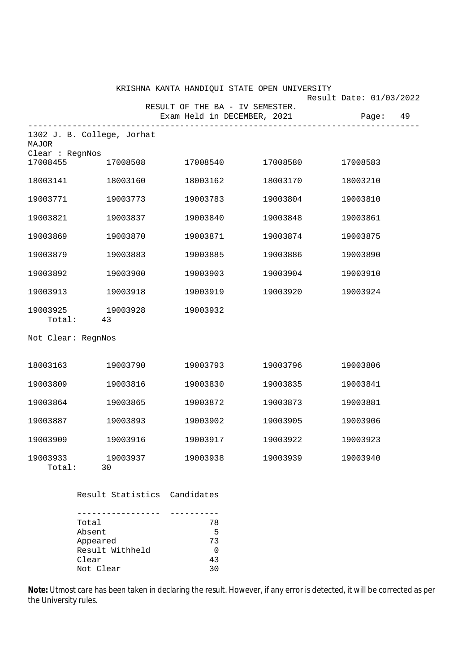|                             |                                                         | KRISHNA KANTA HANDIQUI STATE OPEN UNIVERSITY |          |                         |  |
|-----------------------------|---------------------------------------------------------|----------------------------------------------|----------|-------------------------|--|
|                             |                                                         | RESULT OF THE BA - IV SEMESTER.              |          | Result Date: 01/03/2022 |  |
|                             | --------------------------                              | Exam Held in DECEMBER, 2021                  |          | Page: 49                |  |
| MAJOR                       | 1302 J. B. College, Jorhat                              |                                              |          |                         |  |
| Clear : RegnNos<br>17008455 | 17008508                                                | 17008540                                     | 17008580 | 17008583                |  |
| 18003141                    | 18003160                                                | 18003162                                     | 18003170 | 18003210                |  |
| 19003771                    | 19003773                                                | 19003783                                     | 19003804 | 19003810                |  |
| 19003821                    | 19003837                                                | 19003840                                     | 19003848 | 19003861                |  |
| 19003869                    | 19003870                                                | 19003871                                     | 19003874 | 19003875                |  |
| 19003879                    | 19003883                                                | 19003885                                     | 19003886 | 19003890                |  |
| 19003892                    | 19003900                                                | 19003903                                     | 19003904 | 19003910                |  |
| 19003913                    | 19003918                                                | 19003919                                     | 19003920 | 19003924                |  |
| 19003925                    | 19003928<br>Total: 43                                   | 19003932                                     |          |                         |  |
| Not Clear: RegnNos          |                                                         |                                              |          |                         |  |
| 18003163                    | 19003790                                                | 19003793                                     | 19003796 | 19003806                |  |
| 19003809                    | 19003816                                                | 19003830                                     | 19003835 | 19003841                |  |
| 19003864                    | 19003865                                                | 19003872                                     | 19003873 | 19003881                |  |
| 19003887                    | 19003893                                                | 19003902                                     | 19003905 | 19003906                |  |
| 19003909                    | 19003916                                                | 19003917                                     | 19003922 | 19003923                |  |
| 19003933<br>Total:          | 19003937<br>30                                          | 19003938                                     | 19003939 | 19003940                |  |
|                             | Result Statistics Candidates                            |                                              |          |                         |  |
|                             | Total<br>Absent<br>Appeared<br>Result Withheld<br>Clear | 78<br>5<br>73<br>0<br>43                     |          |                         |  |

Clear 43<br>Not Clear 43

Not Clear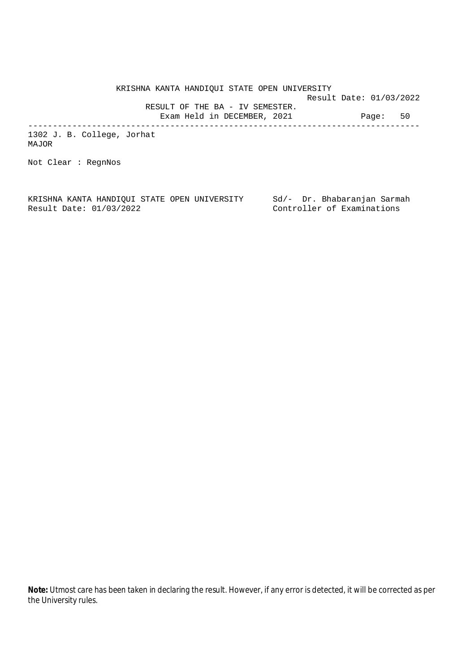KRISHNA KANTA HANDIQUI STATE OPEN UNIVERSITY Result Date: 01/03/2022 RESULT OF THE BA - IV SEMESTER. Exam Held in DECEMBER, 2021 Page: 50 --------------------------------------------------------------------------------

1302 J. B. College, Jorhat MAJOR

Not Clear : RegnNos

KRISHNA KANTA HANDIQUI STATE OPEN UNIVERSITY Sd/- Dr. Bhabaranjan Sarmah Result Date: 01/03/2022 Controller of Examinations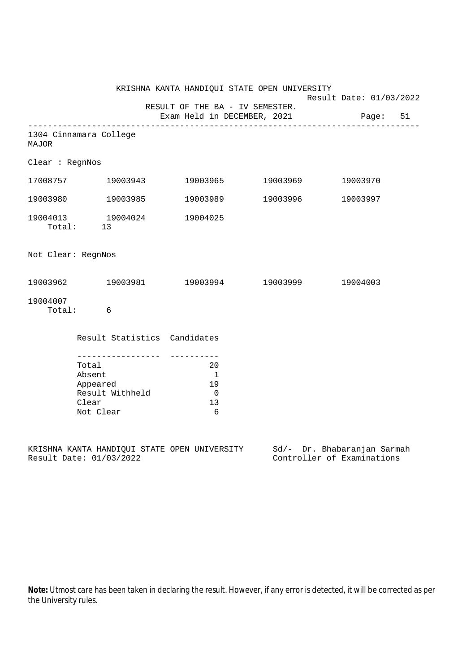|                    |                                                                         |                                                         | KRISHNA KANTA HANDIQUI STATE OPEN UNIVERSITY | Result Date: 01/03/2022                                   |
|--------------------|-------------------------------------------------------------------------|---------------------------------------------------------|----------------------------------------------|-----------------------------------------------------------|
|                    |                                                                         | RESULT OF THE BA - IV SEMESTER.                         |                                              |                                                           |
|                    |                                                                         |                                                         |                                              | Exam Held in DECEMBER, 2021 Page: 51                      |
| <b>MAJOR</b>       | 1304 Cinnamara College                                                  |                                                         |                                              |                                                           |
| Clear : RegnNos    |                                                                         |                                                         |                                              |                                                           |
|                    | 17008757 19003943                                                       | 19003965                                                | 19003969                                     | 19003970                                                  |
|                    | 19003980 19003985                                                       | 19003989                                                | 19003996                                     | 19003997                                                  |
| 19004013           | 19004024<br>Total: 13                                                   | 19004025                                                |                                              |                                                           |
| Not Clear: RegnNos |                                                                         |                                                         |                                              |                                                           |
|                    | $19003962$ $19003981$ $19003994$ $19003999$                             |                                                         |                                              | 19004003                                                  |
| 19004007           | Total: 6                                                                |                                                         |                                              |                                                           |
|                    | Result Statistics Candidates                                            |                                                         |                                              |                                                           |
|                    | Total<br>Absent<br>Appeared<br>Result Withheld<br>Clear<br>Not Clear    | 20<br>$\overline{1}$<br>19<br>$\overline{0}$<br>13<br>6 |                                              |                                                           |
|                    | KRISHNA KANTA HANDIQUI STATE OPEN UNIVERSITY<br>Result Date: 01/03/2022 |                                                         |                                              | Sd/- Dr. Bhabaranjan Sarmah<br>Controller of Examinations |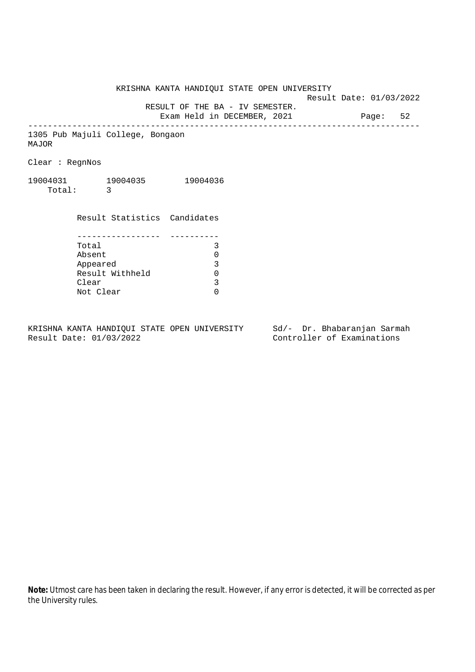KRISHNA KANTA HANDIQUI STATE OPEN UNIVERSITY

Result Date: 01/03/2022

 RESULT OF THE BA - IV SEMESTER. Exam Held in DECEMBER, 2021 Page: 52

--------------------------------------------------------------------------------

1305 Pub Majuli College, Bongaon MAJOR

Clear : RegnNos

19004031 19004035 19004036 Total: 3

> Result Statistics Candidates ----------------- ---------- Total 3 Absent 0<br>
> Appeared 3<br>
> Result Withheld 0 Appeared Result Withheld 0<br>Clear 3 Clear Not Clear 0

KRISHNA KANTA HANDIQUI STATE OPEN UNIVERSITY Sd/- Dr. Bhabaranjan Sarmah Result Date: 01/03/2022 Controller of Examinations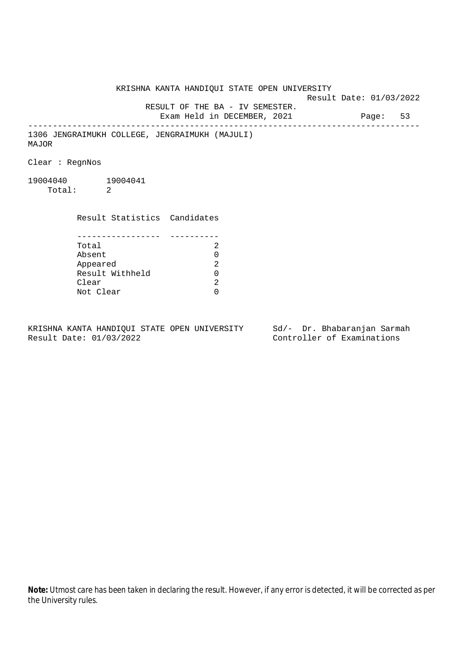KRISHNA KANTA HANDIQUI STATE OPEN UNIVERSITY Result Date: 01/03/2022 RESULT OF THE BA - IV SEMESTER. Exam Held in DECEMBER, 2021 Page: 53 -------------------------------------------------------------------------------- 1306 JENGRAIMUKH COLLEGE, JENGRAIMUKH (MAJULI) MAJOR Clear : RegnNos 19004040 19004041 Total: 2 Result Statistics Candidates ----------------- ---------- Total 2 Absent<br>
Appeared 2<br>
Result Withheld 0<br>
Clear 2 Appeared Result Withheld 0 Clear Not Clear 0

KRISHNA KANTA HANDIQUI STATE OPEN UNIVERSITY Sd/- Dr. Bhabaranjan Sarmah Result Date: 01/03/2022 Controller of Examinations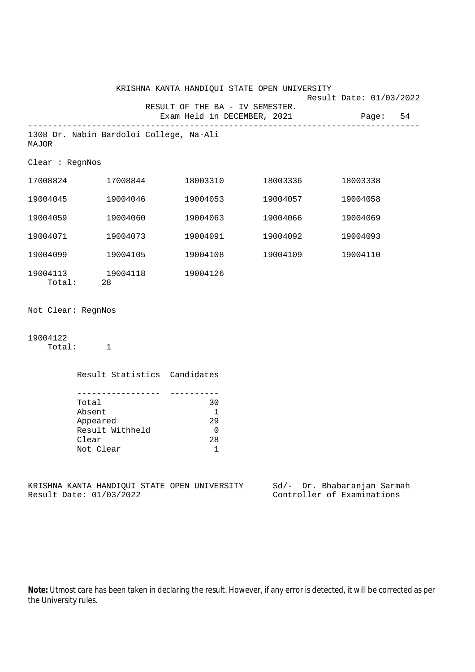|                    |                                                                         |                                                                        | KRISHNA KANTA HANDIQUI STATE OPEN UNIVERSITY                   |                                                           |  |
|--------------------|-------------------------------------------------------------------------|------------------------------------------------------------------------|----------------------------------------------------------------|-----------------------------------------------------------|--|
|                    |                                                                         |                                                                        | RESULT OF THE BA - IV SEMESTER.<br>Exam Held in DECEMBER, 2021 | Result Date: 01/03/2022<br>Page: 54                       |  |
| MAJOR              | 1308 Dr. Nabin Bardoloi College, Na-Ali                                 |                                                                        |                                                                |                                                           |  |
| Clear : RegnNos    |                                                                         |                                                                        |                                                                |                                                           |  |
|                    | 17008824 17008844                                                       |                                                                        | 18003310 18003336                                              | 18003338                                                  |  |
|                    | 19004045 19004046                                                       |                                                                        | 19004053 19004057                                              | 19004058                                                  |  |
| 19004059           | 19004060                                                                | 19004063                                                               | 19004066                                                       | 19004069                                                  |  |
| 19004071           | 19004073                                                                | 19004091                                                               | 19004092                                                       | 19004093                                                  |  |
|                    | 19004099 19004105                                                       | 19004108                                                               | 19004109                                                       | 19004110                                                  |  |
|                    | 19004113 19004118<br>Total: 28                                          | 19004126                                                               |                                                                |                                                           |  |
| Not Clear: RegnNos |                                                                         |                                                                        |                                                                |                                                           |  |
| 19004122           | Total: 1                                                                |                                                                        |                                                                |                                                           |  |
|                    | Result Statistics Candidates                                            |                                                                        |                                                                |                                                           |  |
|                    | Total<br>Absent<br>Appeared<br>Result Withheld<br>Clear<br>Not Clear    | ----------<br>30<br>$\overline{\phantom{1}}$<br>29<br>0<br>$28\,$<br>1 |                                                                |                                                           |  |
|                    | KRISHNA KANTA HANDIQUI STATE OPEN UNIVERSITY<br>Result Date: 01/03/2022 |                                                                        |                                                                | Sd/- Dr. Bhabaranjan Sarmah<br>Controller of Examinations |  |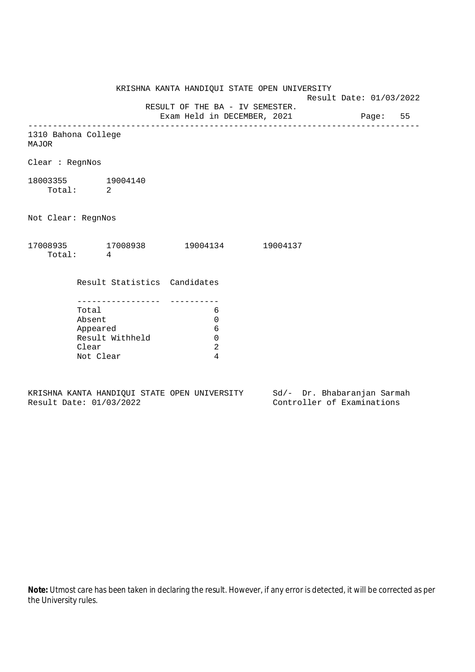KRISHNA KANTA HANDIQUI STATE OPEN UNIVERSITY Result Date: 01/03/2022 RESULT OF THE BA - IV SEMESTER. Exam Held in DECEMBER, 2021 Page: 55 -------------------------------------------------------------------------------- 1310 Bahona College MAJOR Clear : RegnNos 18003355 19004140 Total: 2 Not Clear: RegnNos 17008935 17008938 19004134 19004137 Total: 4 Result Statistics Candidates ----------------- ---------- Total 6 Absent 0 Appeared 6 Result Withheld 0 Clear 2 Not Clear 4

KRISHNA KANTA HANDIQUI STATE OPEN UNIVERSITY Sd/- Dr. Bhabaranjan Sarmah Result Date: 01/03/2022 Controller of Examinations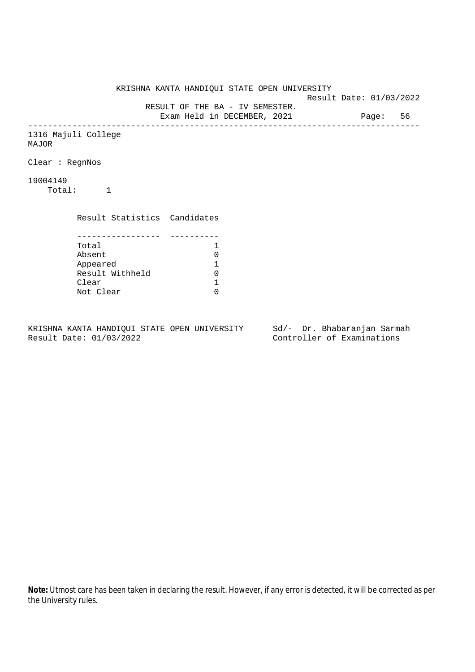KRISHNA KANTA HANDIQUI STATE OPEN UNIVERSITY Result Date: 01/03/2022 RESULT OF THE BA - IV SEMESTER. Exam Held in DECEMBER, 2021 Page: 56 -------------------------------------------------------------------------------- 1316 Majuli College MAJOR Clear : RegnNos 19004149 Total: 1 Result Statistics Candidates ----------------- ---------- Total 1<br>Absent 0 Absent<br>
Appeared 1<br>
Result Withheld 0<br>
Clear 1 Appeared 1 Result Withheld 0 Clear Not Clear 0

KRISHNA KANTA HANDIQUI STATE OPEN UNIVERSITY Sd/- Dr. Bhabaranjan Sarmah Result Date: 01/03/2022 Controller of Examinations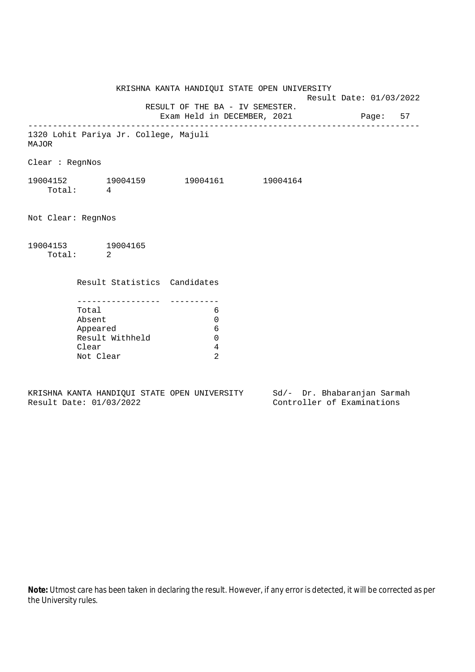KRISHNA KANTA HANDIQUI STATE OPEN UNIVERSITY Result Date: 01/03/2022 RESULT OF THE BA - IV SEMESTER. Exam Held in DECEMBER, 2021 Page: 57 -------------------------------------------------------------------------------- 1320 Lohit Pariya Jr. College, Majuli MAJOR Clear : RegnNos 19004152 19004159 19004161 19004164 Total: 4 Not Clear: RegnNos 19004153 19004165 Total: 2 Result Statistics Candidates ----------------- ---------- Total 6 Absent 0 Appeared 6 Result Withheld 0 Clear 4 Not Clear 2

KRISHNA KANTA HANDIQUI STATE OPEN UNIVERSITY Sd/- Dr. Bhabaranjan Sarmah Result Date: 01/03/2022 Controller of Examinations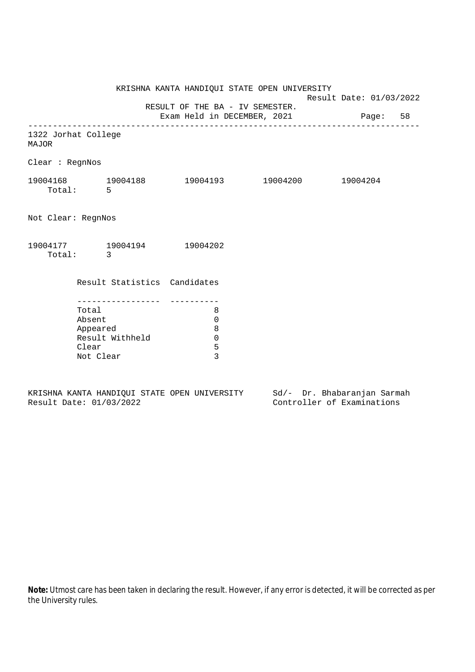KRISHNA KANTA HANDIQUI STATE OPEN UNIVERSITY Result Date: 01/03/2022 RESULT OF THE BA - IV SEMESTER. Exam Held in DECEMBER, 2021 Page: 58 -------------------------------------------------------------------------------- 1322 Jorhat College MAJOR Clear : RegnNos 19004168 19004188 19004193 19004200 19004204 Total: 5 Not Clear: RegnNos 19004177 19004194 19004202 Total: 3 Result Statistics Candidates ----------------- ---------- Total 8 Absent 0 Appeared 8 Result Withheld 0 Clear 5 Not Clear 3

KRISHNA KANTA HANDIQUI STATE OPEN UNIVERSITY Sd/- Dr. Bhabaranjan Sarmah Result Date: 01/03/2022 Controller of Examinations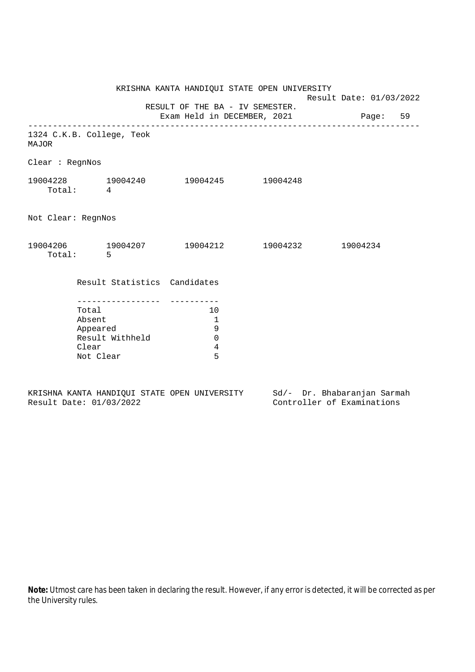|                                                                      |                                                | KRISHNA KANTA HANDIQUI STATE OPEN UNIVERSITY                            | Result Date: 01/03/2022 |  |  |
|----------------------------------------------------------------------|------------------------------------------------|-------------------------------------------------------------------------|-------------------------|--|--|
|                                                                      |                                                | RESULT OF THE BA - IV SEMESTER.<br>Exam Held in DECEMBER, 2021 Page: 59 |                         |  |  |
| MAJOR                                                                | 1324 C.K.B. College, Teok                      |                                                                         |                         |  |  |
| Clear : RegnNos                                                      |                                                |                                                                         |                         |  |  |
| Total: 4                                                             | 19004228 19004240 19004245 19004248            |                                                                         |                         |  |  |
| Not Clear: RegnNos                                                   |                                                |                                                                         |                         |  |  |
| Total: 5                                                             | $19004206$ 19004207 19004212 19004232 19004234 |                                                                         |                         |  |  |
|                                                                      | Result Statistics Candidates                   |                                                                         |                         |  |  |
| Total<br>Absent<br>Appeared<br>Result Withheld<br>Clear<br>Not Clear |                                                | 10<br>$\overline{1}$<br>9<br>$\mathbf 0$<br>4<br>5                      |                         |  |  |

|  |                         |  | KRISHNA KANTA HANDIOUI STATE OPEN UNIVERSITY |  | Sd/- Dr. Bhabaranjan Sarmah |  |
|--|-------------------------|--|----------------------------------------------|--|-----------------------------|--|
|  | Result Date: 01/03/2022 |  |                                              |  | Controller of Examinations  |  |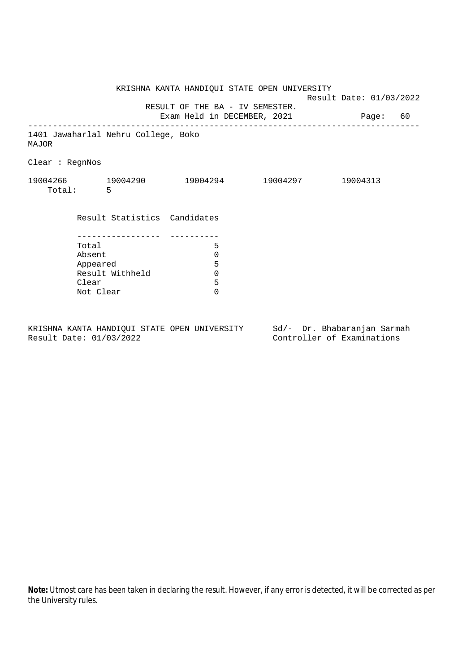|                                      |           |                                     | KRISHNA KANTA HANDIQUI STATE OPEN UNIVERSITY                            | Result Date: 01/03/2022 |  |
|--------------------------------------|-----------|-------------------------------------|-------------------------------------------------------------------------|-------------------------|--|
|                                      |           |                                     | RESULT OF THE BA - IV SEMESTER.<br>Exam Held in DECEMBER, 2021 Page: 60 |                         |  |
| MAJOR                                |           | 1401 Jawaharlal Nehru College, Boko |                                                                         |                         |  |
| Clear : RegnNos                      |           |                                     |                                                                         |                         |  |
|                                      | Total: 5  |                                     | $19004266$ $19004290$ $19004294$ $19004297$                             | 19004313                |  |
|                                      |           | Result Statistics Candidates        |                                                                         |                         |  |
|                                      |           |                                     |                                                                         |                         |  |
|                                      | Total     |                                     | 5                                                                       |                         |  |
|                                      | Absent    |                                     | $\mathbf 0$                                                             |                         |  |
| Appeared<br>Result Withheld<br>Clear |           | 5                                   |                                                                         |                         |  |
|                                      |           | $\mathbf 0$                         |                                                                         |                         |  |
|                                      |           |                                     | 5                                                                       |                         |  |
|                                      | Not Clear |                                     | $\Omega$                                                                |                         |  |
|                                      |           |                                     |                                                                         |                         |  |
|                                      |           |                                     |                                                                         |                         |  |

KRISHNA KANTA HANDIQUI STATE OPEN UNIVERSITY Sd/- Dr. Bhabaranjan Sarmah<br>Result Date: 01/03/2022 Controller of Examinations

Controller of Examinations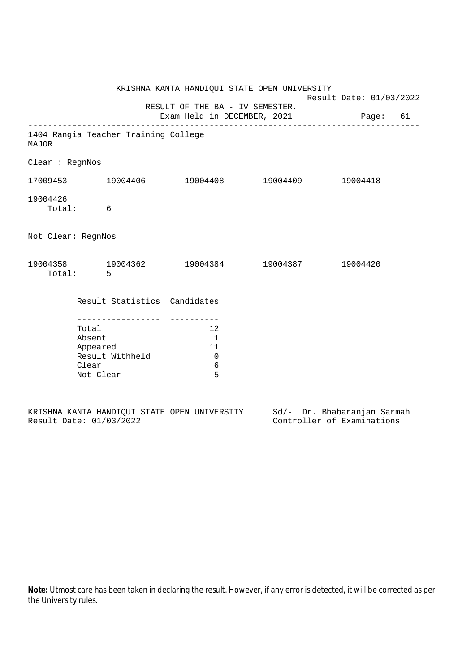|                                                                                            |                                                                                                        | KRISHNA KANTA HANDIQUI STATE OPEN UNIVERSITY                            |  | Result Date: 01/03/2022 |  |  |
|--------------------------------------------------------------------------------------------|--------------------------------------------------------------------------------------------------------|-------------------------------------------------------------------------|--|-------------------------|--|--|
|                                                                                            |                                                                                                        | RESULT OF THE BA - IV SEMESTER.<br>Exam Held in DECEMBER, 2021 Page: 61 |  |                         |  |  |
| MAJOR                                                                                      | 1404 Rangia Teacher Training College                                                                   |                                                                         |  |                         |  |  |
| Clear : RegnNos                                                                            |                                                                                                        |                                                                         |  |                         |  |  |
|                                                                                            |                                                                                                        |                                                                         |  |                         |  |  |
| 19004426<br>Total: 6                                                                       |                                                                                                        |                                                                         |  |                         |  |  |
| Not Clear: RegnNos                                                                         |                                                                                                        |                                                                         |  |                         |  |  |
| Total: 5                                                                                   | $19004358 \qquad \qquad 19004362 \qquad \qquad 19004384 \qquad \qquad 19004387 \qquad \qquad 19004420$ |                                                                         |  |                         |  |  |
|                                                                                            | Result Statistics Candidates                                                                           |                                                                         |  |                         |  |  |
| ------------------<br>Total<br>Absent<br>Appeared<br>Result Withheld<br>Clear<br>Not Clear |                                                                                                        | 12<br>$\sim$ 1<br>- 11<br>$\mathbf 0$<br>$\epsilon$<br>5                |  |                         |  |  |

|  |                         |  | KRISHNA KANTA HANDIOUI STATE OPEN UNIVERSITY |  | Sd/- Dr. Bhabaranjan Sarmah |  |
|--|-------------------------|--|----------------------------------------------|--|-----------------------------|--|
|  | Result Date: 01/03/2022 |  |                                              |  | Controller of Examinations  |  |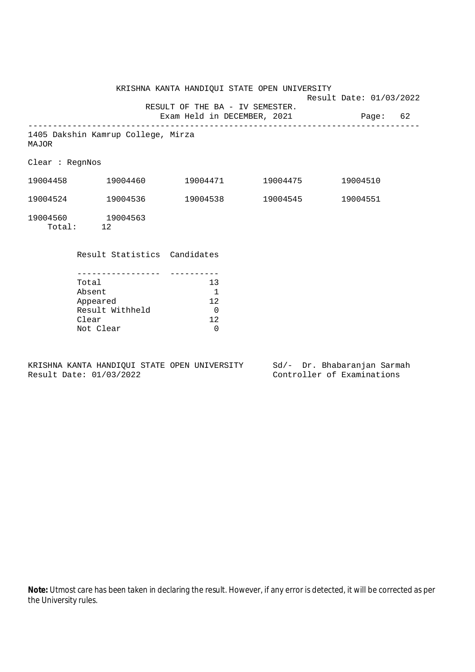|                 |                                             |                                 | KRISHNA KANTA HANDIQUI STATE OPEN UNIVERSITY |                         |  |
|-----------------|---------------------------------------------|---------------------------------|----------------------------------------------|-------------------------|--|
|                 |                                             | RESULT OF THE BA - IV SEMESTER. | Exam Held in DECEMBER, 2021 Page: 62         | Result Date: 01/03/2022 |  |
| MAJOR           | 1405 Dakshin Kamrup College, Mirza          |                                 |                                              |                         |  |
| Clear : RegnNos |                                             |                                 |                                              |                         |  |
|                 | 19004458 19004460                           |                                 |                                              | 19004510                |  |
|                 | $19004524$ $19004536$ $19004538$ $19004545$ |                                 |                                              | 19004551                |  |
|                 | 19004560 19004563<br>Total: 12              |                                 |                                              |                         |  |
|                 | Result Statistics Candidates                |                                 |                                              |                         |  |
| Total<br>Absent |                                             | 13<br>$\mathbf{1}$              |                                              |                         |  |
|                 | Appeared<br>Result Withheld<br>Clear        | 12<br>$\overline{0}$<br>12      |                                              |                         |  |

KRISHNA KANTA HANDIQUI STATE OPEN UNIVERSITY Sd/- Dr. Bhabaranjan Sarmah<br>Result Date: 01/03/2022 Controller of Examinations

Clear 12 Not Clear 0

Controller of Examinations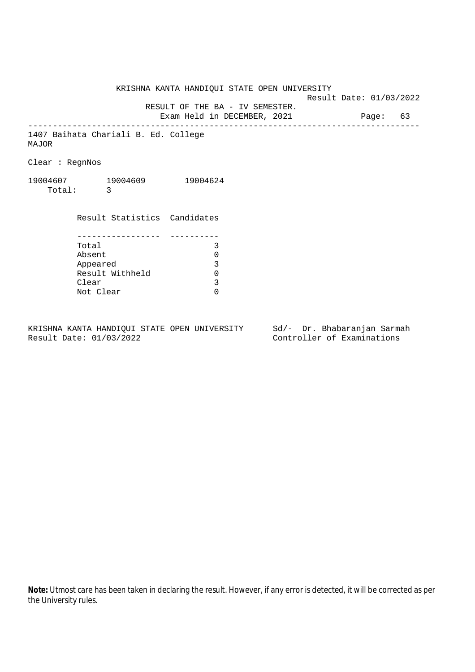KRISHNA KANTA HANDIQUI STATE OPEN UNIVERSITY Result Date: 01/03/2022 RESULT OF THE BA - IV SEMESTER. Exam Held in DECEMBER, 2021 Page: 63 -------------------------------------------------------------------------------- 1407 Baihata Chariali B. Ed. College

MAJOR

Clear : RegnNos

19004607 19004609 19004624 Total: 3

> Result Statistics Candidates ----------------- ---------- Total 3 Absent 0<br>
> Appeared 3<br>
> Result Withheld 0 Appeared Result Withheld 0<br>Clear 3 Clear Not Clear 0

KRISHNA KANTA HANDIQUI STATE OPEN UNIVERSITY Sd/- Dr. Bhabaranjan Sarmah Result Date: 01/03/2022 Controller of Examinations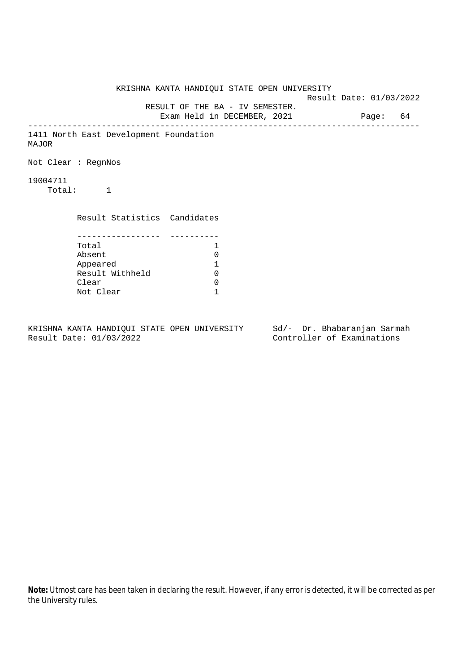KRISHNA KANTA HANDIQUI STATE OPEN UNIVERSITY Result Date: 01/03/2022 RESULT OF THE BA - IV SEMESTER. Exam Held in DECEMBER, 2021 Page: 64 -------------------------------------------------------------------------------- 1411 North East Development Foundation MAJOR Not Clear : RegnNos 19004711 Total: 1 Result Statistics Candidates ----------------- ---------- Total 1 Absent 0<br>
Appeared 1<br>
Result Withheld 0 Appeared 1 Result Withheld Clear 0 Not Clear 1

KRISHNA KANTA HANDIQUI STATE OPEN UNIVERSITY Sd/- Dr. Bhabaranjan Sarmah Result Date: 01/03/2022 Controller of Examinations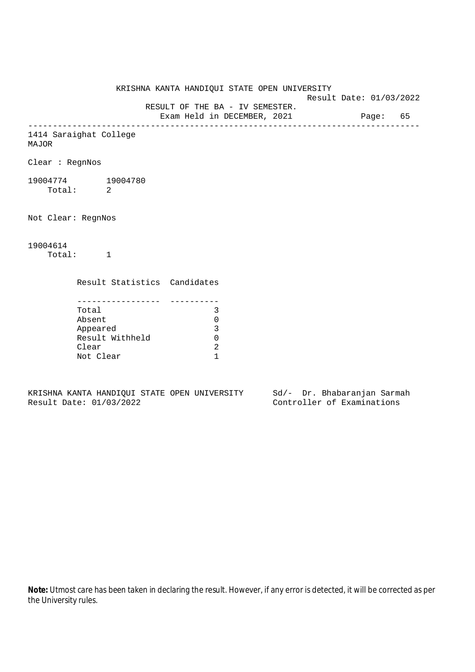KRISHNA KANTA HANDIQUI STATE OPEN UNIVERSITY Result Date: 01/03/2022 RESULT OF THE BA - IV SEMESTER. Exam Held in DECEMBER, 2021 Page: 65 -------------------------------------------------------------------------------- 1414 Saraighat College MAJOR Clear : RegnNos 19004774 19004780 Total: 2 Not Clear: RegnNos 19004614 Total: 1 Result Statistics Candidates ----------------- ---------- Total 3 Absent 0 Appeared 3 Result Withheld 0

KRISHNA KANTA HANDIQUI STATE OPEN UNIVERSITY Sd/- Dr. Bhabaranjan Sarmah Result Date: 01/03/2022 Controller of Examinations

Clear 2 Not Clear 1

the University rules.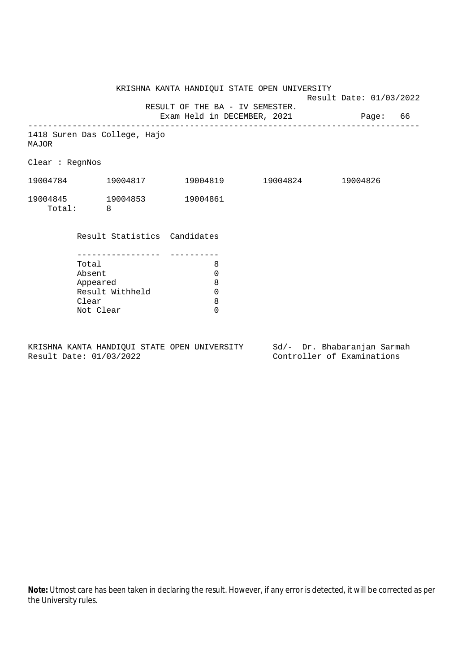KRISHNA KANTA HANDIQUI STATE OPEN UNIVERSITY Result Date: 01/03/2022 RESULT OF THE BA - IV SEMESTER. Exam Held in DECEMBER, 2021 Page: 66 -------------------------------------------------------------------------------- 1418 Suren Das College, Hajo MAJOR Clear : RegnNos 19004784 19004817 19004819 19004824 19004826 19004845 19004853 19004861 Total: 8 Result Statistics Candidates ----------------- ---------- Total 8 Absent 0 Appeared 8 Result Withheld 0<br>Clear 8 Clear 8<br>Not Clear 6 Not Clear

KRISHNA KANTA HANDIQUI STATE OPEN UNIVERSITY Sd/- Dr. Bhabaranjan Sarmah Result Date: 01/03/2022 Controller of Examinations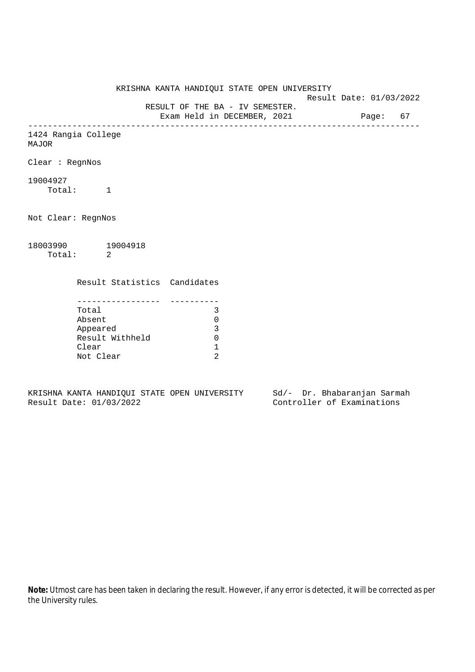KRISHNA KANTA HANDIQUI STATE OPEN UNIVERSITY Result Date: 01/03/2022 RESULT OF THE BA - IV SEMESTER. Exam Held in DECEMBER, 2021 Page: 67 -------------------------------------------------------------------------------- 1424 Rangia College MAJOR Clear : RegnNos 19004927 Total: 1 Not Clear: RegnNos 18003990 19004918 Total: 2 Result Statistics Candidates ----------------- ---------- Total 3 Absent 0 Appeared 3 Result Withheld 0 Clear 1 Not Clear 2

KRISHNA KANTA HANDIQUI STATE OPEN UNIVERSITY Sd/- Dr. Bhabaranjan Sarmah Result Date: 01/03/2022 Controller of Examinations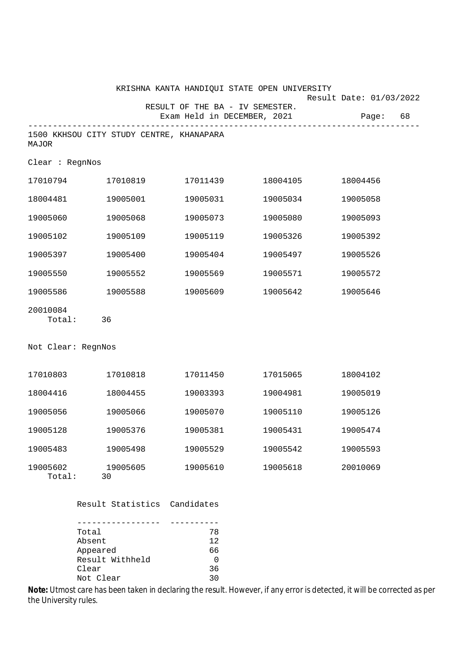|                    |                                          |            | KRISHNA KANTA HANDIQUI STATE OPEN UNIVERSITY                   | Result Date: 01/03/2022 |  |
|--------------------|------------------------------------------|------------|----------------------------------------------------------------|-------------------------|--|
|                    |                                          |            | RESULT OF THE BA - IV SEMESTER.<br>Exam Held in DECEMBER, 2021 | 68<br>Page:             |  |
| MAJOR              | 1500 KKHSOU CITY STUDY CENTRE, KHANAPARA |            |                                                                |                         |  |
| Clear : RegnNos    |                                          |            |                                                                |                         |  |
| 17010794           | 17010819                                 | 17011439   | 18004105                                                       | 18004456                |  |
| 18004481           | 19005001                                 | 19005031   | 19005034                                                       | 19005058                |  |
| 19005060           | 19005068                                 | 19005073   | 19005080                                                       | 19005093                |  |
| 19005102           | 19005109                                 | 19005119   | 19005326                                                       | 19005392                |  |
| 19005397           | 19005400                                 | 19005404   | 19005497                                                       | 19005526                |  |
| 19005550           | 19005552                                 | 19005569   | 19005571                                                       | 19005572                |  |
| 19005586           | 19005588                                 | 19005609   | 19005642                                                       | 19005646                |  |
| 20010084<br>Total: | 36                                       |            |                                                                |                         |  |
| Not Clear: RegnNos |                                          |            |                                                                |                         |  |
| 17010803           | 17010818                                 | 17011450   | 17015065                                                       | 18004102                |  |
| 18004416           | 18004455                                 | 19003393   | 19004981                                                       | 19005019                |  |
| 19005056           | 19005066                                 | 19005070   | 19005110                                                       | 19005126                |  |
| 19005128           | 19005376                                 | 19005381   | 19005431                                                       | 19005474                |  |
| 19005483           | 19005498                                 | 19005529   | 19005542                                                       | 19005593                |  |
| 19005602<br>Total: | 19005605<br>30                           | 19005610   | 19005618                                                       | 20010069                |  |
|                    | Result Statistics                        | Candidates |                                                                |                         |  |
|                    |                                          |            |                                                                |                         |  |

| Total           | 78 |
|-----------------|----|
| Absent          | 12 |
| Appeared        | 66 |
| Result Withheld |    |
| Clear           | 36 |
| Not Clear       | っい |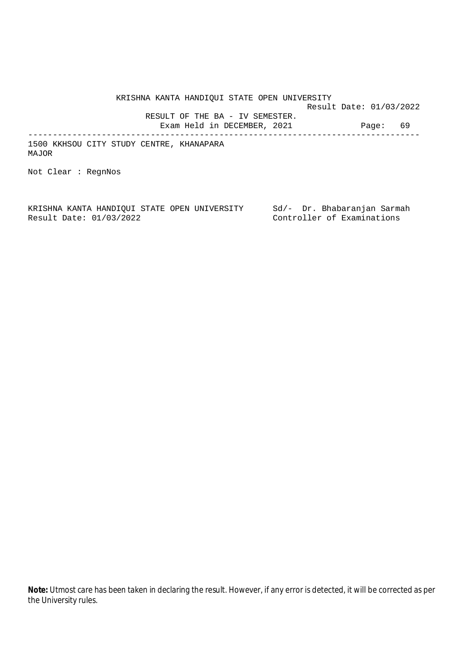KRISHNA KANTA HANDIQUI STATE OPEN UNIVERSITY Result Date: 01/03/2022

 RESULT OF THE BA - IV SEMESTER. Exam Held in DECEMBER, 2021 Page: 69

--------------------------------------------------------------------------------

1500 KKHSOU CITY STUDY CENTRE, KHANAPARA MAJOR

Not Clear : RegnNos

KRISHNA KANTA HANDIQUI STATE OPEN UNIVERSITY Sd/- Dr. Bhabaranjan Sarmah<br>Result Date: 01/03/2022 Controller of Examinations Controller of Examinations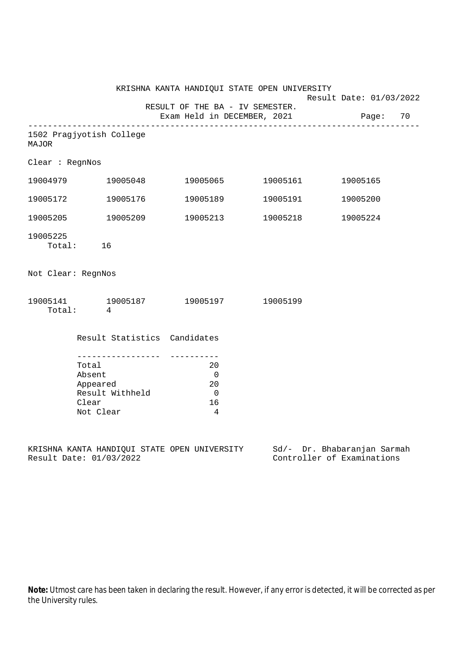|                                                                      |           | KRISHNA KANTA HANDIQUI STATE OPEN UNIVERSITY                         |  |                                                                         | Result Date: 01/03/2022 |          |  |
|----------------------------------------------------------------------|-----------|----------------------------------------------------------------------|--|-------------------------------------------------------------------------|-------------------------|----------|--|
|                                                                      |           |                                                                      |  | RESULT OF THE BA - IV SEMESTER.<br>Exam Held in DECEMBER, 2021 Page: 70 |                         |          |  |
| 1502 Pragjyotish College<br><b>MAJOR</b>                             |           |                                                                      |  |                                                                         |                         |          |  |
| Clear : RegnNos                                                      |           |                                                                      |  |                                                                         |                         |          |  |
|                                                                      |           | 19004979 19005048 19005065 19005161                                  |  |                                                                         |                         | 19005165 |  |
|                                                                      |           | 19005172 19005176                                                    |  |                                                                         |                         | 19005200 |  |
|                                                                      |           | 19005205 19005209                                                    |  | 19005213 19005218                                                       |                         | 19005224 |  |
| 19005225                                                             | Total: 16 |                                                                      |  |                                                                         |                         |          |  |
| Not Clear: RegnNos                                                   |           |                                                                      |  |                                                                         |                         |          |  |
|                                                                      | Total: 4  | 19005141 19005187 19005197 19005199                                  |  |                                                                         |                         |          |  |
|                                                                      |           | Result Statistics Candidates                                         |  |                                                                         |                         |          |  |
| Total<br>Absent<br>Appeared<br>Result Withheld<br>Clear<br>Not Clear |           | 20<br>$\overline{0}$<br>20<br>$\overline{0}$<br>16<br>$\overline{4}$ |  |                                                                         |                         |          |  |
|                                                                      |           |                                                                      |  |                                                                         | $-1$ $-1$               |          |  |

KRISHNA KANTA HANDIQUI STATE OPEN UNIVERSITY Sd/- Dr. Bhabaranjan Sarmah Result Date: 01/03/2022 Controller of Examinations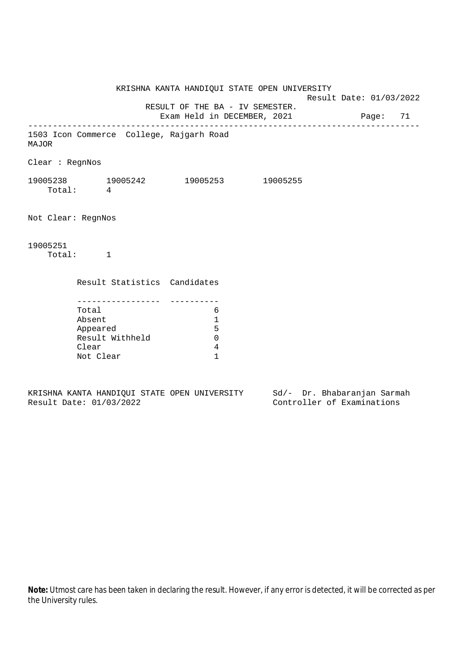KRISHNA KANTA HANDIQUI STATE OPEN UNIVERSITY Result Date: 01/03/2022 RESULT OF THE BA - IV SEMESTER. Exam Held in DECEMBER, 2021 Page: 71 -------------------------------------------------------------------------------- 1503 Icon Commerce College, Rajgarh Road MAJOR Clear : RegnNos 19005238 19005242 19005253 19005255 Total: 4 Not Clear: RegnNos 19005251 Total: 1 Result Statistics Candidates ----------------- ---------- Total 6 Absent 1 Appeared 5 Result Withheld 0 Clear 4 Not Clear 1

KRISHNA KANTA HANDIQUI STATE OPEN UNIVERSITY Sd/- Dr. Bhabaranjan Sarmah Result Date: 01/03/2022 Controller of Examinations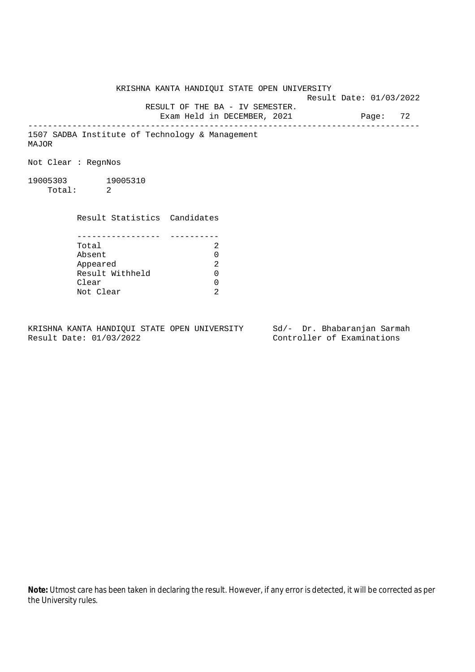KRISHNA KANTA HANDIQUI STATE OPEN UNIVERSITY Result Date: 01/03/2022 RESULT OF THE BA - IV SEMESTER. Exam Held in DECEMBER, 2021 Page: 72 -------------------------------------------------------------------------------- 1507 SADBA Institute of Technology & Management MAJOR Not Clear : RegnNos 19005303 19005310 Total: 2 Result Statistics Candidates ----------------- ---------- Total 2 Absent 0<br>
Appeared 2<br>
Result Withheld 0 Appeared Result Withheld 0 Clear 0 Not Clear 2

KRISHNA KANTA HANDIQUI STATE OPEN UNIVERSITY Sd/- Dr. Bhabaranjan Sarmah Result Date: 01/03/2022 Controller of Examinations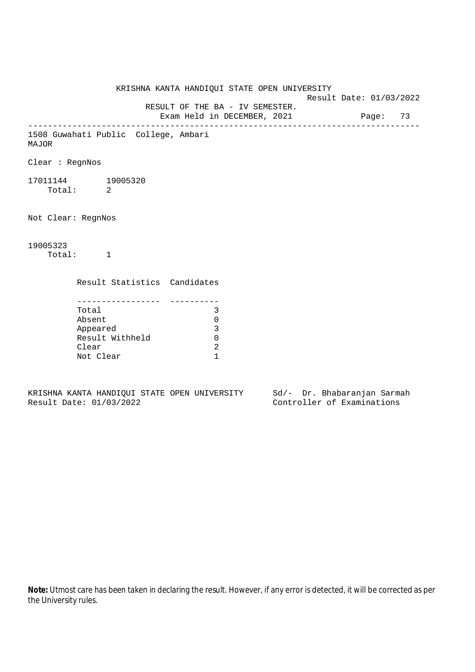KRISHNA KANTA HANDIQUI STATE OPEN UNIVERSITY Result Date: 01/03/2022 RESULT OF THE BA - IV SEMESTER. Exam Held in DECEMBER, 2021 Page: 73 -------------------------------------------------------------------------------- 1508 Guwahati Public College, Ambari MAJOR Clear : RegnNos 17011144 19005320 Total: 2 Not Clear: RegnNos 19005323 Total: 1 Result Statistics Candidates ----------------- ---------- Total 3 Absent 0 Appeared 3 Result Withheld 0 Clear 2 Not Clear 1

KRISHNA KANTA HANDIQUI STATE OPEN UNIVERSITY Sd/- Dr. Bhabaranjan Sarmah Result Date: 01/03/2022 Controller of Examinations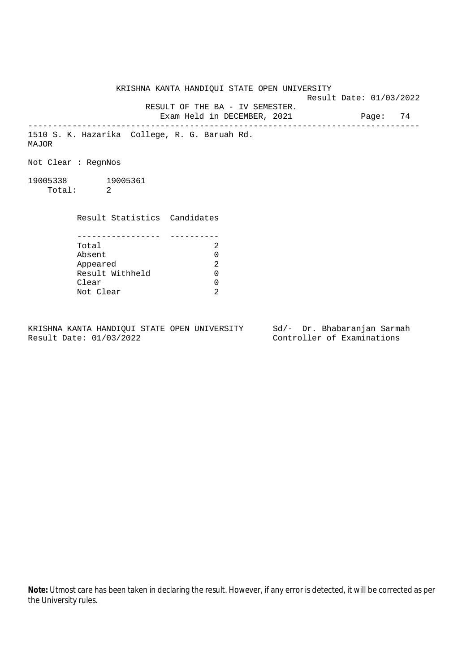KRISHNA KANTA HANDIQUI STATE OPEN UNIVERSITY Result Date: 01/03/2022 RESULT OF THE BA - IV SEMESTER. Exam Held in DECEMBER, 2021 Page: 74 -------------------------------------------------------------------------------- 1510 S. K. Hazarika College, R. G. Baruah Rd. MAJOR Not Clear : RegnNos 19005338 19005361 Total: 2 Result Statistics Candidates ----------------- ---------- Total 2 Absent 0<br>
Appeared 2<br>
Result Withheld 0 Appeared Result Withheld 0 Clear 0 Not Clear 2

KRISHNA KANTA HANDIQUI STATE OPEN UNIVERSITY Sd/- Dr. Bhabaranjan Sarmah Result Date: 01/03/2022 Controller of Examinations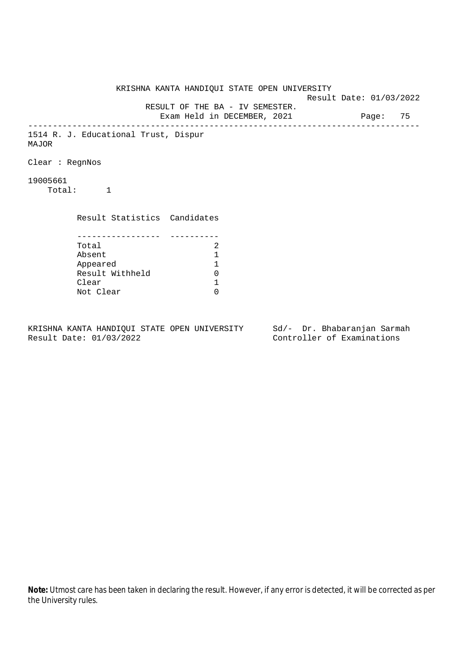KRISHNA KANTA HANDIQUI STATE OPEN UNIVERSITY Result Date: 01/03/2022 RESULT OF THE BA - IV SEMESTER. Exam Held in DECEMBER, 2021 Page: 75 -------------------------------------------------------------------------------- 1514 R. J. Educational Trust, Dispur MAJOR Clear : RegnNos 19005661 Total: 1 Result Statistics Candidates ----------------- ---------- Total 2<br>Absent 1 Absent<br>
Appeared 1<br>
Result Withheld 0<br>
Clear 1 Appeared 1 Result Withheld Clear Not Clear 0

KRISHNA KANTA HANDIQUI STATE OPEN UNIVERSITY Sd/- Dr. Bhabaranjan Sarmah Result Date: 01/03/2022 Controller of Examinations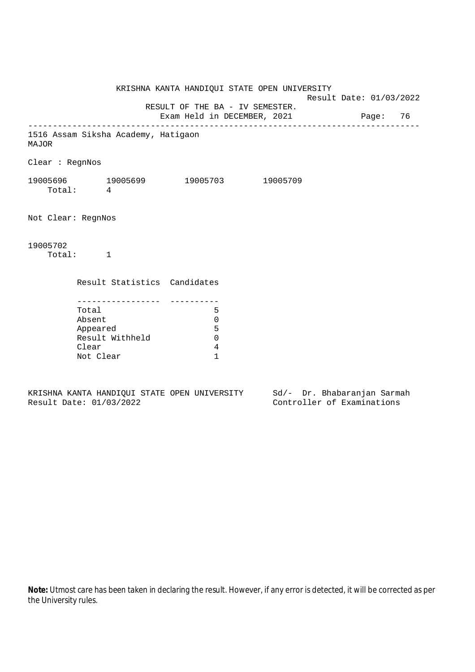KRISHNA KANTA HANDIQUI STATE OPEN UNIVERSITY Result Date: 01/03/2022 RESULT OF THE BA - IV SEMESTER. Exam Held in DECEMBER, 2021 Page: 76 -------------------------------------------------------------------------------- 1516 Assam Siksha Academy, Hatigaon MAJOR Clear : RegnNos 19005696 19005699 19005703 19005709 Total: 4 Not Clear: RegnNos 19005702 Total: 1 Result Statistics Candidates ----------------- ---------- Total 5 Absent 0 Appeared 5 Result Withheld 0 Clear 4 Not Clear 1

KRISHNA KANTA HANDIQUI STATE OPEN UNIVERSITY Sd/- Dr. Bhabaranjan Sarmah Result Date: 01/03/2022 Controller of Examinations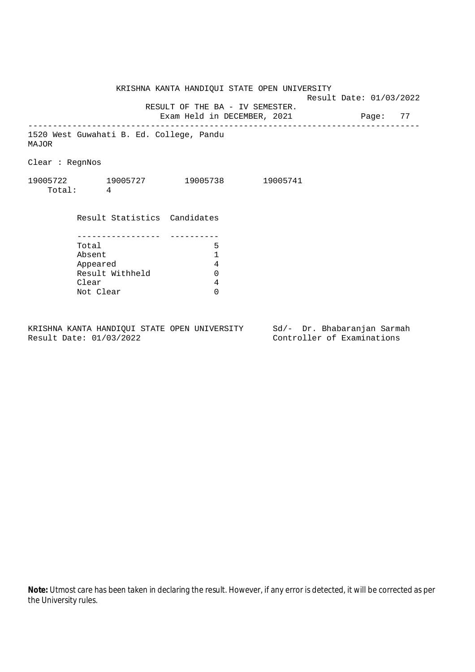|                 |                                          | KRISHNA KANTA HANDIQUI STATE OPEN UNIVERSITY                            |                                   | Result Date: 01/03/2022 |  |  |
|-----------------|------------------------------------------|-------------------------------------------------------------------------|-----------------------------------|-------------------------|--|--|
|                 |                                          | RESULT OF THE BA - IV SEMESTER.<br>Exam Held in DECEMBER, 2021 Page: 77 | _________________________________ |                         |  |  |
| MAJOR           | 1520 West Guwahati B. Ed. College, Pandu |                                                                         |                                   |                         |  |  |
| Clear : RegnNos |                                          |                                                                         |                                   |                         |  |  |
|                 | 19005722 19005727<br>Total: 4            | 19005738 19005741                                                       |                                   |                         |  |  |
|                 | Result Statistics Candidates             |                                                                         |                                   |                         |  |  |
|                 |                                          |                                                                         |                                   |                         |  |  |
|                 | Total                                    | 5                                                                       |                                   |                         |  |  |
|                 | Absent                                   | 1                                                                       |                                   |                         |  |  |
|                 | Appeared                                 | 4                                                                       |                                   |                         |  |  |
|                 | Result Withheld                          | $\Omega$                                                                |                                   |                         |  |  |
|                 | Clear                                    | 4                                                                       |                                   |                         |  |  |
|                 | Not Clear                                | $\Omega$                                                                |                                   |                         |  |  |

KRISHNA KANTA HANDIQUI STATE OPEN UNIVERSITY Sd/- Dr. Bhabaranjan Sarmah<br>Result Date: 01/03/2022 Controller of Examinations

Result Date: 01/03/2022 Controller of Examinations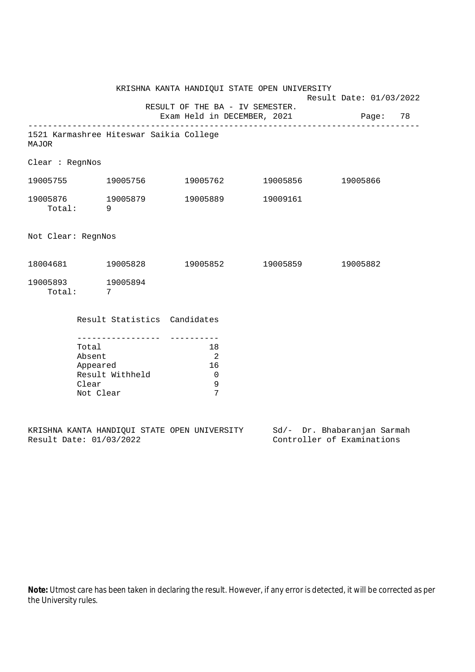|                                                                                             |                                                   |                                    | KRISHNA KANTA HANDIQUI STATE OPEN UNIVERSITY                            |  | Result Date: 01/03/2022 |          |  |
|---------------------------------------------------------------------------------------------|---------------------------------------------------|------------------------------------|-------------------------------------------------------------------------|--|-------------------------|----------|--|
|                                                                                             |                                                   |                                    | RESULT OF THE BA - IV SEMESTER.<br>Exam Held in DECEMBER, 2021 Page: 78 |  |                         |          |  |
| 1521 Karmashree Hiteswar Saikia College<br>MAJOR                                            |                                                   |                                    |                                                                         |  |                         |          |  |
| Clear : RegnNos                                                                             |                                                   |                                    |                                                                         |  |                         |          |  |
| 19005755 19005756 19005762 19005856 19005866                                                |                                                   |                                    |                                                                         |  |                         |          |  |
| $19005876 \qquad \qquad 19005879 \qquad \qquad 19005889 \qquad \qquad 19009161$<br>Total: 9 |                                                   |                                    |                                                                         |  |                         |          |  |
| Not Clear: RegnNos                                                                          |                                                   |                                    |                                                                         |  |                         |          |  |
| 18004681 19005828 19005852 19005859                                                         |                                                   |                                    |                                                                         |  |                         | 19005882 |  |
| 19005893 19005894<br>Total: 7                                                               |                                                   |                                    |                                                                         |  |                         |          |  |
|                                                                                             |                                                   | Result Statistics Candidates       |                                                                         |  |                         |          |  |
|                                                                                             | Total<br>Absent<br>Appeared<br>Clear<br>Not Clear | ---------------<br>Result Withheld | 18<br>$\overline{\phantom{0}}^2$<br>16<br>$\overline{0}$<br>9<br>7      |  |                         |          |  |

|  |                         |  | KRISHNA KANTA HANDIOUI STATE OPEN UNIVERSITY |  | Sd/- Dr. Bhabaranjan Sarmah |  |
|--|-------------------------|--|----------------------------------------------|--|-----------------------------|--|
|  | Result Date: 01/03/2022 |  |                                              |  | Controller of Examinations  |  |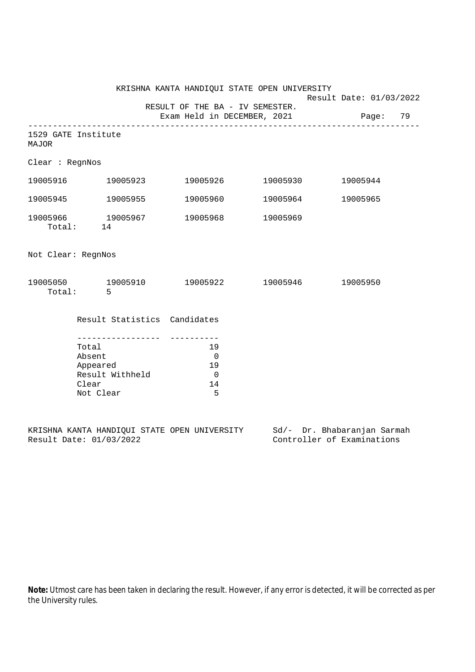|                              |                                                   |                                                    | KRISHNA KANTA HANDIQUI STATE OPEN UNIVERSITY                            | Result Date: 01/03/2022 |          |  |
|------------------------------|---------------------------------------------------|----------------------------------------------------|-------------------------------------------------------------------------|-------------------------|----------|--|
|                              |                                                   |                                                    | RESULT OF THE BA - IV SEMESTER.<br>Exam Held in DECEMBER, 2021 Page: 79 |                         |          |  |
| 1529 GATE Institute<br>MAJOR |                                                   |                                                    |                                                                         |                         |          |  |
| Clear : RegnNos              |                                                   |                                                    |                                                                         |                         |          |  |
|                              |                                                   |                                                    | 19005916 19005923 19005926 19005930                                     |                         | 19005944 |  |
| 19005945 19005955            |                                                   |                                                    |                                                                         | 19005960 19005964       | 19005965 |  |
|                              | Total: 14                                         | 19005966 19005967                                  |                                                                         | 19005968 19005969       |          |  |
| Not Clear: RegnNos           |                                                   |                                                    |                                                                         |                         |          |  |
|                              | Total: 5                                          |                                                    | 19005050 19005910 19005922 19005946                                     |                         | 19005950 |  |
|                              |                                                   | Result Statistics Candidates                       |                                                                         |                         |          |  |
|                              | Total<br>Absent<br>Appeared<br>Clear<br>Not Clear | - - - - - - - - - - - - - - - -<br>Result Withheld | 19<br>$\overline{0}$<br>19<br>$\overline{0}$<br>14<br>5                 |                         |          |  |

|  |                         |  | KRISHNA KANTA HANDIOUI STATE OPEN UNIVERSITY |  | Sd/- Dr. Bhabaranjan Sarmah |  |
|--|-------------------------|--|----------------------------------------------|--|-----------------------------|--|
|  | Result Date: 01/03/2022 |  |                                              |  | Controller of Examinations  |  |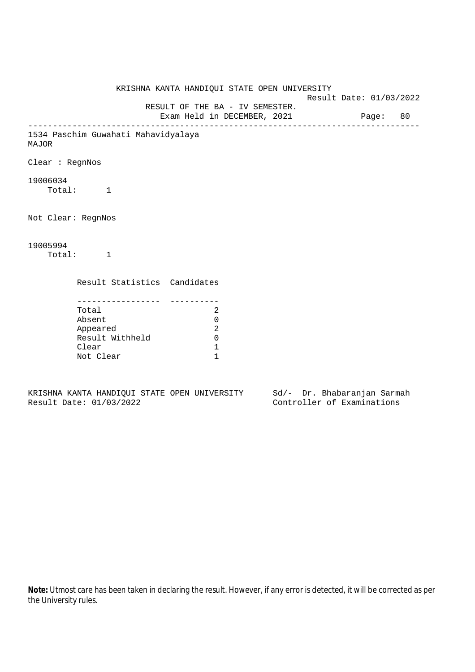KRISHNA KANTA HANDIQUI STATE OPEN UNIVERSITY Result Date: 01/03/2022 RESULT OF THE BA - IV SEMESTER. Exam Held in DECEMBER, 2021 Page: 80 -------------------------------------------------------------------------------- 1534 Paschim Guwahati Mahavidyalaya MAJOR Clear : RegnNos 19006034 Total: 1 Not Clear: RegnNos 19005994 Total: 1 Result Statistics Candidates ----------------- ---------- Total 2 Absent 0 Appeared 2 Result Withheld 0 Clear 1 Not Clear 1

KRISHNA KANTA HANDIQUI STATE OPEN UNIVERSITY Sd/- Dr. Bhabaranjan Sarmah Result Date: 01/03/2022 Controller of Examinations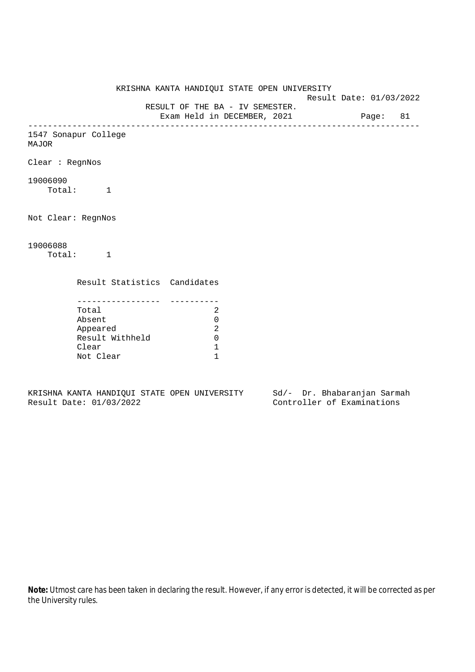KRISHNA KANTA HANDIQUI STATE OPEN UNIVERSITY Result Date: 01/03/2022 RESULT OF THE BA - IV SEMESTER. Exam Held in DECEMBER, 2021 Page: 81 -------------------------------------------------------------------------------- 1547 Sonapur College MAJOR Clear : RegnNos 19006090 Total: 1 Not Clear: RegnNos 19006088 Total: 1 Result Statistics Candidates ----------------- ---------- Total 2 Absent 0 Appeared 2

Result Withheld 0 Clear 1 Not Clear 1

KRISHNA KANTA HANDIQUI STATE OPEN UNIVERSITY Sd/- Dr. Bhabaranjan Sarmah Result Date: 01/03/2022 Controller of Examinations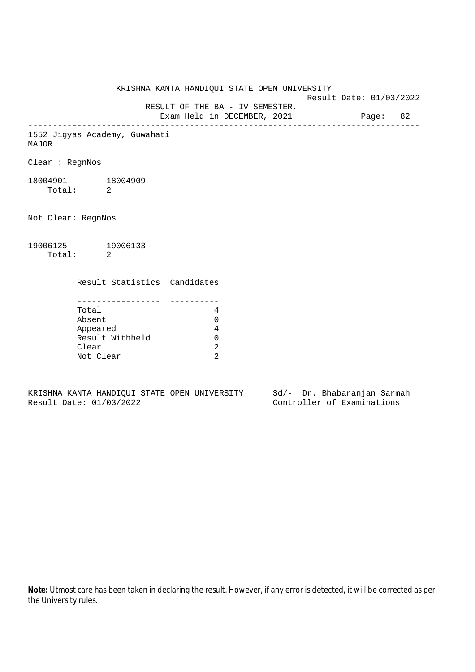KRISHNA KANTA HANDIQUI STATE OPEN UNIVERSITY Result Date: 01/03/2022 RESULT OF THE BA - IV SEMESTER. Exam Held in DECEMBER, 2021 Page: 82 -------------------------------------------------------------------------------- 1552 Jigyas Academy, Guwahati MAJOR Clear : RegnNos 18004901 18004909 Total: 2 Not Clear: RegnNos 19006125 19006133 Total: 2 Result Statistics Candidates ----------------- ---------- Total 4 Absent 0 Appeared 4 Result Withheld 0 Clear 2 Not Clear 2

KRISHNA KANTA HANDIQUI STATE OPEN UNIVERSITY Sd/- Dr. Bhabaranjan Sarmah Result Date: 01/03/2022 Controller of Examinations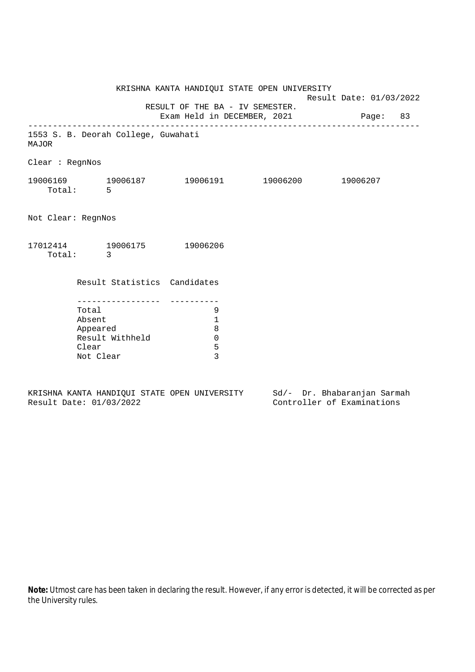|                    |                                      | KRISHNA KANTA HANDIQUI STATE OPEN UNIVERSITY |  | Result Date: 01/03/2022 |  |  |
|--------------------|--------------------------------------|----------------------------------------------|--|-------------------------|--|--|
|                    | Exam Held in DECEMBER, 2021 Page: 83 |                                              |  |                         |  |  |
| MAJOR              | 1553 S. B. Deorah College, Guwahati  |                                              |  |                         |  |  |
| Clear : RegnNos    |                                      |                                              |  |                         |  |  |
|                    | Total: 5                             | 19006169 19006187 19006191 19006200 19006207 |  |                         |  |  |
| Not Clear: RegnNos |                                      |                                              |  |                         |  |  |
|                    | Total: 3                             | 17012414 19006175 19006206                   |  |                         |  |  |
|                    | Result Statistics Candidates         |                                              |  |                         |  |  |
|                    | Total<br>Absent                      | -----------------      ---------<br>9<br>1   |  |                         |  |  |
|                    | Appeared                             | 8                                            |  |                         |  |  |
|                    | Result Withheld                      | $\overline{0}$                               |  |                         |  |  |
|                    | Clear<br>Not Clear                   | 5<br>$\overline{3}$                          |  |                         |  |  |
|                    |                                      |                                              |  |                         |  |  |

KRISHNA KANTA HANDIQUI STATE OPEN UNIVERSITY<br>Result Date: 01/03/2022 Sd/- Dr. Bhabaranjan Sarmah<br>Controller of Examinations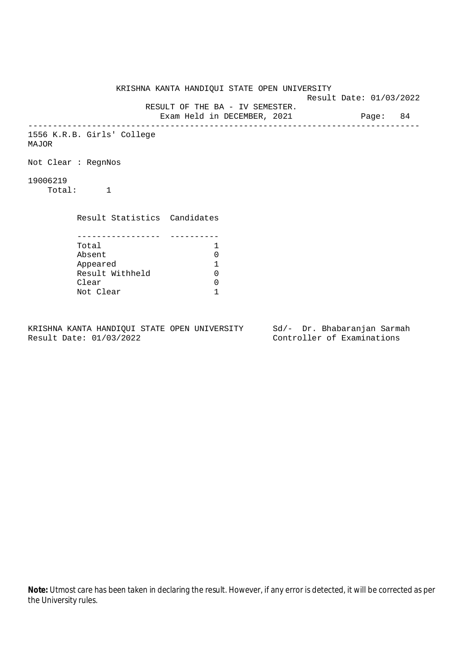|          |                              | KRISHNA KANTA HANDIQUI STATE OPEN UNIVERSITY                            |  | Result Date: 01/03/2022 |  |  |
|----------|------------------------------|-------------------------------------------------------------------------|--|-------------------------|--|--|
|          |                              | RESULT OF THE BA - IV SEMESTER.<br>Exam Held in DECEMBER, 2021 Page: 84 |  |                         |  |  |
| MAJOR    | 1556 K.R.B. Girls' College   |                                                                         |  |                         |  |  |
|          | Not Clear: RegnNos           |                                                                         |  |                         |  |  |
| 19006219 | Total: 1                     |                                                                         |  |                         |  |  |
|          | Result Statistics Candidates |                                                                         |  |                         |  |  |
|          | Total                        | $\mathbf{1}$                                                            |  |                         |  |  |
|          | Absent                       | 0                                                                       |  |                         |  |  |
|          | Appeared                     | 1                                                                       |  |                         |  |  |
|          | Result Withheld              | $\Omega$                                                                |  |                         |  |  |
|          | Clear                        | 0                                                                       |  |                         |  |  |
|          | Not Clear                    | 1                                                                       |  |                         |  |  |
|          |                              |                                                                         |  |                         |  |  |

KRISHNA KANTA HANDIQUI STATE OPEN UNIVERSITY Sd/- Dr. Bhabaranjan Sarmah<br>Result Date: 01/03/2022 Controller of Examinations

Controller of Examinations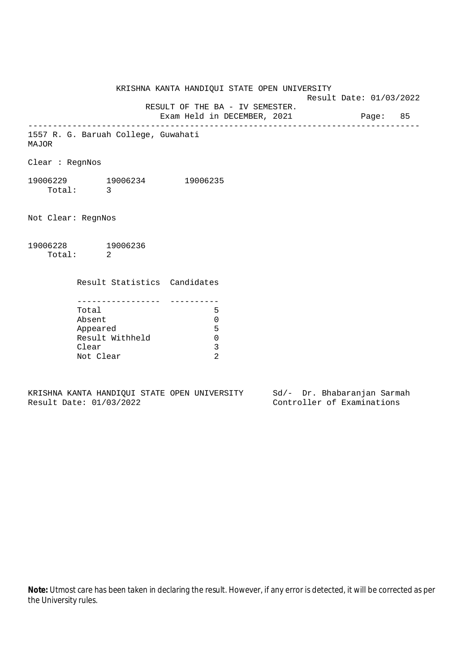KRISHNA KANTA HANDIQUI STATE OPEN UNIVERSITY Result Date: 01/03/2022 RESULT OF THE BA - IV SEMESTER. Exam Held in DECEMBER, 2021 Page: 85 -------------------------------------------------------------------------------- 1557 R. G. Baruah College, Guwahati MAJOR Clear : RegnNos 19006229 19006234 19006235 Total: 3 Not Clear: RegnNos 19006228 19006236 Total: 2 Result Statistics Candidates ----------------- ---------- Total 5 Absent 0 Appeared 5 Result Withheld 0

KRISHNA KANTA HANDIQUI STATE OPEN UNIVERSITY Sd/- Dr. Bhabaranjan Sarmah Result Date: 01/03/2022 Controller of Examinations

Clear 3 Not Clear 2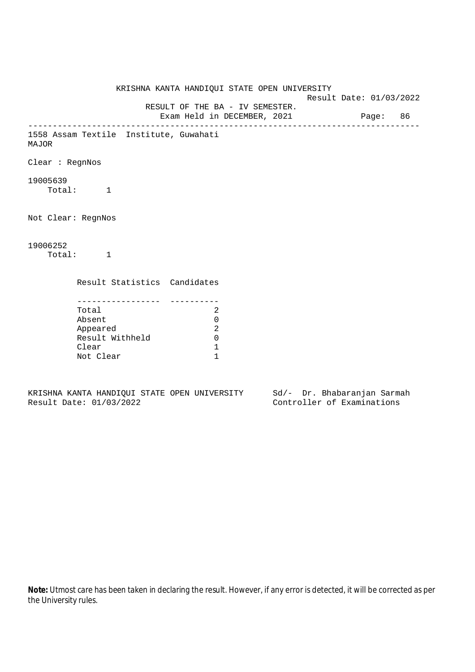KRISHNA KANTA HANDIQUI STATE OPEN UNIVERSITY Result Date: 01/03/2022 RESULT OF THE BA - IV SEMESTER. Exam Held in DECEMBER, 2021 Page: 86 -------------------------------------------------------------------------------- 1558 Assam Textile Institute, Guwahati MAJOR Clear : RegnNos 19005639 Total: 1 Not Clear: RegnNos 19006252 Total: 1 Result Statistics Candidates ----------------- ---------- Total 2 Absent 0 Appeared 2 Result Withheld 0 Clear 1 Not Clear 1

KRISHNA KANTA HANDIQUI STATE OPEN UNIVERSITY Sd/- Dr. Bhabaranjan Sarmah Result Date: 01/03/2022 Controller of Examinations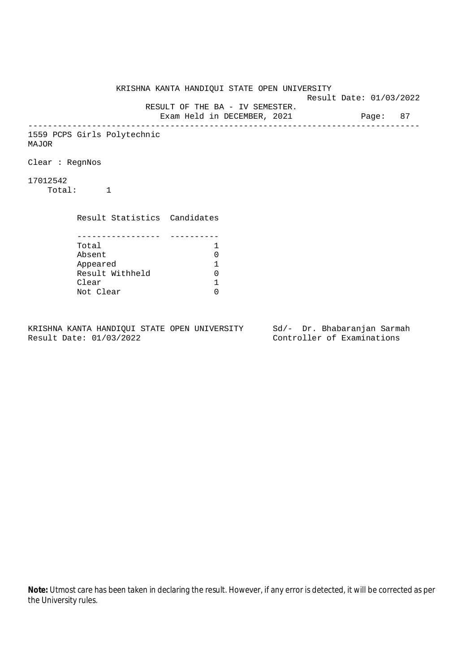KRISHNA KANTA HANDIQUI STATE OPEN UNIVERSITY Result Date: 01/03/2022 RESULT OF THE BA - IV SEMESTER. Exam Held in DECEMBER, 2021 Page: 87 -------------------------------------------------------------------------------- 1559 PCPS Girls Polytechnic MAJOR Clear : RegnNos 17012542 Total: 1 Result Statistics Candidates ----------------- ---------- Total 1 Absent<br>
Appeared 1<br>
Result Withheld 0<br>
Clear 1 Appeared 1 Result Withheld Clear Not Clear 0

KRISHNA KANTA HANDIQUI STATE OPEN UNIVERSITY Sd/- Dr. Bhabaranjan Sarmah Result Date: 01/03/2022 Controller of Examinations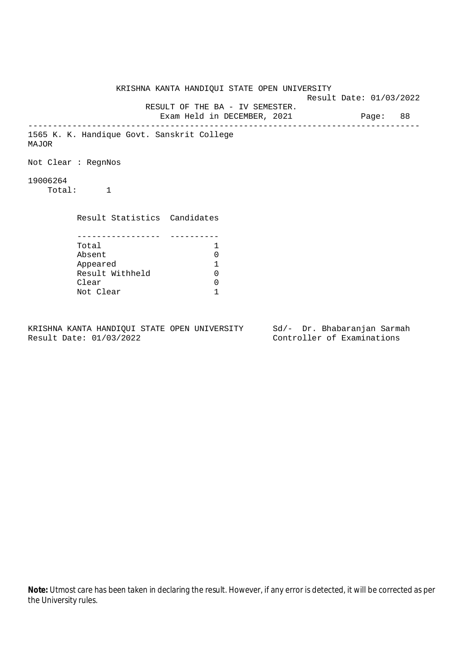KRISHNA KANTA HANDIQUI STATE OPEN UNIVERSITY Result Date: 01/03/2022 RESULT OF THE BA - IV SEMESTER. Exam Held in DECEMBER, 2021 Page: 88 -------------------------------------------------------------------------------- 1565 K. K. Handique Govt. Sanskrit College MAJOR Not Clear : RegnNos 19006264 Total: 1 Result Statistics Candidates ----------------- ---------- Total 1 Absent 0<br>
Appeared 1<br>
Result Withheld 0 Appeared 1 Result Withheld Clear 0 Not Clear 1

KRISHNA KANTA HANDIQUI STATE OPEN UNIVERSITY Sd/- Dr. Bhabaranjan Sarmah Result Date: 01/03/2022 Controller of Examinations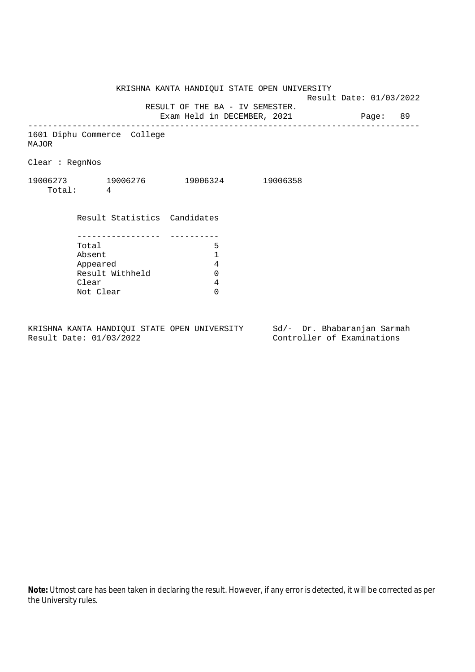KRISHNA KANTA HANDIQUI STATE OPEN UNIVERSITY

Result Date: 01/03/2022

RESULT OF THE BA - IV SEMESTER.

Exam Held in DECEMBER, 2021 Page: 89 --------------------------------------------------------------------------------

1601 Diphu Commerce College MAJOR

Clear : RegnNos

| 19006273 | 19006276 | 19006324 | 19006358 |
|----------|----------|----------|----------|
| Total:   |          |          |          |

| Result Statistics Candidates |   |
|------------------------------|---|
|                              |   |
|                              |   |
| Total                        | 5 |
| Absent                       |   |
| Appeared                     | 4 |
| Result Withheld              |   |
| Clear                        |   |
| Not Clear                    |   |

KRISHNA KANTA HANDIQUI STATE OPEN UNIVERSITY Sd/- Dr. Bhabaranjan Sarmah<br>Result Date: 01/03/2022 Controller of Examinations

Controller of Examinations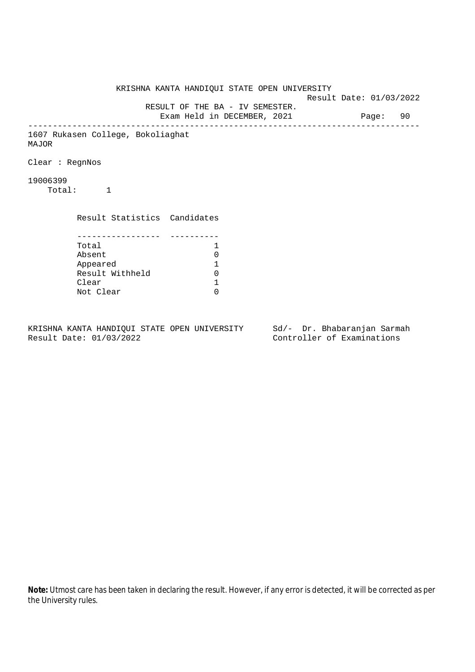KRISHNA KANTA HANDIQUI STATE OPEN UNIVERSITY Result Date: 01/03/2022 RESULT OF THE BA - IV SEMESTER. Exam Held in DECEMBER, 2021 Page: 90 -------------------------------------------------------------------------------- 1607 Rukasen College, Bokoliaghat MAJOR Clear : RegnNos 19006399 Total: 1 Result Statistics Candidates ----------------- ---------- Total 1 Absent<br>
Appeared 1<br>
Result Withheld 0<br>
Clear 1 Appeared 1 Result Withheld Clear Not Clear 0

KRISHNA KANTA HANDIQUI STATE OPEN UNIVERSITY Sd/- Dr. Bhabaranjan Sarmah Result Date: 01/03/2022 Controller of Examinations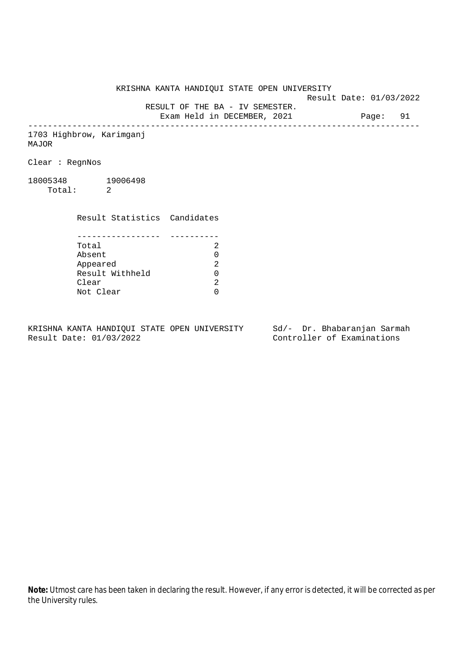KRISHNA KANTA HANDIQUI STATE OPEN UNIVERSITY

Result Date: 01/03/2022

RESULT OF THE BA - IV SEMESTER.

Exam Held in DECEMBER, 2021 Page: 91 --------------------------------------------------------------------------------

1703 Highbrow, Karimganj MAJOR

Clear : RegnNos

18005348 19006498 Total: 2

Clear

 Result Statistics Candidates ----------------- ---------- Total 2 Absent<br>
Appeared 2<br>
Result Withheld 0<br>
Clear 2 Appeared Result Withheld 0

Not Clear 0

KRISHNA KANTA HANDIQUI STATE OPEN UNIVERSITY Sd/- Dr. Bhabaranjan Sarmah Result Date: 01/03/2022 Controller of Examinations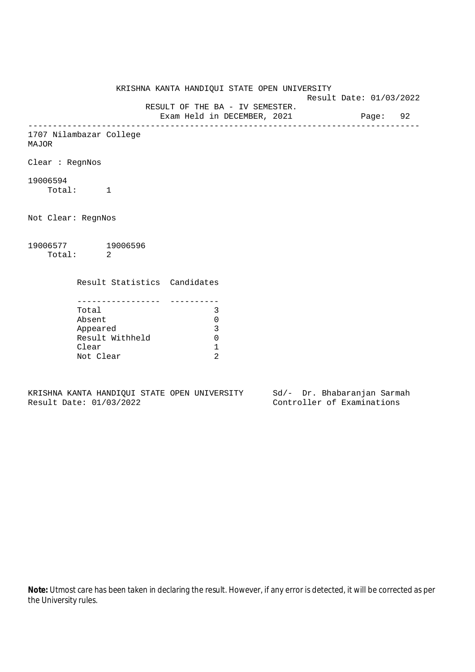KRISHNA KANTA HANDIQUI STATE OPEN UNIVERSITY Result Date: 01/03/2022 RESULT OF THE BA - IV SEMESTER. Exam Held in DECEMBER, 2021 Page: 92 -------------------------------------------------------------------------------- 1707 Nilambazar College MAJOR Clear : RegnNos 19006594 Total: 1 Not Clear: RegnNos 19006577 19006596 Total: 2 Result Statistics Candidates ----------------- ---------- Total 3 Absent 0 Appeared 3 Result Withheld 0 Clear 1 Not Clear 2

KRISHNA KANTA HANDIQUI STATE OPEN UNIVERSITY Sd/- Dr. Bhabaranjan Sarmah Result Date: 01/03/2022 Controller of Examinations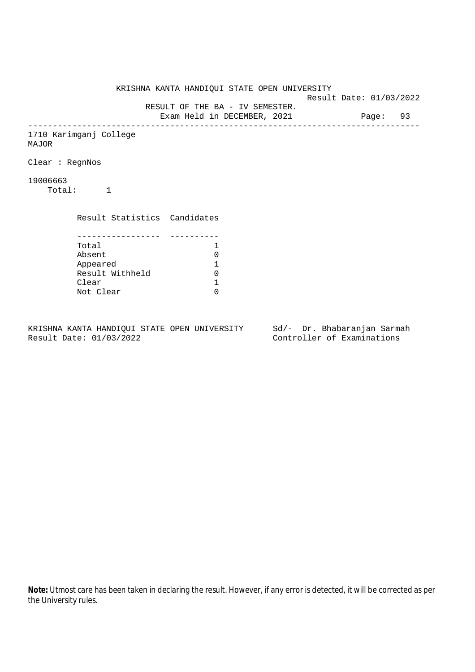KRISHNA KANTA HANDIQUI STATE OPEN UNIVERSITY Result Date: 01/03/2022 RESULT OF THE BA - IV SEMESTER. Exam Held in DECEMBER, 2021 Page: 93 -------------------------------------------------------------------------------- 1710 Karimganj College MAJOR Clear : RegnNos 19006663 Total: 1 Result Statistics Candidates ----------------- ---------- Total 1<br>Absent 0 Absent<br>
Appeared 1<br>
Result Withheld 0<br>
Clear 1 Appeared 1 Result Withheld 0 Clear Not Clear 0

KRISHNA KANTA HANDIQUI STATE OPEN UNIVERSITY Sd/- Dr. Bhabaranjan Sarmah Result Date: 01/03/2022 Controller of Examinations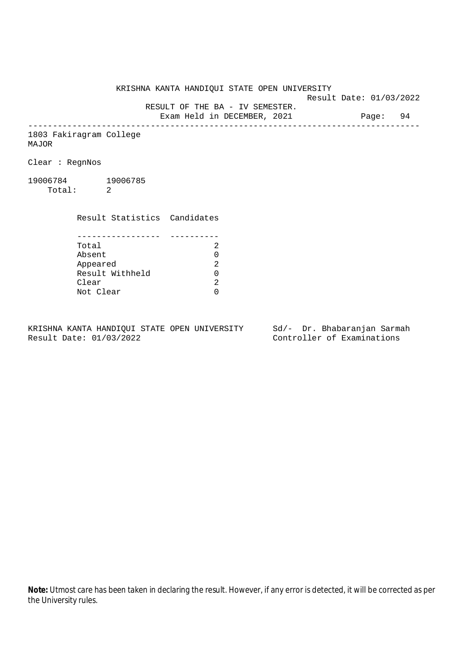KRISHNA KANTA HANDIQUI STATE OPEN UNIVERSITY

Result Date: 01/03/2022

RESULT OF THE BA - IV SEMESTER.

Exam Held in DECEMBER, 2021 Page: 94 --------------------------------------------------------------------------------

1803 Fakiragram College MAJOR

Clear : RegnNos

19006784 19006785 Total: 2

> Result Statistics Candidates ----------------- ---------- Total 2 Appeared

Absent<br>
Appeared 2<br>
Result Withheld 0<br>
Clear 2 Result Withheld 0 Clear Not Clear 0

KRISHNA KANTA HANDIQUI STATE OPEN UNIVERSITY Sd/- Dr. Bhabaranjan Sarmah Result Date: 01/03/2022 Controller of Examinations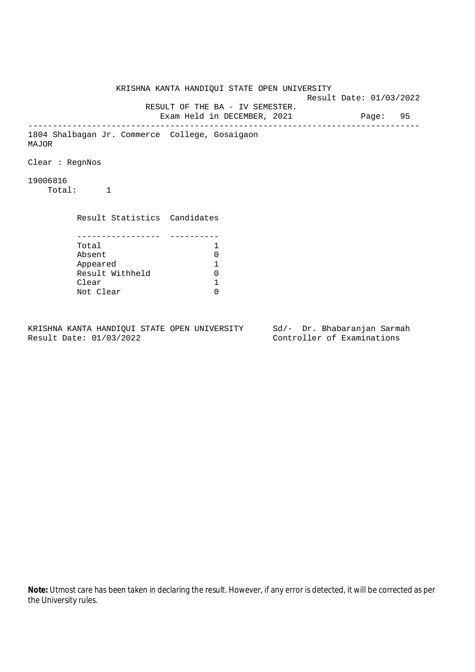KRISHNA KANTA HANDIQUI STATE OPEN UNIVERSITY Result Date: 01/03/2022 RESULT OF THE BA - IV SEMESTER. Exam Held in DECEMBER, 2021 Page: 95 -------------------------------------------------------------------------------- 1804 Shalbagan Jr. Commerce College, Gosaigaon MAJOR Clear : RegnNos 19006816 Total: 1 Result Statistics Candidates ----------------- ---------- Total 1 Absent<br>
Appeared 1<br>
Result Withheld 0<br>
Clear 1 Appeared 1 Result Withheld Clear Not Clear 0

KRISHNA KANTA HANDIQUI STATE OPEN UNIVERSITY Sd/- Dr. Bhabaranjan Sarmah Result Date: 01/03/2022 Controller of Examinations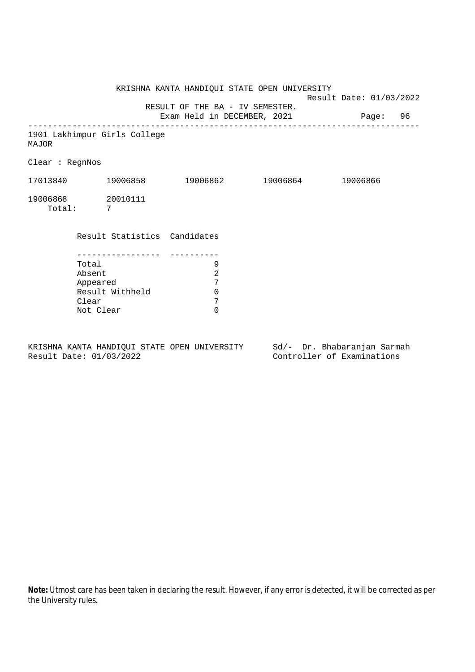KRISHNA KANTA HANDIQUI STATE OPEN UNIVERSITY Result Date: 01/03/2022 RESULT OF THE BA - IV SEMESTER. Exam Held in DECEMBER, 2021 Page: 96 -------------------------------------------------------------------------------- 1901 Lakhimpur Girls College MAJOR Clear : RegnNos 17013840 19006858 19006862 19006864 19006866 19006868 20010111 Total: 7 Result Statistics Candidates ----------------- ---------- Total 9 Absent 2 Appeared 7 Result Withheld 0<br>Clear 7 Clear 7<br>Not Clear 6 Not Clear

KRISHNA KANTA HANDIQUI STATE OPEN UNIVERSITY Sd/- Dr. Bhabaranjan Sarmah Result Date: 01/03/2022 Controller of Examinations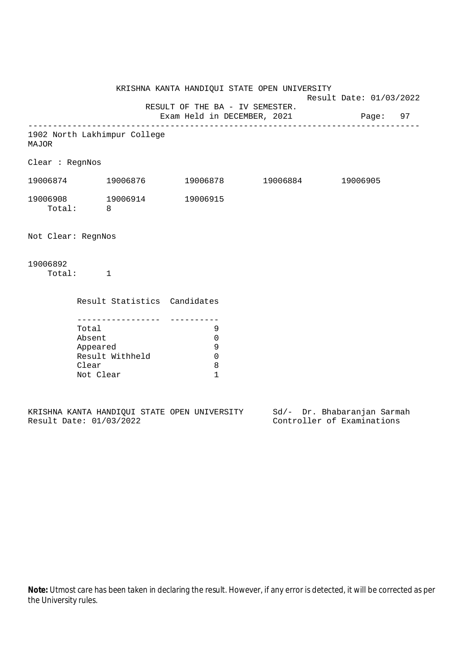KRISHNA KANTA HANDIQUI STATE OPEN UNIVERSITY Result Date: 01/03/2022 RESULT OF THE BA - IV SEMESTER. Exam Held in DECEMBER, 2021 Page: 97 -------------------------------------------------------------------------------- 1902 North Lakhimpur College MAJOR Clear : RegnNos 19006874 19006876 19006878 19006884 19006905 19006908 19006914 19006915 Total: 8 Not Clear: RegnNos 19006892 Total: 1 Result Statistics Candidates ----------------- ---------- Total 9 Absent 0 Appeared 9 Result Withheld 0<br>Clear 8 Clear Not Clear 1

|  |                         |  | KRISHNA KANTA HANDIOUI STATE OPEN UNIVERSITY |  | Sd/- Dr. Bhabaranjan Sarmah |  |
|--|-------------------------|--|----------------------------------------------|--|-----------------------------|--|
|  | Result Date: 01/03/2022 |  |                                              |  | Controller of Examinations  |  |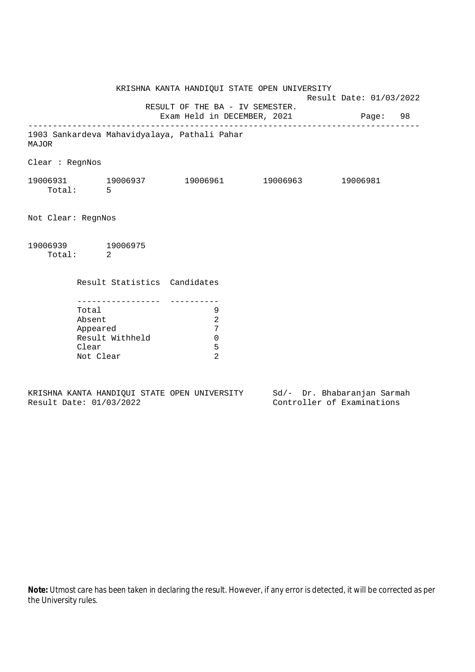|                               |                                                                         | KRISHNA KANTA HANDIQUI STATE OPEN UNIVERSITY   |  | Result Date: 01/03/2022 |  |  |
|-------------------------------|-------------------------------------------------------------------------|------------------------------------------------|--|-------------------------|--|--|
|                               | RESULT OF THE BA - IV SEMESTER.<br>Exam Held in DECEMBER, 2021 Page: 98 |                                                |  |                         |  |  |
| MAJOR                         |                                                                         | 1903 Sankardeva Mahavidyalaya, Pathali Pahar   |  |                         |  |  |
| Clear : RegnNos               |                                                                         |                                                |  |                         |  |  |
| Total: 5                      |                                                                         |                                                |  |                         |  |  |
| Not Clear: RegnNos            |                                                                         |                                                |  |                         |  |  |
| 19006939 19006975<br>Total: 2 |                                                                         |                                                |  |                         |  |  |
|                               | Result Statistics Candidates                                            |                                                |  |                         |  |  |
|                               | Total<br>Absent<br>Appeared<br>Result Withheld<br>Clear<br>Not Clear    | 9<br>$\overline{2}$<br>7<br>$\Omega$<br>5<br>2 |  |                         |  |  |

KRISHNA KANTA HANDIQUI STATE OPEN UNIVERSITY<br>Result Date: 01/03/2022 Sd/- Dr. Bhabaranjan Sarmah<br>Controller of Examinations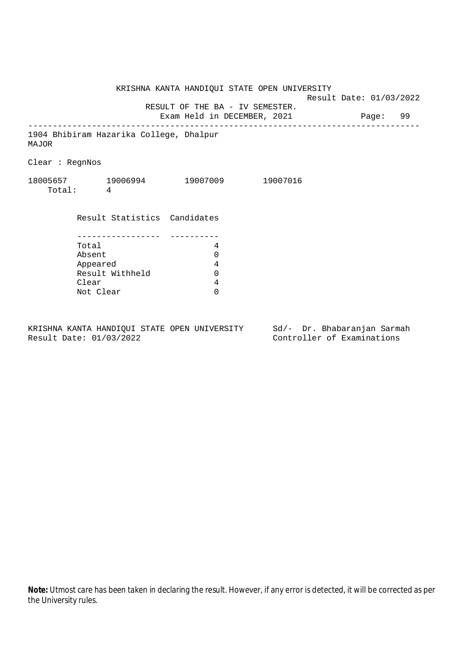KRISHNA KANTA HANDIQUI STATE OPEN UNIVERSITY Result Date: 01/03/2022 RESULT OF THE BA - IV SEMESTER. Exam Held in DECEMBER, 2021 Page: 99 -------------------------------------------------------------------------------- 1904 Bhibiram Hazarika College, Dhalpur MAJOR Clear : RegnNos 18005657 19006994 19007009 19007016 Total: 4 Result Statistics Candidates ----------------- ---------- Total 4 Absent 0<br>
Appeared 4<br>
Result Withheld 0 Appeared Result Withheld 0 Clear 4 Not Clear 0

KRISHNA KANTA HANDIQUI STATE OPEN UNIVERSITY Sd/- Dr. Bhabaranjan Sarmah Result Date: 01/03/2022 Controller of Examinations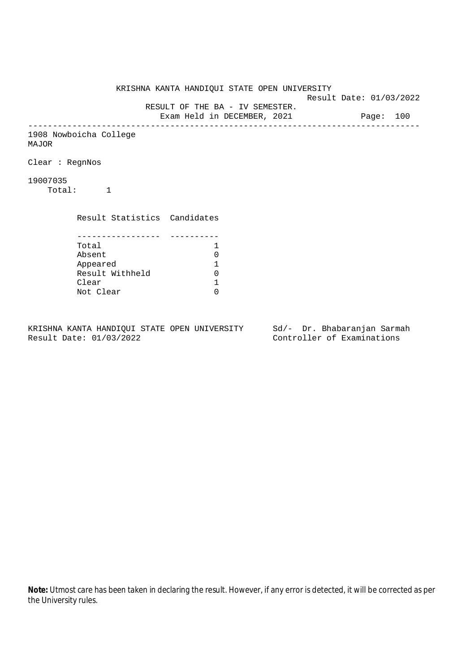KRISHNA KANTA HANDIQUI STATE OPEN UNIVERSITY Result Date: 01/03/2022 RESULT OF THE BA - IV SEMESTER. Exam Held in DECEMBER, 2021 Page: 100 -------------------------------------------------------------------------------- 1908 Nowboicha College MAJOR Clear : RegnNos 19007035 Total: 1 Result Statistics Candidates ----------------- ---------- Total 1<br>Absent 0 Absent<br>
Appeared 1<br>
Result Withheld 0<br>
Clear 1 Appeared 1 Result Withheld 0 Clear Not Clear 0

KRISHNA KANTA HANDIQUI STATE OPEN UNIVERSITY Sd/- Dr. Bhabaranjan Sarmah Result Date: 01/03/2022 Controller of Examinations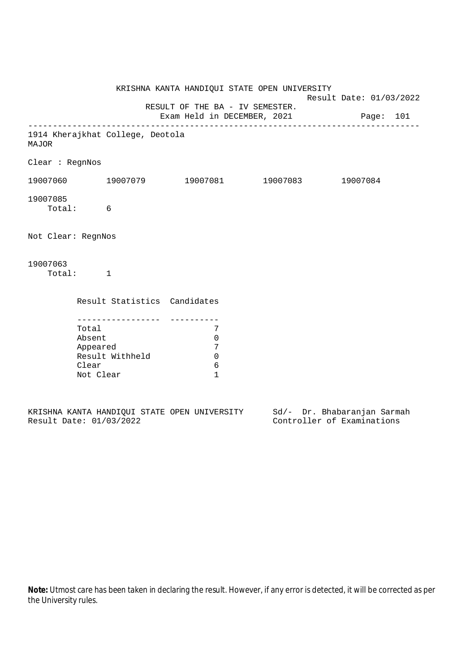|                                                                                         |                                                        |                                                                  | Result Date: 01/03/2022                                                                                                                                                    |
|-----------------------------------------------------------------------------------------|--------------------------------------------------------|------------------------------------------------------------------|----------------------------------------------------------------------------------------------------------------------------------------------------------------------------|
|                                                                                         |                                                        |                                                                  |                                                                                                                                                                            |
|                                                                                         |                                                        |                                                                  |                                                                                                                                                                            |
|                                                                                         |                                                        |                                                                  |                                                                                                                                                                            |
|                                                                                         |                                                        |                                                                  |                                                                                                                                                                            |
|                                                                                         |                                                        |                                                                  |                                                                                                                                                                            |
| Total: 6                                                                                |                                                        |                                                                  |                                                                                                                                                                            |
| Not Clear: RegnNos                                                                      |                                                        |                                                                  |                                                                                                                                                                            |
| Total: 1                                                                                |                                                        |                                                                  |                                                                                                                                                                            |
|                                                                                         |                                                        |                                                                  |                                                                                                                                                                            |
| ---------------<br>Total<br>Absent<br>Appeared<br>Result Withheld<br>Clear<br>Not Clear | 7<br>$\mathbf 0$<br>7<br>$\Omega$<br>6<br>$\mathbf{1}$ |                                                                  |                                                                                                                                                                            |
|                                                                                         |                                                        | 1914 Kherajkhat College, Deotola<br>Result Statistics Candidates | KRISHNA KANTA HANDIQUI STATE OPEN UNIVERSITY<br>RESULT OF THE BA - IV SEMESTER.<br>Exam Held in DECEMBER, 2021 Page: 101<br>$19007060$ 19007079 19007081 19007083 19007084 |

|  |                         |  | KRISHNA KANTA HANDIOUI STATE OPEN UNIVERSITY |  |  | Sd/- Dr. Bhabaranjan Sarmah |  |
|--|-------------------------|--|----------------------------------------------|--|--|-----------------------------|--|
|  | Result Date: 01/03/2022 |  |                                              |  |  | Controller of Examinations  |  |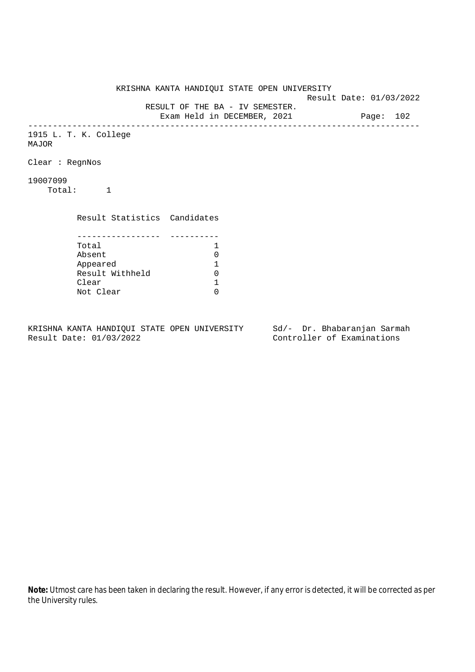KRISHNA KANTA HANDIQUI STATE OPEN UNIVERSITY Result Date: 01/03/2022 RESULT OF THE BA - IV SEMESTER. Exam Held in DECEMBER, 2021 Page: 102 -------------------------------------------------------------------------------- 1915 L. T. K. College MAJOR Clear : RegnNos 19007099 Total: 1 Result Statistics Candidates ----------------- ---------- Total 1<br>Absent 0 Absent<br>
Appeared 1<br>
Result Withheld 0<br>
Clear 1 Appeared 1 Result Withheld 0 Clear Not Clear 0

KRISHNA KANTA HANDIQUI STATE OPEN UNIVERSITY Sd/- Dr. Bhabaranjan Sarmah Result Date: 01/03/2022 Controller of Examinations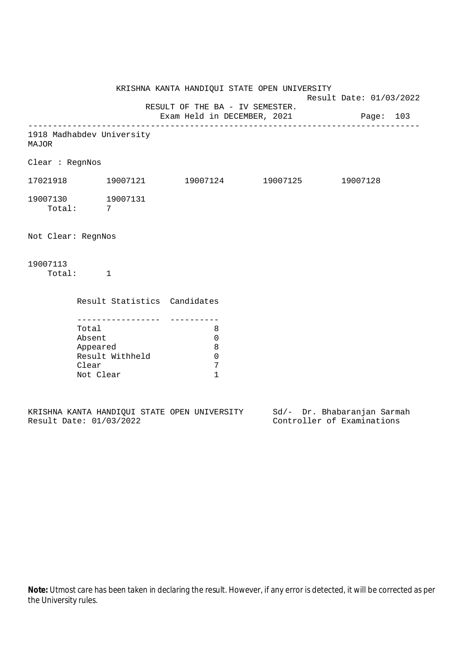KRISHNA KANTA HANDIQUI STATE OPEN UNIVERSITY Result Date: 01/03/2022 RESULT OF THE BA - IV SEMESTER. Exam Held in DECEMBER, 2021 Page: 103 -------------------------------------------------------------------------------- 1918 Madhabdev University MAJOR Clear : RegnNos 17021918 19007121 19007124 19007125 19007128 19007130 19007131 Total: 7 Not Clear: RegnNos 19007113 Total: 1 Result Statistics Candidates ----------------- ---------- Total 8 Absent 0 Appeared 8 Result Withheld 0<br>Clear 7 Clear Not Clear 1

|  |                         |  | KRISHNA KANTA HANDIOUI STATE OPEN UNIVERSITY |  |  | Sd/- Dr. Bhabaranjan Sarmah |  |
|--|-------------------------|--|----------------------------------------------|--|--|-----------------------------|--|
|  | Result Date: 01/03/2022 |  |                                              |  |  | Controller of Examinations  |  |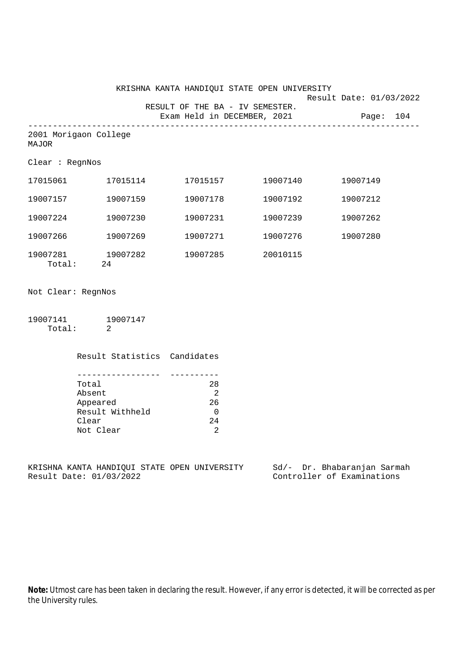|                                |                   |                                 | KRISHNA KANTA HANDIQUI STATE OPEN UNIVERSITY | Result Date: 01/03/2022               |
|--------------------------------|-------------------|---------------------------------|----------------------------------------------|---------------------------------------|
|                                |                   | RESULT OF THE BA - IV SEMESTER. |                                              |                                       |
|                                |                   |                                 |                                              | Exam Held in DECEMBER, 2021 Page: 104 |
| 2001 Morigaon College<br>MAJOR |                   |                                 |                                              |                                       |
| Clear : RegnNos                |                   |                                 |                                              |                                       |
|                                |                   |                                 |                                              | 19007149                              |
|                                | 19007157 19007159 | 19007178                        | 19007192                                     | 19007212                              |
| 19007224                       | 19007230          | 19007231                        | 19007239                                     | 19007262                              |
| 19007266 19007269              |                   |                                 | 19007271 19007276                            | 19007280                              |
| Total: 24                      | 19007281 19007282 | 19007285 20010115               |                                              |                                       |
| Not Clear: RegnNos             |                   |                                 |                                              |                                       |
| 19007141 19007147<br>Total:    | 2                 |                                 |                                              |                                       |

| Result Statistics Candidates |    |
|------------------------------|----|
|                              |    |
| Total                        | 28 |
| Absent                       | 2  |
| Appeared                     | 26 |
| Result Withheld              | U  |
| Clear                        | 24 |
| Not Clear                    | 2  |

KRISHNA KANTA HANDIQUI STATE OPEN UNIVERSITY Sd/- Dr. Bhabaranjan Sarmah<br>Result Date: 01/03/2022 Controller of Examinations

Controller of Examinations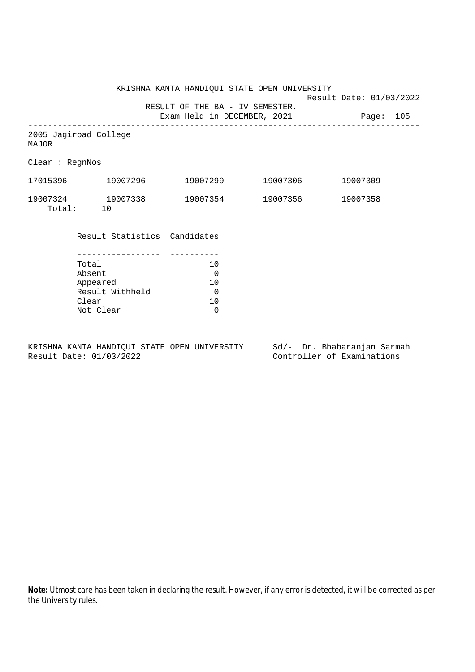KRISHNA KANTA HANDIQUI STATE OPEN UNIVERSITY

Result Date: 01/03/2022

 RESULT OF THE BA - IV SEMESTER. Exam Held in DECEMBER, 2021 Page: 105

--------------------------------------------------------------------------------

2005 Jagiroad College MAJOR

Clear : RegnNos

| 17015396 | 19007296 | 19007299 | 19007306 | 19007309 |
|----------|----------|----------|----------|----------|
| 19007324 | 19007338 | 19007354 | 19007356 | 19007358 |
| Total:   |          |          |          |          |

Result Statistics Candidates

| Total           | 1 O |
|-----------------|-----|
| Absent          |     |
| Appeared        | 1 O |
| Result Withheld |     |
| Clear           | ገ በ |
| Not Clear       |     |

KRISHNA KANTA HANDIQUI STATE OPEN UNIVERSITY Sd/- Dr. Bhabaranjan Sarmah Result Date: 01/03/2022 Controller of Examinations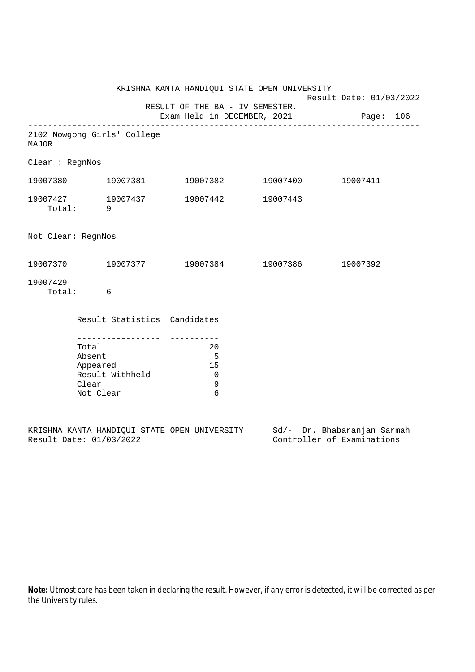|                                                                                          |  |                                              | KRISHNA KANTA HANDIQUI STATE OPEN UNIVERSITY                             |  | Result Date: 01/03/2022 |  |  |
|------------------------------------------------------------------------------------------|--|----------------------------------------------|--------------------------------------------------------------------------|--|-------------------------|--|--|
|                                                                                          |  |                                              | RESULT OF THE BA - IV SEMESTER.<br>Exam Held in DECEMBER, 2021 Page: 106 |  |                         |  |  |
| <b>MAJOR</b>                                                                             |  | 2102 Nowgong Girls' College                  |                                                                          |  |                         |  |  |
| Clear : RegnNos                                                                          |  |                                              |                                                                          |  |                         |  |  |
|                                                                                          |  | 19007380    19007381                         | 19007382 19007400                                                        |  | 19007411                |  |  |
|                                                                                          |  |                                              | $19007427 \qquad 19007437 \qquad 19007442 \qquad 19007443$<br>Total: 9   |  |                         |  |  |
| Not Clear: RegnNos                                                                       |  |                                              |                                                                          |  |                         |  |  |
|                                                                                          |  |                                              | $19007370$ $19007377$ $19007384$ $19007386$ $19007392$                   |  |                         |  |  |
| 19007429<br>Total: 6                                                                     |  |                                              |                                                                          |  |                         |  |  |
|                                                                                          |  | Result Statistics Candidates                 |                                                                          |  |                         |  |  |
| ----------------<br>Total<br>Absent<br>Appeared<br>Result Withheld<br>Clear<br>Not Clear |  | 20<br>$-5$<br>15<br>$\overline{0}$<br>9<br>6 |                                                                          |  |                         |  |  |

|  |                         |  | KRISHNA KANTA HANDIOUI STATE OPEN UNIVERSITY |  | Sd/- Dr. Bhabaranjan Sarmah |  |
|--|-------------------------|--|----------------------------------------------|--|-----------------------------|--|
|  | Result Date: 01/03/2022 |  |                                              |  | Controller of Examinations  |  |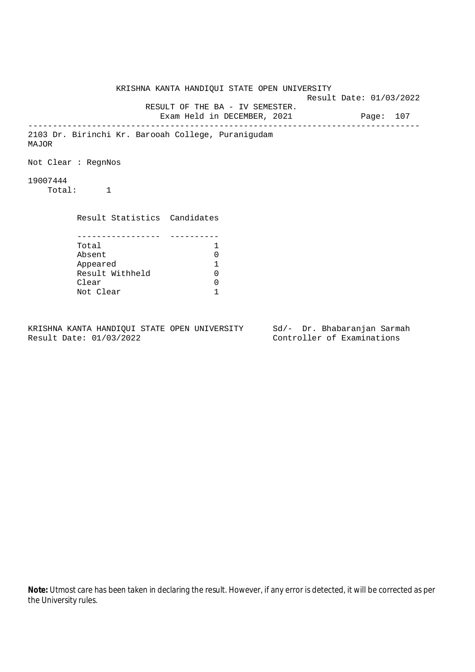KRISHNA KANTA HANDIQUI STATE OPEN UNIVERSITY Result Date: 01/03/2022 RESULT OF THE BA - IV SEMESTER. Exam Held in DECEMBER, 2021 Page: 107 -------------------------------------------------------------------------------- 2103 Dr. Birinchi Kr. Barooah College, Puranigudam MAJOR Not Clear : RegnNos 19007444 Total: 1 Result Statistics Candidates ----------------- ---------- Total 1 Absent 0<br>
Appeared 1<br>
Result Withheld 0 Appeared 1 Result Withheld 0 Clear 0 Not Clear 1

KRISHNA KANTA HANDIQUI STATE OPEN UNIVERSITY Sd/- Dr. Bhabaranjan Sarmah Result Date: 01/03/2022 Controller of Examinations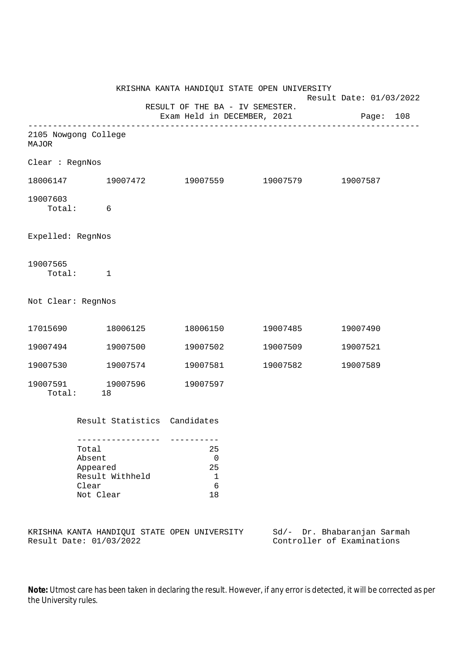|                               |                                                                      |                              |                                                               |  | KRISHNA KANTA HANDIQUI STATE OPEN UNIVERSITY<br>Result Date: 01/03/2022 |          |  |
|-------------------------------|----------------------------------------------------------------------|------------------------------|---------------------------------------------------------------|--|-------------------------------------------------------------------------|----------|--|
|                               |                                                                      |                              | RESULT OF THE BA - IV SEMESTER.                               |  | Exam Held in DECEMBER, 2021 Page: 108                                   |          |  |
| 2105 Nowgong College<br>MAJOR |                                                                      |                              |                                                               |  |                                                                         |          |  |
| Clear : RegnNos               |                                                                      |                              |                                                               |  |                                                                         |          |  |
|                               |                                                                      |                              |                                                               |  | $18006147$ $19007472$ $19007559$ $19007579$ $19007587$                  |          |  |
| 19007603                      | Total: 6                                                             |                              |                                                               |  |                                                                         |          |  |
| Expelled: RegnNos             |                                                                      |                              |                                                               |  |                                                                         |          |  |
| 19007565                      | Total: 1                                                             |                              |                                                               |  |                                                                         |          |  |
| Not Clear: RegnNos            |                                                                      |                              |                                                               |  |                                                                         |          |  |
| 17015690    18006125          |                                                                      |                              |                                                               |  | 18006150 19007485                                                       | 19007490 |  |
| 19007494 19007500             |                                                                      |                              |                                                               |  | 19007502 19007509                                                       | 19007521 |  |
| 19007530 19007574             |                                                                      |                              |                                                               |  | 19007581 19007582                                                       | 19007589 |  |
| 19007591 19007596             | Total: 18                                                            |                              | 19007597                                                      |  |                                                                         |          |  |
|                               |                                                                      | Result Statistics Candidates |                                                               |  |                                                                         |          |  |
|                               | Total<br>Absent<br>Appeared<br>Result Withheld<br>Clear<br>Not Clear |                              | 25<br>$\overline{0}$<br>25<br>$\mathbf 1$<br>$\epsilon$<br>18 |  |                                                                         |          |  |

KRISHNA KANTA HANDIQUI STATE OPEN UNIVERSITY Sd/- Dr. Bhabaranjan Sarmah<br>Result Date: 01/03/2022 Controller of Examinations

Controller of Examinations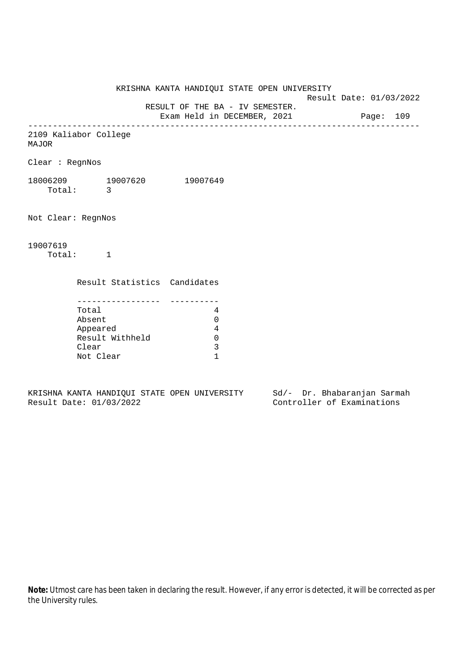KRISHNA KANTA HANDIQUI STATE OPEN UNIVERSITY

Result Date: 01/03/2022

 RESULT OF THE BA - IV SEMESTER. Exam Held in DECEMBER, 2021 Page: 109

--------------------------------------------------------------------------------

2109 Kaliabor College

MAJOR

Clear : RegnNos

18006209 19007620 19007649 Total: 3

Not Clear: RegnNos

19007619

Total: 1

Result Statistics Candidates

| Total           |  |
|-----------------|--|
| Absent          |  |
| Appeared        |  |
| Result Withheld |  |
| Clear           |  |
| Not Clear       |  |

KRISHNA KANTA HANDIQUI STATE OPEN UNIVERSITY Sd/- Dr. Bhabaranjan Sarmah Result Date: 01/03/2022 Controller of Examinations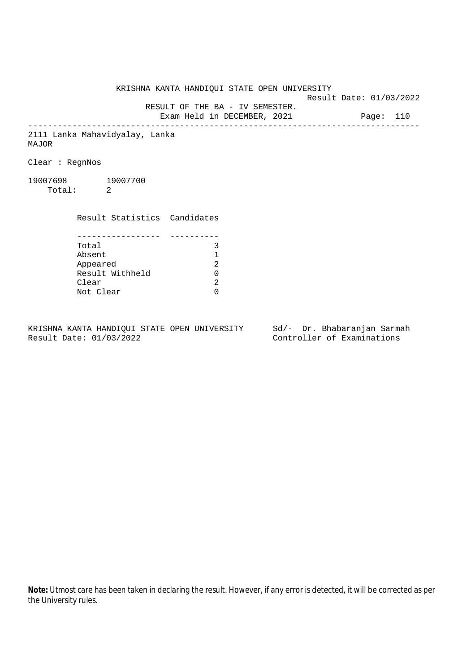KRISHNA KANTA HANDIQUI STATE OPEN UNIVERSITY

Result Date: 01/03/2022

 RESULT OF THE BA - IV SEMESTER. Exam Held in DECEMBER, 2021 Page: 110

--------------------------------------------------------------------------------

2111 Lanka Mahavidyalay, Lanka MAJOR

Clear : RegnNos

19007698 19007700 Total: 2

> Result Statistics Candidates ----------------- ----------

| Total           | ς             |
|-----------------|---------------|
| Absent          |               |
| Appeared        | 2             |
| Result Withheld | ∩             |
| Clear           | $\mathcal{D}$ |
| Not Clear       | ∩             |

KRISHNA KANTA HANDIQUI STATE OPEN UNIVERSITY Sd/- Dr. Bhabaranjan Sarmah<br>Result Date: 01/03/2022

Controller of Examinations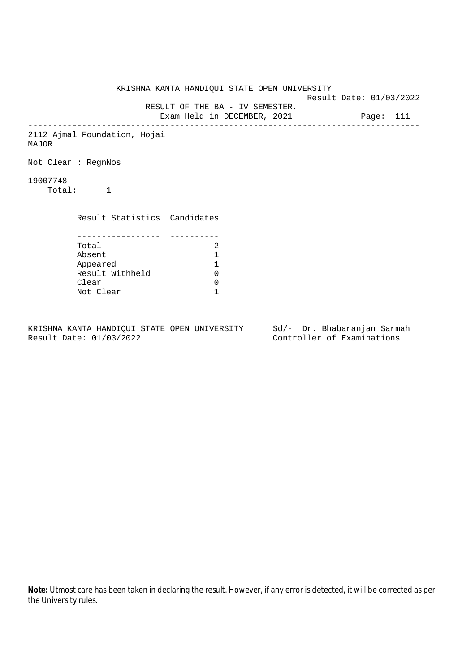KRISHNA KANTA HANDIQUI STATE OPEN UNIVERSITY Result Date: 01/03/2022 RESULT OF THE BA - IV SEMESTER. Exam Held in DECEMBER, 2021 Page: 111 -------------------------------------------------------------------------------- 2112 Ajmal Foundation, Hojai MAJOR Not Clear : RegnNos 19007748 Total: 1 Result Statistics Candidates ----------------- ---------- Total 2<br>Absent 1 Absent 1 Appeared 1 Result Withheld Clear 0 Not Clear 1

KRISHNA KANTA HANDIQUI STATE OPEN UNIVERSITY Sd/- Dr. Bhabaranjan Sarmah Result Date: 01/03/2022 Controller of Examinations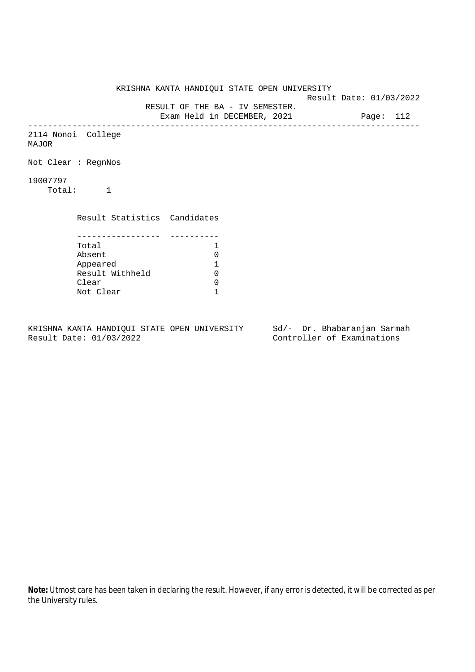KRISHNA KANTA HANDIQUI STATE OPEN UNIVERSITY Result Date: 01/03/2022 RESULT OF THE BA - IV SEMESTER. Exam Held in DECEMBER, 2021 Page: 112 -------------------------------------------------------------------------------- 2114 Nonoi College MAJOR Not Clear : RegnNos 19007797 Total: 1 Result Statistics Candidates ----------------- ---------- Total 1<br>Absent 0 Absent 0<br>
Appeared 1<br>
Result Withheld 0 Appeared 1 Result Withheld 0 Clear 0 Not Clear 1

KRISHNA KANTA HANDIQUI STATE OPEN UNIVERSITY Sd/- Dr. Bhabaranjan Sarmah Result Date: 01/03/2022 Controller of Examinations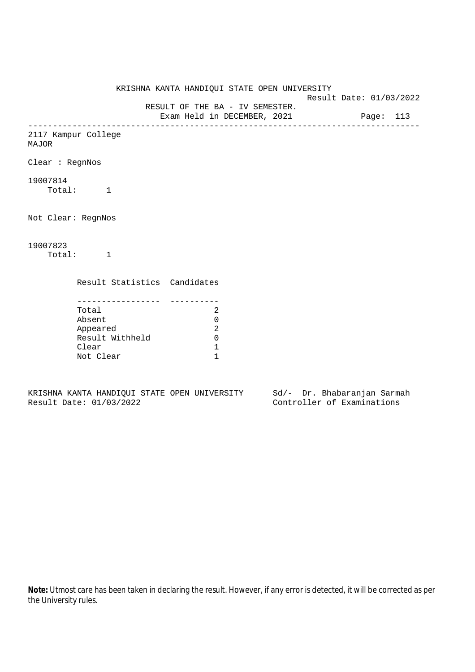KRISHNA KANTA HANDIQUI STATE OPEN UNIVERSITY Result Date: 01/03/2022 RESULT OF THE BA - IV SEMESTER. Exam Held in DECEMBER, 2021 Page: 113 -------------------------------------------------------------------------------- 2117 Kampur College MAJOR Clear : RegnNos 19007814 Total: 1 Not Clear: RegnNos 19007823 Total: 1 Result Statistics Candidates ----------------- ---------- Total 2 Absent 0 Appeared 2 Result Withheld 0 Clear 1 Not Clear 1

KRISHNA KANTA HANDIQUI STATE OPEN UNIVERSITY Sd/- Dr. Bhabaranjan Sarmah Result Date: 01/03/2022 Controller of Examinations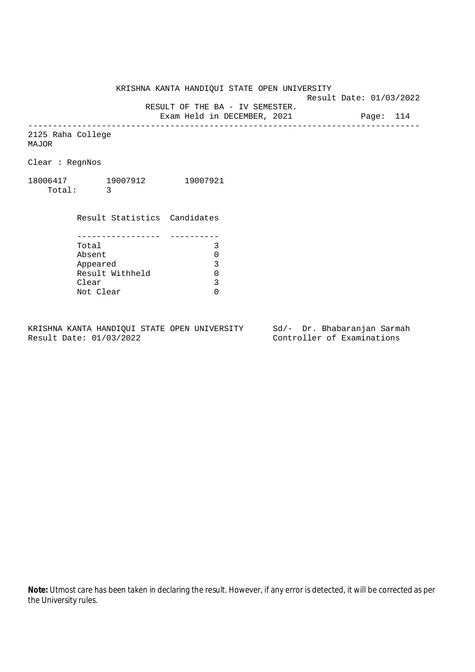KRISHNA KANTA HANDIQUI STATE OPEN UNIVERSITY

Result Date: 01/03/2022

RESULT OF THE BA - IV SEMESTER.

Exam Held in DECEMBER, 2021 Page: 114 --------------------------------------------------------------------------------

2125 Raha College MAJOR

Clear : RegnNos

18006417 19007912 19007921 Total: 3

> Result Statistics Candidates ----------------- ---------- Total 3 Absent<br>
> Appeared 0<br>
> Result Withheld 0<br>
> Clear 3 Appeared Result Withheld Clear Not Clear 0

KRISHNA KANTA HANDIQUI STATE OPEN UNIVERSITY Sd/- Dr. Bhabaranjan Sarmah Result Date: 01/03/2022 Controller of Examinations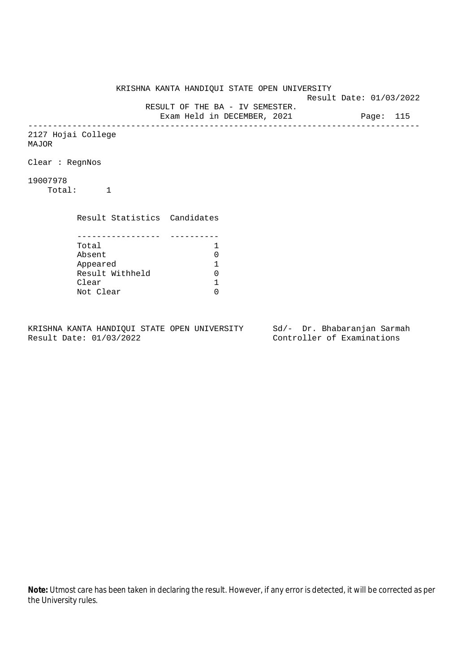KRISHNA KANTA HANDIQUI STATE OPEN UNIVERSITY Result Date: 01/03/2022 RESULT OF THE BA - IV SEMESTER. Exam Held in DECEMBER, 2021 Page: 115 -------------------------------------------------------------------------------- 2127 Hojai College MAJOR Clear : RegnNos 19007978 Total: 1 Result Statistics Candidates ----------------- ---------- Total 1<br>Absent 0 Absent<br>
Appeared 1<br>
Result Withheld 0<br>
Clear 1 Appeared 1 Result Withheld 0 Clear Not Clear 0

KRISHNA KANTA HANDIQUI STATE OPEN UNIVERSITY Sd/- Dr. Bhabaranjan Sarmah Result Date: 01/03/2022 Controller of Examinations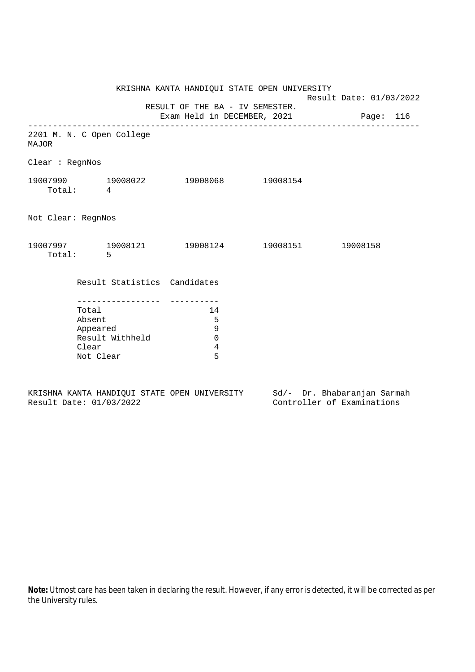| 2201 M. N. C Open College                                            |                                    |                              |                                                                        |                                              |                                                                                                                  |
|----------------------------------------------------------------------|------------------------------------|------------------------------|------------------------------------------------------------------------|----------------------------------------------|------------------------------------------------------------------------------------------------------------------|
| Clear : RegnNos                                                      |                                    |                              |                                                                        |                                              |                                                                                                                  |
| Total: 4                                                             |                                    |                              |                                                                        |                                              |                                                                                                                  |
| Not Clear: RegnNos                                                   |                                    |                              |                                                                        |                                              |                                                                                                                  |
| Total: 5                                                             |                                    |                              |                                                                        |                                              |                                                                                                                  |
|                                                                      |                                    |                              |                                                                        |                                              |                                                                                                                  |
| Total<br>Absent<br>Appeared<br>Result Withheld<br>Clear<br>Not Clear | 14<br>5<br>9<br>$\Omega$<br>4<br>5 |                              |                                                                        |                                              |                                                                                                                  |
|                                                                      |                                    | Result Statistics Candidates | RESULT OF THE BA - IV SEMESTER.<br>19007990 19008022 19008068 19008154 | KRISHNA KANTA HANDIQUI STATE OPEN UNIVERSITY | Result Date: 01/03/2022<br>Exam Held in DECEMBER, 2021 Page: 116<br>19007997 19008121 19008124 19008151 19008158 |

KRISHNA KANTA HANDIQUI STATE OPEN UNIVERSITY<br>Result Date: 01/03/2022 Sd/- Dr. Bhabaranjan Sarmah<br>Controller of Examinations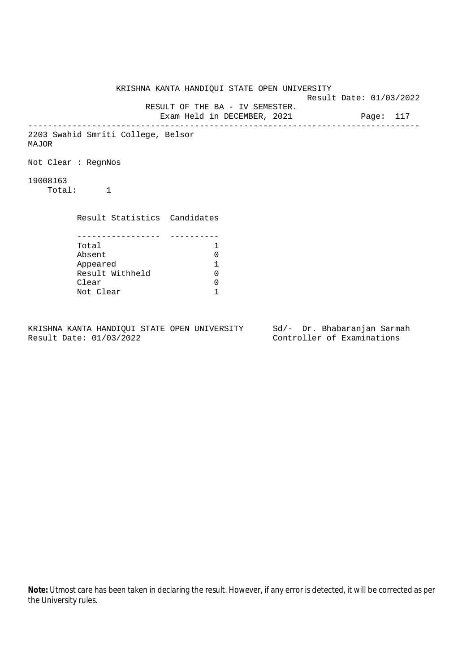KRISHNA KANTA HANDIQUI STATE OPEN UNIVERSITY Result Date: 01/03/2022 RESULT OF THE BA - IV SEMESTER. Exam Held in DECEMBER, 2021 Page: 117 -------------------------------------------------------------------------------- 2203 Swahid Smriti College, Belsor MAJOR Not Clear : RegnNos 19008163 Total: 1 Result Statistics Candidates ----------------- ---------- Total 1 Absent 0<br>
Appeared 1<br>
Result Withheld 0 Appeared 1 Result Withheld Clear 0 Not Clear 1

KRISHNA KANTA HANDIQUI STATE OPEN UNIVERSITY Sd/- Dr. Bhabaranjan Sarmah Result Date: 01/03/2022 Controller of Examinations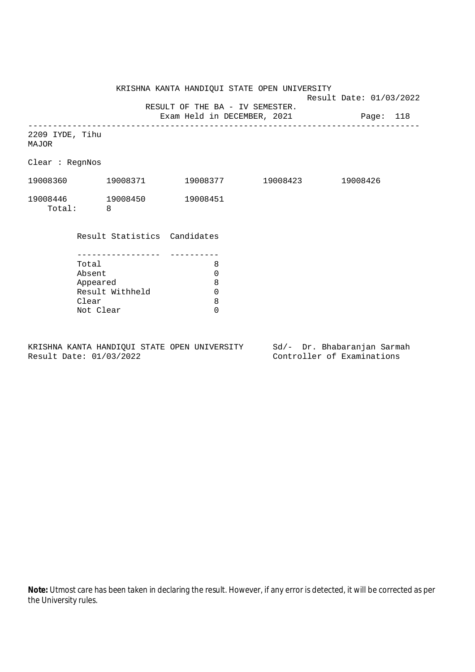KRISHNA KANTA HANDIQUI STATE OPEN UNIVERSITY

Result Date: 01/03/2022

 RESULT OF THE BA - IV SEMESTER. Exam Held in DECEMBER, 2021 Page: 118

-------------------------------------------------------------------------------- 2209 IYDE, Tihu MAJOR

Clear : RegnNos

| 19008360 | 19008371 | 19008377 | 19008423 | 19008426 |
|----------|----------|----------|----------|----------|
| 19008446 | 19008450 | 19008451 |          |          |
| Total:   |          |          |          |          |

Result Statistics Candidates

| Total           |   |
|-----------------|---|
| Absent          |   |
| Appeared        | 8 |
| Result Withheld |   |
| Clear           | Я |
| Not Clear       |   |

KRISHNA KANTA HANDIQUI STATE OPEN UNIVERSITY Sd/- Dr. Bhabaranjan Sarmah Result Date: 01/03/2022 Controller of Examinations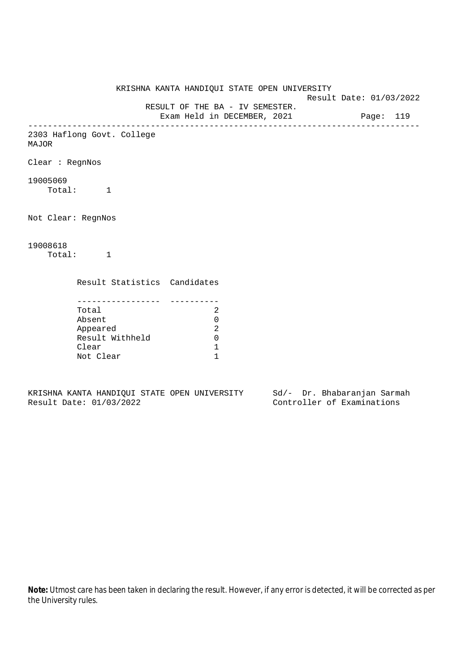KRISHNA KANTA HANDIQUI STATE OPEN UNIVERSITY Result Date: 01/03/2022 RESULT OF THE BA - IV SEMESTER. Exam Held in DECEMBER, 2021 Page: 119 -------------------------------------------------------------------------------- 2303 Haflong Govt. College MAJOR Clear : RegnNos 19005069 Total: 1 Not Clear: RegnNos 19008618 Total: 1 Result Statistics Candidates ----------------- ---------- Total 2 Absent 0 Appeared 2 Result Withheld 0 Clear 1 Not Clear 1

KRISHNA KANTA HANDIQUI STATE OPEN UNIVERSITY Sd/- Dr. Bhabaranjan Sarmah Result Date: 01/03/2022 Controller of Examinations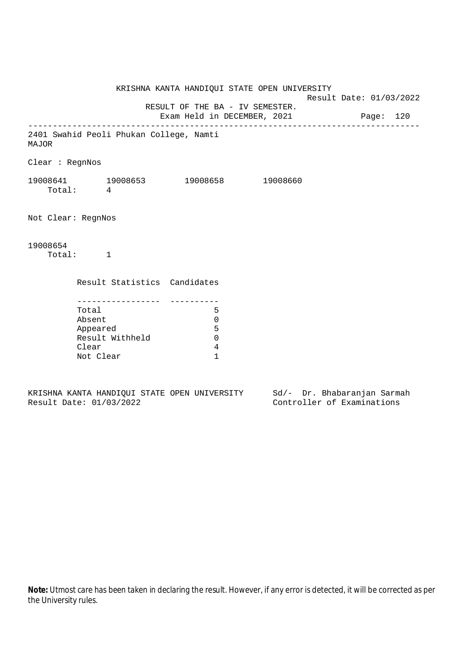KRISHNA KANTA HANDIQUI STATE OPEN UNIVERSITY Result Date: 01/03/2022 RESULT OF THE BA - IV SEMESTER. Exam Held in DECEMBER, 2021 Page: 120 -------------------------------------------------------------------------------- 2401 Swahid Peoli Phukan College, Namti MAJOR Clear : RegnNos 19008641 19008653 19008658 19008660 Total: 4 Not Clear: RegnNos 19008654 Total: 1 Result Statistics Candidates ----------------- ---------- Total 5 Absent 0 Appeared 5 Result Withheld 0 Clear 4 Not Clear 1

KRISHNA KANTA HANDIQUI STATE OPEN UNIVERSITY Sd/- Dr. Bhabaranjan Sarmah Result Date: 01/03/2022 Controller of Examinations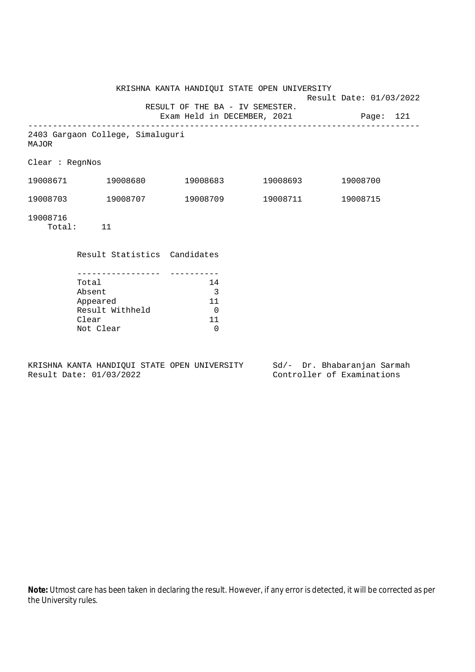|                 |                                                                      | KRISHNA KANTA HANDIQUI STATE OPEN UNIVERSITY<br>RESULT OF THE BA - IV SEMESTER. |          | Result Date: 01/03/2022 |  |
|-----------------|----------------------------------------------------------------------|---------------------------------------------------------------------------------|----------|-------------------------|--|
|                 |                                                                      | Exam Held in DECEMBER, 2021 Page: 121                                           |          |                         |  |
| MAJOR           | 2403 Gargaon College, Simaluguri                                     |                                                                                 |          |                         |  |
| Clear : RegnNos |                                                                      |                                                                                 |          |                         |  |
|                 | 19008671 19008680                                                    | 19008683 19008693                                                               |          | 19008700                |  |
|                 | 19008703 19008707                                                    | 19008709                                                                        | 19008711 | 19008715                |  |
| 19008716        | Total: 11                                                            |                                                                                 |          |                         |  |
|                 | Result Statistics Candidates                                         |                                                                                 |          |                         |  |
|                 | Total<br>Absent<br>Appeared<br>Result Withheld<br>Clear<br>Not Clear | 14<br>$\overline{3}$<br>11<br>$\overline{0}$<br>11<br>$\Omega$                  |          |                         |  |

KRISHNA KANTA HANDIQUI STATE OPEN UNIVERSITY Sd/- Dr. Bhabaranjan Sarmah<br>Result Date: 01/03/2022 Controller of Examinations

Controller of Examinations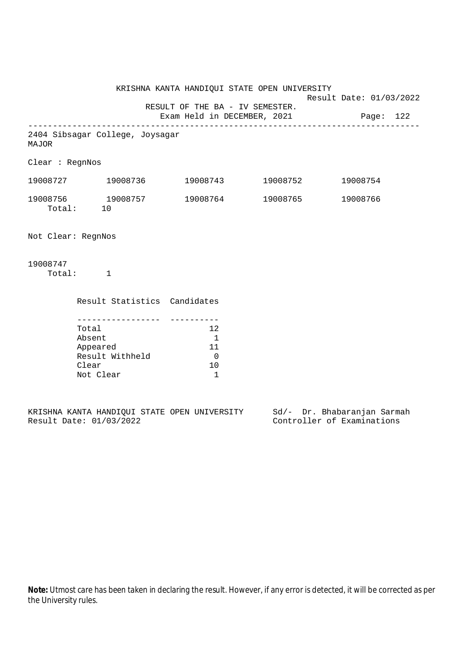KRISHNA KANTA HANDIQUI STATE OPEN UNIVERSITY Result Date: 01/03/2022 RESULT OF THE BA - IV SEMESTER. Exam Held in DECEMBER, 2021 Page: 122 -------------------------------------------------------------------------------- 2404 Sibsagar College, Joysagar MAJOR Clear : RegnNos 19008727 19008736 19008743 19008752 19008754 19008756 19008757 19008764 19008765 19008766 Total: 10 Not Clear: RegnNos 19008747 Total: 1

| Result Statistics Candidates |     |
|------------------------------|-----|
|                              |     |
| Total                        | 12  |
| Absent                       |     |
| Appeared                     | 11  |
| Result Withheld              |     |
| Clear                        | 1 O |
| Not Clear                    |     |

|  |                         |  | KRISHNA KANTA HANDIOUI STATE OPEN UNIVERSITY |  | Sd/- Dr. Bhabaranjan Sarmah |  |
|--|-------------------------|--|----------------------------------------------|--|-----------------------------|--|
|  | Result Date: 01/03/2022 |  |                                              |  | Controller of Examinations  |  |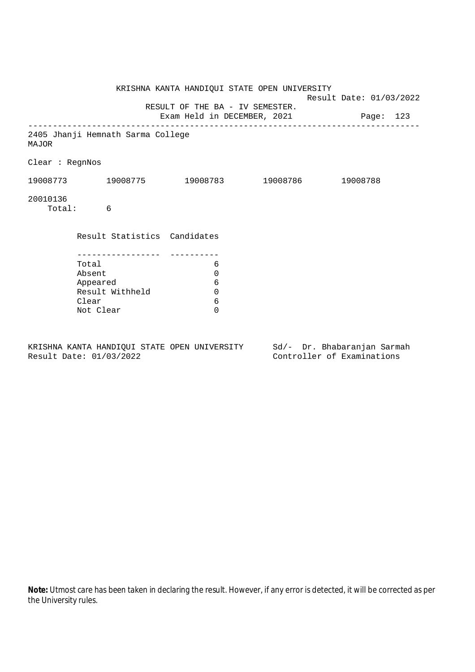|                 |                                     | KRISHNA KANTA HANDIQUI STATE OPEN UNIVERSITY<br>RESULT OF THE BA - IV SEMESTER. | Result Date: 01/03/2022 |  |
|-----------------|-------------------------------------|---------------------------------------------------------------------------------|-------------------------|--|
|                 |                                     | Exam Held in DECEMBER, 2021 Page: 123                                           |                         |  |
| MAJOR           | 2405 Jhanji Hemnath Sarma College   |                                                                                 |                         |  |
| Clear : RegnNos |                                     |                                                                                 |                         |  |
|                 | 19008773 19008775 19008783 19008786 |                                                                                 | 19008788                |  |
| 20010136        | Total: 6                            |                                                                                 |                         |  |
|                 | Result Statistics Candidates        |                                                                                 |                         |  |
|                 |                                     |                                                                                 |                         |  |
|                 | Total<br>Absent                     | 6<br>0                                                                          |                         |  |
|                 | Appeared                            | 6                                                                               |                         |  |
|                 | Result Withheld                     | $\mathbf 0$                                                                     |                         |  |
|                 | Clear                               | 6                                                                               |                         |  |
|                 | Not Clear                           | $\Omega$                                                                        |                         |  |
|                 |                                     |                                                                                 |                         |  |

KRISHNA KANTA HANDIQUI STATE OPEN UNIVERSITY Sd/- Dr. Bhabaranjan Sarmah Result Date: 01/03/2022 Controller of Examinations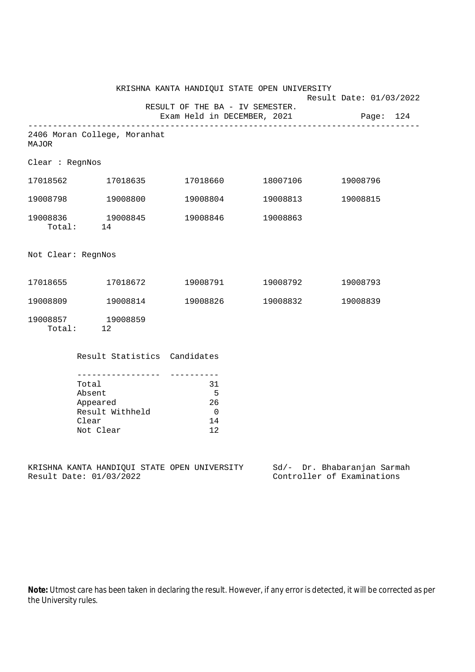|                    |                                                                      | KRISHNA KANTA HANDIQUI STATE OPEN UNIVERSITY                   |                   | Result Date: 01/03/2022                                                                                |
|--------------------|----------------------------------------------------------------------|----------------------------------------------------------------|-------------------|--------------------------------------------------------------------------------------------------------|
|                    |                                                                      | RESULT OF THE BA - IV SEMESTER.<br>Exam Held in DECEMBER, 2021 |                   | Page: 124                                                                                              |
| MAJOR              | 2406 Moran College, Moranhat                                         |                                                                |                   |                                                                                                        |
| Clear : RegnNos    |                                                                      |                                                                |                   |                                                                                                        |
|                    | 17018562 17018635                                                    |                                                                | 17018660 18007106 | 19008796                                                                                               |
|                    | 19008798 19008800                                                    |                                                                | 19008804 19008813 | 19008815                                                                                               |
|                    | 19008836 19008845<br>Total: 14                                       | 19008846                                                       | 19008863          |                                                                                                        |
| Not Clear: RegnNos |                                                                      |                                                                |                   |                                                                                                        |
|                    | 17018655 17018672                                                    |                                                                | 19008791 19008792 | 19008793                                                                                               |
| 19008809           | 19008814                                                             | 19008826                                                       | 19008832          | 19008839                                                                                               |
|                    | 19008857 19008859<br>Total: 12                                       |                                                                |                   |                                                                                                        |
|                    | Result Statistics Candidates                                         |                                                                |                   |                                                                                                        |
|                    | Total<br>Absent<br>Appeared<br>Result Withheld<br>Clear<br>Not Clear | 31<br>$-5$<br>26<br>$\overline{0}$<br>14<br>12                 |                   |                                                                                                        |
|                    | Result Date: 01/03/2022                                              |                                                                |                   | KRISHNA KANTA HANDIQUI STATE OPEN UNIVERSITY Sd/- Dr. Bhabaranjan Sarmah<br>Controller of Examinations |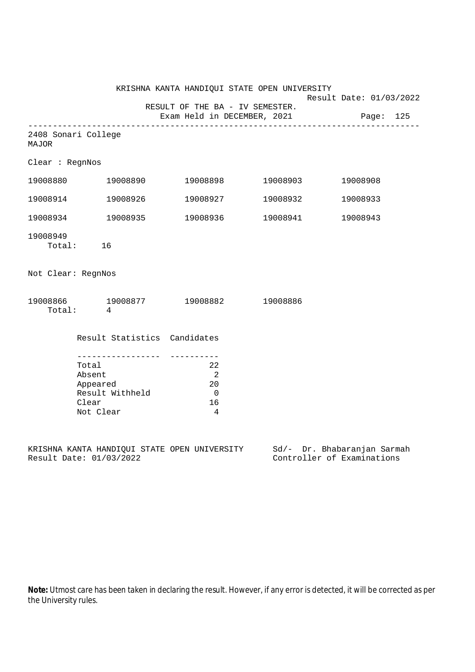|                    |                                                                      | KRISHNA KANTA HANDIQUI STATE OPEN UNIVERSITY                                      |                   | Result Date: 01/03/2022 |
|--------------------|----------------------------------------------------------------------|-----------------------------------------------------------------------------------|-------------------|-------------------------|
|                    |                                                                      | RESULT OF THE BA - IV SEMESTER.<br>Exam Held in DECEMBER, 2021                    |                   | Page: 125               |
| <b>MAJOR</b>       | 2408 Sonari College                                                  |                                                                                   |                   |                         |
| Clear : RegnNos    |                                                                      |                                                                                   |                   |                         |
|                    | 19008880 19008890                                                    |                                                                                   | 19008898 19008903 | 19008908                |
|                    | 19008914 19008926                                                    |                                                                                   | 19008927 19008932 | 19008933                |
|                    | 19008934 19008935                                                    |                                                                                   |                   | 19008943                |
| 19008949           | Total: 16                                                            |                                                                                   |                   |                         |
| Not Clear: RegnNos |                                                                      |                                                                                   |                   |                         |
|                    | 19008866 19008877 19008882 19008886<br>Total: 4                      |                                                                                   |                   |                         |
|                    | Result Statistics Candidates                                         |                                                                                   |                   |                         |
|                    | Total<br>Absent<br>Appeared<br>Result Withheld<br>Clear<br>Not Clear | ----------<br>22<br>$\overline{\phantom{0}}^2$<br>20<br>$\overline{0}$<br>16<br>4 |                   |                         |

KRISHNA KANTA HANDIQUI STATE OPEN UNIVERSITY Sd/- Dr. Bhabaranjan Sarmah Result Date: 01/03/2022 Controller of Examinations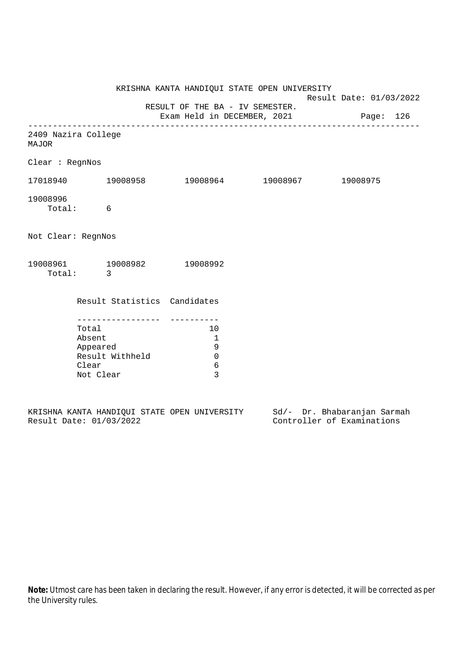|                                     |                                                                                          | KRISHNA KANTA HANDIQUI STATE OPEN UNIVERSITY                             | Result Date: 01/03/2022 |  |
|-------------------------------------|------------------------------------------------------------------------------------------|--------------------------------------------------------------------------|-------------------------|--|
|                                     |                                                                                          | RESULT OF THE BA - IV SEMESTER.<br>Exam Held in DECEMBER, 2021 Page: 126 |                         |  |
| 2409 Nazira College<br><b>MAJOR</b> |                                                                                          |                                                                          |                         |  |
| Clear : RegnNos                     |                                                                                          |                                                                          |                         |  |
|                                     | $17018940$ $19008958$ $19008964$ $19008967$ $19008975$                                   |                                                                          |                         |  |
| 19008996                            | Total: 6                                                                                 |                                                                          |                         |  |
| Not Clear: RegnNos                  |                                                                                          |                                                                          |                         |  |
|                                     | 19008961 19008982 19008992<br>Total: 3                                                   |                                                                          |                         |  |
|                                     | Result Statistics Candidates                                                             |                                                                          |                         |  |
|                                     | ----------------<br>Total<br>Absent<br>Appeared<br>Result Withheld<br>Clear<br>Not Clear | 10<br>$\mathbf{1}$<br>9<br>$\mathbf 0$<br>6<br>3                         |                         |  |

|  |                         |  | KRISHNA KANTA HANDIOUI STATE OPEN UNIVERSITY |  | Sd/- Dr. Bhabaranjan Sarmah |  |
|--|-------------------------|--|----------------------------------------------|--|-----------------------------|--|
|  | Result Date: 01/03/2022 |  |                                              |  | Controller of Examinations  |  |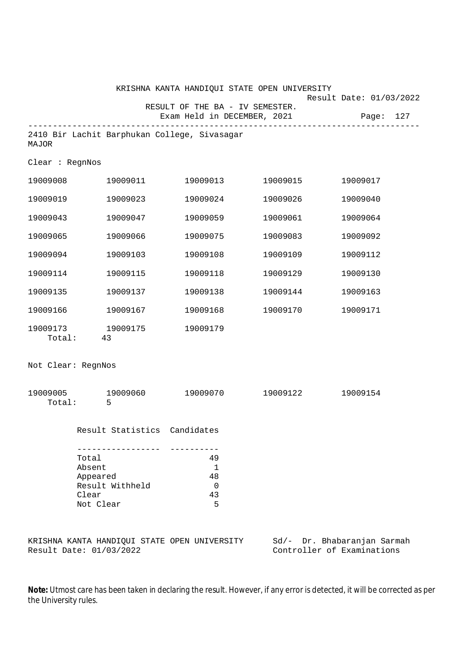|                                                                      |                                              | KRISHNA KANTA HANDIQUI STATE OPEN UNIVERSITY |                             |                                      |  |
|----------------------------------------------------------------------|----------------------------------------------|----------------------------------------------|-----------------------------|--------------------------------------|--|
|                                                                      |                                              | RESULT OF THE BA - IV SEMESTER.              | Exam Held in DECEMBER, 2021 | Result Date: 01/03/2022<br>Page: 127 |  |
| MAJOR                                                                | 2410 Bir Lachit Barphukan College, Sivasagar |                                              |                             |                                      |  |
| Clear : RegnNos                                                      |                                              |                                              |                             |                                      |  |
|                                                                      | 19009008 19009011                            |                                              | 19009013 19009015           | 19009017                             |  |
| 19009019                                                             | 19009023                                     | 19009024                                     | 19009026                    | 19009040                             |  |
| 19009043                                                             | 19009047                                     | 19009059                                     | 19009061                    | 19009064                             |  |
| 19009065                                                             | 19009066                                     | 19009075                                     | 19009083                    | 19009092                             |  |
| 19009094                                                             | 19009103                                     | 19009108                                     | 19009109                    | 19009112                             |  |
| 19009114                                                             | 19009115                                     | 19009118                                     | 19009129                    | 19009130                             |  |
| 19009135                                                             | 19009137                                     | 19009138                                     | 19009144                    | 19009163                             |  |
| 19009166                                                             | 19009167                                     |                                              | 19009168 19009170           | 19009171                             |  |
|                                                                      | 19009173 19009175<br>Total: 43               | 19009179                                     |                             |                                      |  |
| Not Clear: RegnNos                                                   |                                              |                                              |                             |                                      |  |
|                                                                      | 19009005 19009060<br>Total: 5                |                                              |                             | 19009154                             |  |
|                                                                      | Result Statistics Candidates                 |                                              |                             |                                      |  |
| Total<br>Absent<br>Appeared<br>Result Withheld<br>Clear<br>Not Clear |                                              | 49<br>$\mathbf{1}$<br>48<br>0<br>43<br>5     |                             |                                      |  |
|                                                                      | KRISHNA KANTA HANDIQUI STATE OPEN UNIVERSITY |                                              |                             | Sd/- Dr. Bhabaranjan Sarmah          |  |

Result Date: 01/03/2022 Controller of Examinations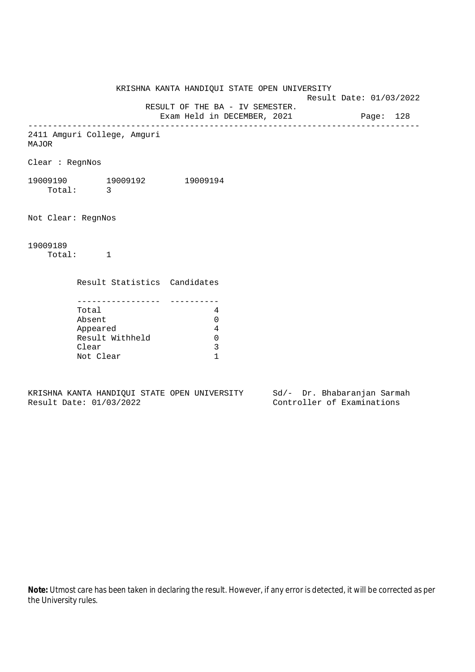KRISHNA KANTA HANDIQUI STATE OPEN UNIVERSITY Result Date: 01/03/2022 RESULT OF THE BA - IV SEMESTER. Exam Held in DECEMBER, 2021 Page: 128 -------------------------------------------------------------------------------- 2411 Amguri College, Amguri MAJOR Clear : RegnNos 19009190 19009192 19009194 Total: 3 Not Clear: RegnNos 19009189 Total: 1 Result Statistics Candidates ----------------- ---------- Total 4 Absent 0 Appeared 4 Result Withheld 0 Clear 3 Not Clear 1

KRISHNA KANTA HANDIQUI STATE OPEN UNIVERSITY Sd/- Dr. Bhabaranjan Sarmah Result Date: 01/03/2022 Controller of Examinations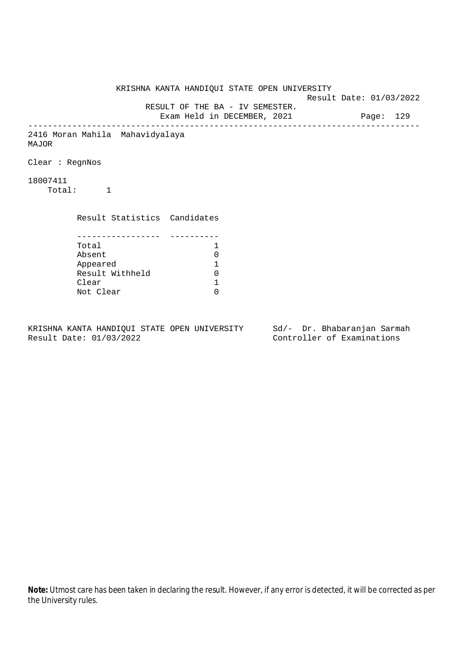KRISHNA KANTA HANDIQUI STATE OPEN UNIVERSITY Result Date: 01/03/2022 RESULT OF THE BA - IV SEMESTER. Exam Held in DECEMBER, 2021 Page: 129 -------------------------------------------------------------------------------- 2416 Moran Mahila Mahavidyalaya MAJOR Clear : RegnNos 18007411 Total: 1 Result Statistics Candidates ----------------- ---------- Total 1 Absent<br>
Appeared 1<br>
Result Withheld 0<br>
Clear 1 Appeared 1 Result Withheld Clear Not Clear 0

KRISHNA KANTA HANDIQUI STATE OPEN UNIVERSITY Sd/- Dr. Bhabaranjan Sarmah Result Date: 01/03/2022 Controller of Examinations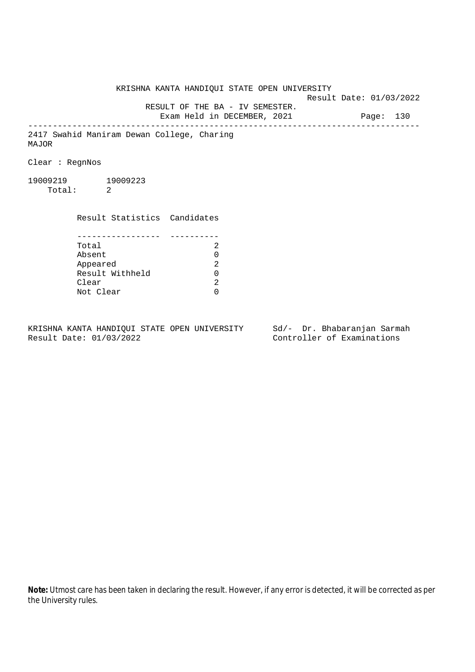KRISHNA KANTA HANDIQUI STATE OPEN UNIVERSITY Result Date: 01/03/2022 RESULT OF THE BA - IV SEMESTER. Exam Held in DECEMBER, 2021 Page: 130 -------------------------------------------------------------------------------- 2417 Swahid Maniram Dewan College, Charing MAJOR Clear : RegnNos 19009219 19009223 Total: 2 Result Statistics Candidates ----------------- ---------- Total 2 Absent<br>
Appeared 2<br>
Result Withheld 0<br>
Clear 2 Appeared Result Withheld 0 Clear Not Clear 0

KRISHNA KANTA HANDIQUI STATE OPEN UNIVERSITY Sd/- Dr. Bhabaranjan Sarmah Result Date: 01/03/2022 Controller of Examinations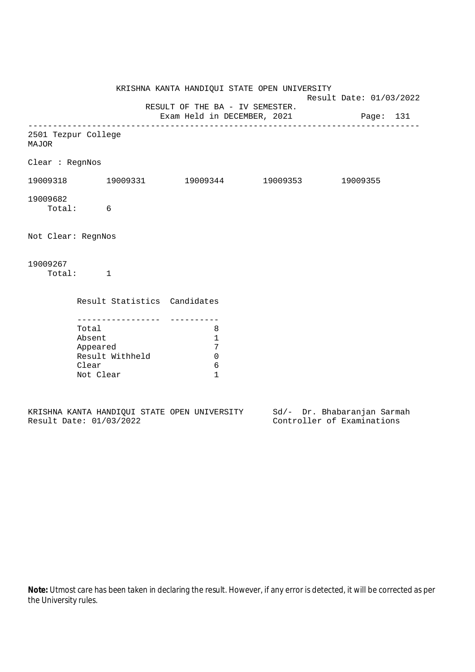|                              |                                       |                                                                   | KRISHNA KANTA HANDIQUI STATE OPEN UNIVERSITY                             | Result Date: 01/03/2022 |          |  |
|------------------------------|---------------------------------------|-------------------------------------------------------------------|--------------------------------------------------------------------------|-------------------------|----------|--|
|                              |                                       |                                                                   | RESULT OF THE BA - IV SEMESTER.<br>Exam Held in DECEMBER, 2021 Page: 131 |                         |          |  |
| 2501 Tezpur College<br>MAJOR |                                       |                                                                   |                                                                          |                         |          |  |
| Clear : RegnNos              |                                       |                                                                   |                                                                          |                         |          |  |
|                              |                                       |                                                                   | $19009318$ $19009331$ $19009344$ $19009353$                              |                         | 19009355 |  |
| 19009682<br>Total: 6         |                                       |                                                                   |                                                                          |                         |          |  |
| Not Clear: RegnNos           |                                       |                                                                   |                                                                          |                         |          |  |
| 19009267<br>Total: 1         |                                       |                                                                   |                                                                          |                         |          |  |
|                              |                                       |                                                                   | Result Statistics Candidates                                             |                         |          |  |
|                              | Total<br>Absent<br>Clear<br>Not Clear | . <u>_ _ _ _ _ _ _ _ _ _ _ _</u> _<br>Appeared<br>Result Withheld | 8<br>$\mathbf{1}$<br>7<br>$\overline{0}$<br>6<br>$\mathbf{1}$            |                         |          |  |
|                              |                                       |                                                                   |                                                                          |                         |          |  |

|  |                         |  | KRISHNA KANTA HANDIOUI STATE OPEN UNIVERSITY |  | Sd/- Dr. Bhabaranjan Sarmah |  |
|--|-------------------------|--|----------------------------------------------|--|-----------------------------|--|
|  | Result Date: 01/03/2022 |  |                                              |  | Controller of Examinations  |  |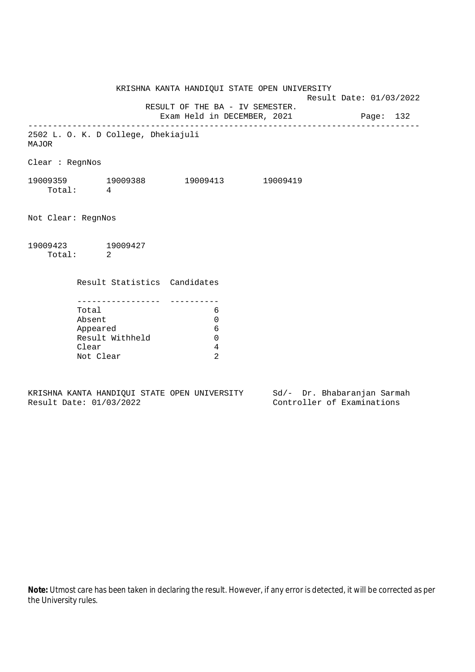KRISHNA KANTA HANDIQUI STATE OPEN UNIVERSITY Result Date: 01/03/2022 RESULT OF THE BA - IV SEMESTER. Exam Held in DECEMBER, 2021 Page: 132 -------------------------------------------------------------------------------- 2502 L. O. K. D College, Dhekiajuli MAJOR Clear : RegnNos 19009359 19009388 19009413 19009419 Total: 4 Not Clear: RegnNos 19009423 19009427 Total: 2 Result Statistics Candidates ----------------- ---------- Total 6 Absent 0 Appeared 6 Result Withheld 0 Clear 4 Not Clear 2

KRISHNA KANTA HANDIQUI STATE OPEN UNIVERSITY Sd/- Dr. Bhabaranjan Sarmah Result Date: 01/03/2022 Controller of Examinations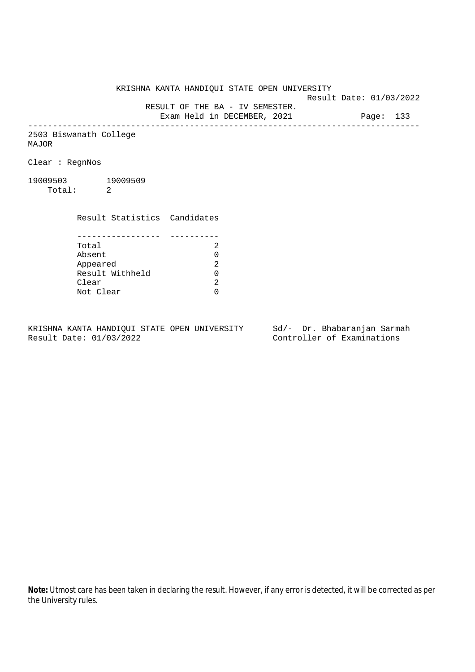KRISHNA KANTA HANDIQUI STATE OPEN UNIVERSITY

Result Date: 01/03/2022

RESULT OF THE BA - IV SEMESTER.

Exam Held in DECEMBER, 2021 Page: 133 --------------------------------------------------------------------------------

2503 Biswanath College MAJOR

Clear : RegnNos

19009503 19009509 Total: 2

> Result Statistics Candidates ----------------- ---------- Total 2

> Absent<br>
> Appeared 2<br>
> Result Withheld 0<br>
> Clear 2 Appeared Result Withheld 0 Clear Not Clear 0

KRISHNA KANTA HANDIQUI STATE OPEN UNIVERSITY Sd/- Dr. Bhabaranjan Sarmah Result Date: 01/03/2022 Controller of Examinations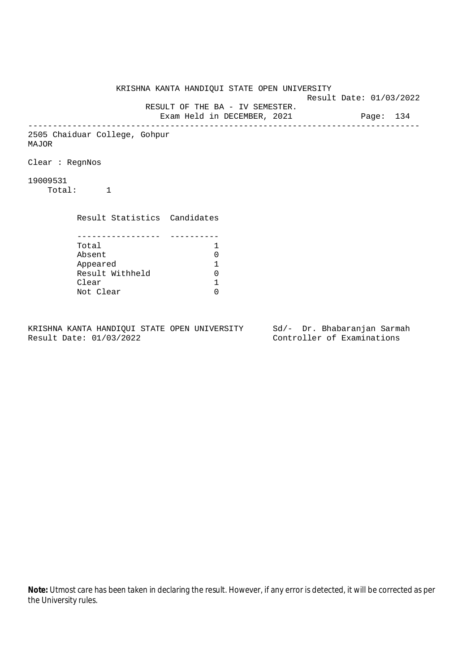KRISHNA KANTA HANDIQUI STATE OPEN UNIVERSITY Result Date: 01/03/2022 RESULT OF THE BA - IV SEMESTER. Exam Held in DECEMBER, 2021 Page: 134 -------------------------------------------------------------------------------- 2505 Chaiduar College, Gohpur MAJOR Clear : RegnNos 19009531 Total: 1 Result Statistics Candidates ----------------- ---------- Total 1 Absent<br>
Appeared 1<br>
Result Withheld 0<br>
Clear 1 Appeared 1 Result Withheld Clear Not Clear 0

KRISHNA KANTA HANDIQUI STATE OPEN UNIVERSITY Sd/- Dr. Bhabaranjan Sarmah Result Date: 01/03/2022 Controller of Examinations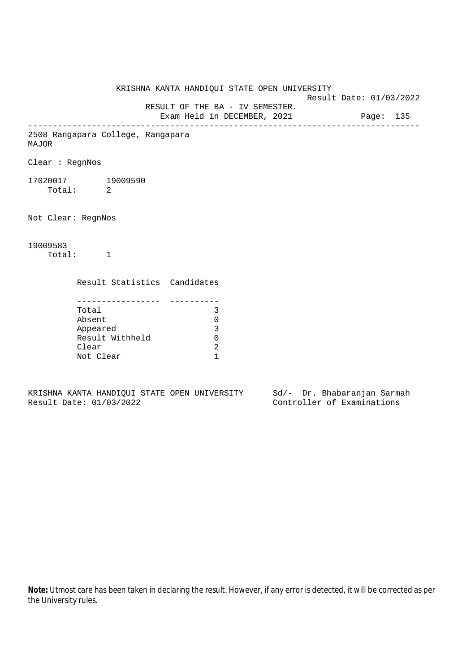KRISHNA KANTA HANDIQUI STATE OPEN UNIVERSITY Result Date: 01/03/2022 RESULT OF THE BA - IV SEMESTER. Exam Held in DECEMBER, 2021 Page: 135 -------------------------------------------------------------------------------- 2508 Rangapara College, Rangapara MAJOR Clear : RegnNos 17020017 19009590 Total: 2 Not Clear: RegnNos 19009583 Total: 1 Result Statistics Candidates ----------------- ---------- Total 3 Absent 0 Appeared 3 Result Withheld 0 Clear 2 Not Clear 1

KRISHNA KANTA HANDIQUI STATE OPEN UNIVERSITY Sd/- Dr. Bhabaranjan Sarmah Result Date: 01/03/2022 Controller of Examinations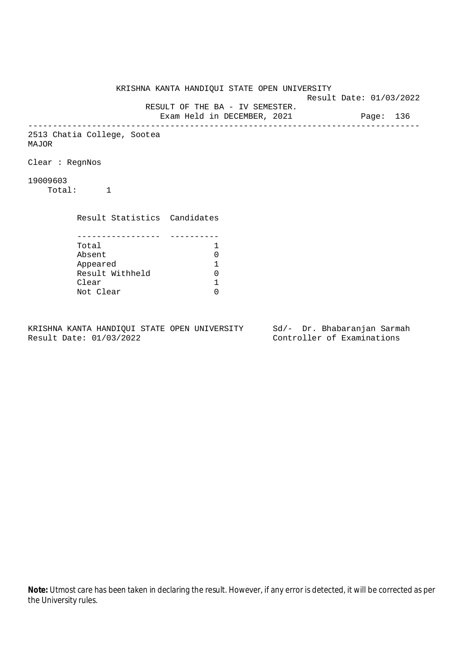KRISHNA KANTA HANDIQUI STATE OPEN UNIVERSITY Result Date: 01/03/2022 RESULT OF THE BA - IV SEMESTER. Exam Held in DECEMBER, 2021 Page: 136 -------------------------------------------------------------------------------- 2513 Chatia College, Sootea MAJOR Clear : RegnNos 19009603 Total: 1 Result Statistics Candidates ----------------- ---------- Total 1 Absent<br>
Appeared 1<br>
Result Withheld 0<br>
Clear 1 Appeared 1 Result Withheld Clear Not Clear 0

KRISHNA KANTA HANDIQUI STATE OPEN UNIVERSITY Sd/- Dr. Bhabaranjan Sarmah Result Date: 01/03/2022 Controller of Examinations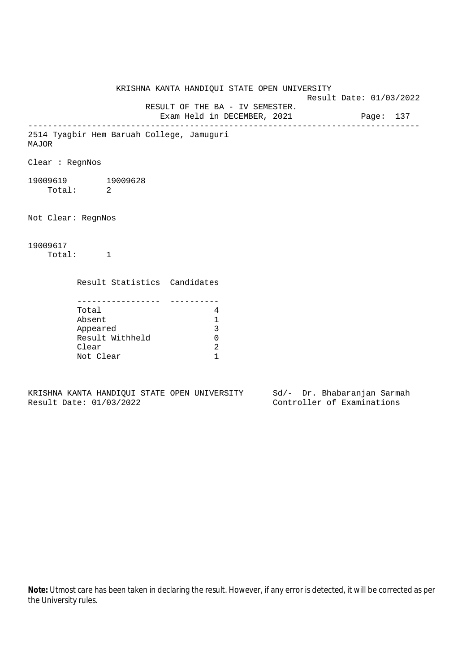KRISHNA KANTA HANDIQUI STATE OPEN UNIVERSITY Result Date: 01/03/2022 RESULT OF THE BA - IV SEMESTER. Exam Held in DECEMBER, 2021 Page: 137 -------------------------------------------------------------------------------- 2514 Tyagbir Hem Baruah College, Jamuguri MAJOR Clear : RegnNos 19009619 19009628 Total: 2 Not Clear: RegnNos 19009617 Total: 1 Result Statistics Candidates ----------------- ---------- Total 4 Absent 1 Appeared 3 Result Withheld 0 Clear 2 Not Clear 1

KRISHNA KANTA HANDIQUI STATE OPEN UNIVERSITY Sd/- Dr. Bhabaranjan Sarmah Result Date: 01/03/2022 Controller of Examinations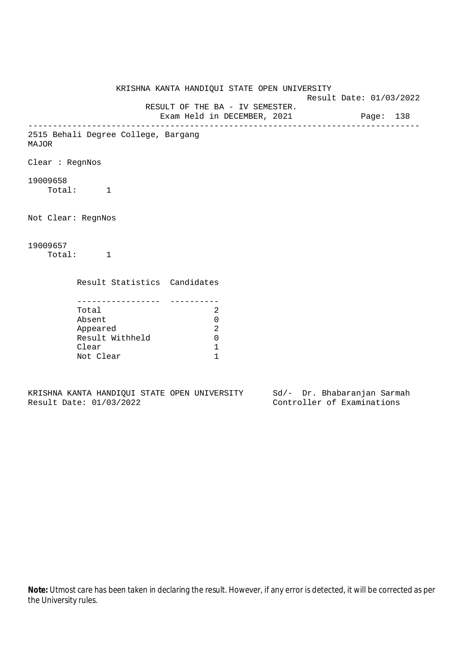KRISHNA KANTA HANDIQUI STATE OPEN UNIVERSITY Result Date: 01/03/2022 RESULT OF THE BA - IV SEMESTER. Exam Held in DECEMBER, 2021 Page: 138 -------------------------------------------------------------------------------- 2515 Behali Degree College, Bargang MAJOR Clear : RegnNos 19009658 Total: 1 Not Clear: RegnNos 19009657 Total: 1 Result Statistics Candidates ----------------- ---------- Total 2 Absent 0 Appeared 2 Result Withheld 0 Clear 1 Not Clear 1

KRISHNA KANTA HANDIQUI STATE OPEN UNIVERSITY Sd/- Dr. Bhabaranjan Sarmah Result Date: 01/03/2022 Controller of Examinations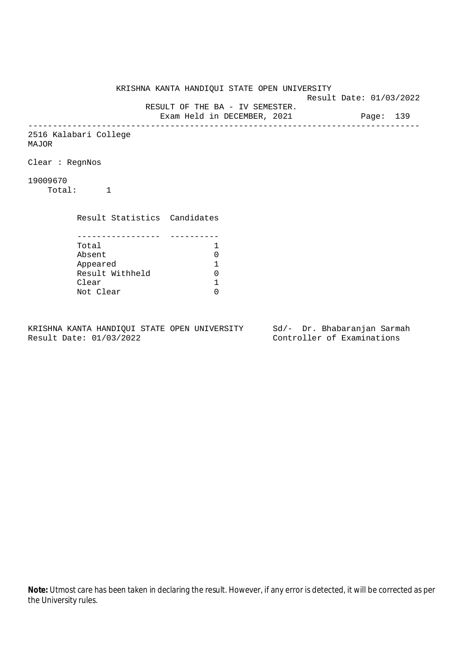KRISHNA KANTA HANDIQUI STATE OPEN UNIVERSITY Result Date: 01/03/2022 RESULT OF THE BA - IV SEMESTER. Exam Held in DECEMBER, 2021 Page: 139 -------------------------------------------------------------------------------- 2516 Kalabari College MAJOR Clear : RegnNos 19009670 Total: 1 Result Statistics Candidates ----------------- ---------- Total 1<br>Absent 0 Absent<br>
Appeared 1<br>
Result Withheld 0<br>
Clear 1 Appeared 1 Result Withheld 0 Clear Not Clear 0

KRISHNA KANTA HANDIQUI STATE OPEN UNIVERSITY Sd/- Dr. Bhabaranjan Sarmah Result Date: 01/03/2022 Controller of Examinations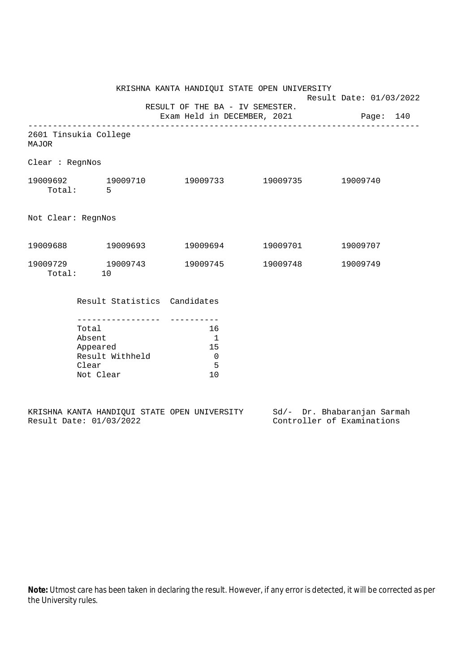|                                                                                                                    |                              | KRISHNA KANTA HANDIQUI STATE OPEN UNIVERSITY                        |                                       | Result Date: 01/03/2022 |  |
|--------------------------------------------------------------------------------------------------------------------|------------------------------|---------------------------------------------------------------------|---------------------------------------|-------------------------|--|
|                                                                                                                    |                              | RESULT OF THE BA - IV SEMESTER.                                     | Exam Held in DECEMBER, 2021 Page: 140 |                         |  |
| 2601 Tinsukia College<br><b>MAJOR</b>                                                                              |                              |                                                                     |                                       |                         |  |
| Clear : RegnNos                                                                                                    |                              |                                                                     |                                       |                         |  |
| $19009692 \qquad \qquad 19009710 \qquad \qquad 19009733 \qquad \qquad 19009735 \qquad \qquad 19009740$<br>Total: 5 |                              |                                                                     |                                       |                         |  |
| Not Clear: RegnNos                                                                                                 |                              |                                                                     |                                       |                         |  |
| $19009688$ $19009693$ $19009694$ $19009701$                                                                        |                              |                                                                     |                                       | 19009707                |  |
| 19009729 19009743<br>Total: 10                                                                                     |                              |                                                                     |                                       | 19009749                |  |
|                                                                                                                    | Result Statistics Candidates |                                                                     |                                       |                         |  |
| . _ _ _ _ _ _ _ _ _ _ _ _ _ _ _ _<br>Total<br>Absent<br>Appeared<br>Result Withheld<br>Clear<br>Not Clear          |                              | 16<br>$\overline{\phantom{a}}$<br>15<br>$\overline{0}$<br>- 5<br>10 |                                       |                         |  |
|                                                                                                                    |                              |                                                                     |                                       |                         |  |

|  |                         |  | KRISHNA KANTA HANDIOUI STATE OPEN UNIVERSITY |  | Sd/- Dr. Bhabaranjan Sarmah |  |
|--|-------------------------|--|----------------------------------------------|--|-----------------------------|--|
|  | Result Date: 01/03/2022 |  |                                              |  | Controller of Examinations  |  |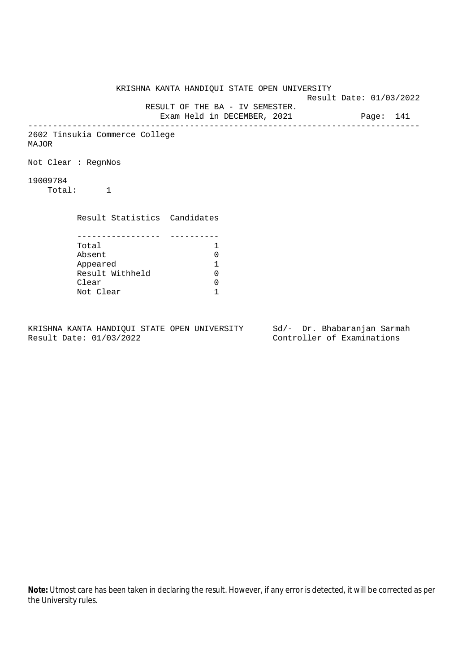KRISHNA KANTA HANDIQUI STATE OPEN UNIVERSITY Result Date: 01/03/2022 RESULT OF THE BA - IV SEMESTER. Exam Held in DECEMBER, 2021 Page: 141 -------------------------------------------------------------------------------- 2602 Tinsukia Commerce College MAJOR Not Clear : RegnNos 19009784 Total: 1 Result Statistics Candidates ----------------- ---------- Total 1 Absent 0<br>
Appeared 1<br>
Result Withheld 0 Appeared 1 Result Withheld Clear 0 Not Clear 1

KRISHNA KANTA HANDIQUI STATE OPEN UNIVERSITY Sd/- Dr. Bhabaranjan Sarmah Result Date: 01/03/2022 Controller of Examinations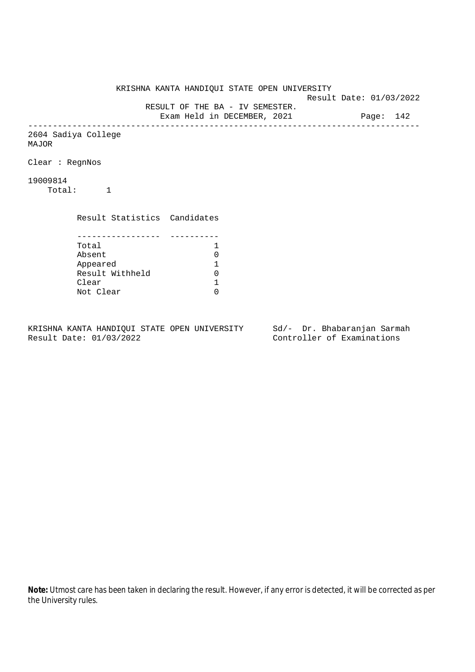KRISHNA KANTA HANDIQUI STATE OPEN UNIVERSITY Result Date: 01/03/2022 RESULT OF THE BA - IV SEMESTER. Exam Held in DECEMBER, 2021 Page: 142 -------------------------------------------------------------------------------- 2604 Sadiya College MAJOR Clear : RegnNos 19009814 Total: 1 Result Statistics Candidates ----------------- ---------- Total 1<br>Absent 0 Absent<br>
Appeared 1<br>
Result Withheld 0<br>
Clear 1 Appeared 1 Result Withheld 0 Clear Not Clear 0

KRISHNA KANTA HANDIQUI STATE OPEN UNIVERSITY Sd/- Dr. Bhabaranjan Sarmah Result Date: 01/03/2022 Controller of Examinations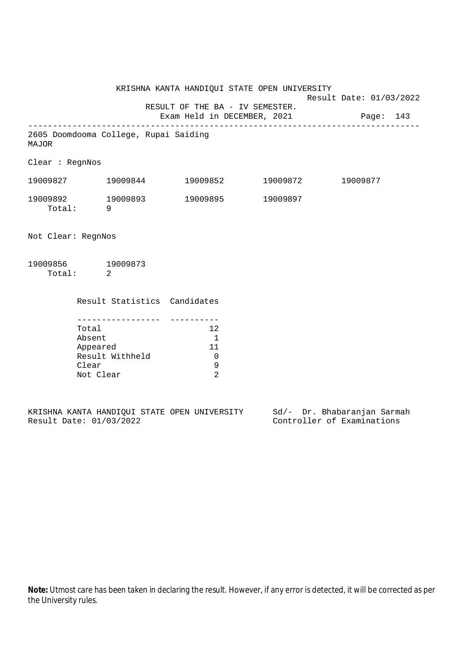KRISHNA KANTA HANDIQUI STATE OPEN UNIVERSITY Result Date: 01/03/2022 RESULT OF THE BA - IV SEMESTER. Exam Held in DECEMBER, 2021 Page: 143 -------------------------------------------------------------------------------- 2605 Doomdooma College, Rupai Saiding MAJOR Clear : RegnNos 19009827 19009844 19009852 19009872 19009877 19009892 19009893 19009895 19009897 Total: 9 Not Clear: RegnNos

| 19009856 | 19009873 |
|----------|----------|
| Total:   |          |

| Result Statistics Candidates |    |
|------------------------------|----|
|                              |    |
| Total                        | 12 |
| Absent                       |    |
| Appeared                     | 11 |
| Result Withheld              |    |
| Clear                        |    |
| Not Clear                    |    |
|                              |    |

|  |                         |  | KRISHNA KANTA HANDIOUI STATE OPEN UNIVERSITY |  |  | Sd/- Dr. Bhabaranjan Sarmah |  |
|--|-------------------------|--|----------------------------------------------|--|--|-----------------------------|--|
|  | Result Date: 01/03/2022 |  |                                              |  |  | Controller of Examinations  |  |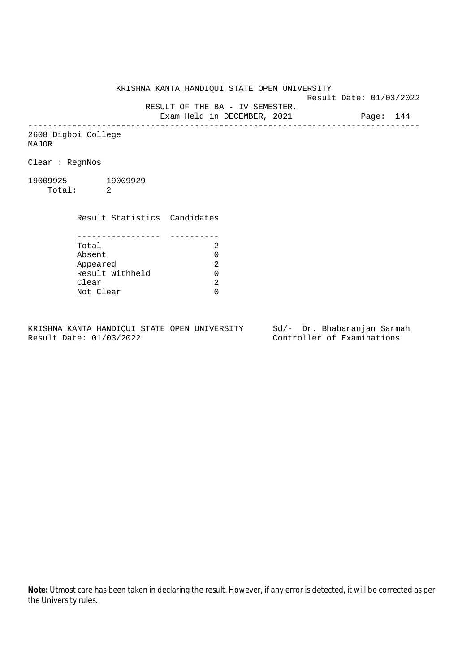KRISHNA KANTA HANDIQUI STATE OPEN UNIVERSITY

Result Date: 01/03/2022

RESULT OF THE BA - IV SEMESTER.

Exam Held in DECEMBER, 2021 Page: 144 --------------------------------------------------------------------------------

2608 Digboi College MAJOR

Clear : RegnNos

19009925 19009929 Total: 2

> Result Statistics Candidates ----------------- ---------- Total 2 Appeared

Absent<br>
Appeared 2<br>
Result Withheld 0<br>
Clear 2 Result Withheld 0 Clear Not Clear 0

KRISHNA KANTA HANDIQUI STATE OPEN UNIVERSITY Sd/- Dr. Bhabaranjan Sarmah Result Date: 01/03/2022 Controller of Examinations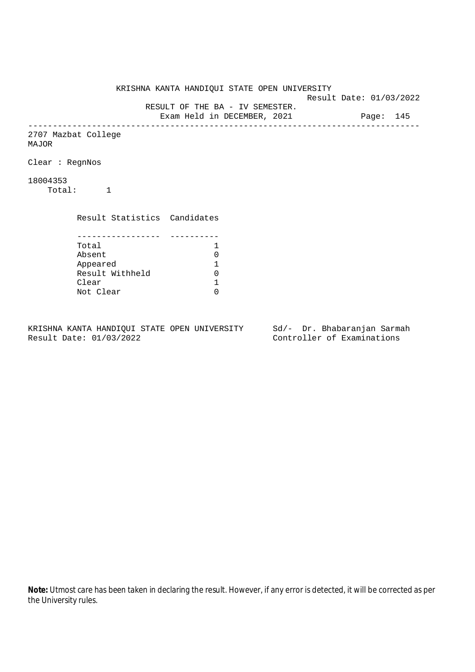KRISHNA KANTA HANDIQUI STATE OPEN UNIVERSITY Result Date: 01/03/2022 RESULT OF THE BA - IV SEMESTER. Exam Held in DECEMBER, 2021 Page: 145 -------------------------------------------------------------------------------- 2707 Mazbat College MAJOR Clear : RegnNos 18004353 Total: 1 Result Statistics Candidates ----------------- ---------- Total 1<br>Absent 0 Absent<br>
Appeared 1<br>
Result Withheld 0<br>
Clear 1 Appeared 1 Result Withheld 0 Clear Not Clear 0

KRISHNA KANTA HANDIQUI STATE OPEN UNIVERSITY Sd/- Dr. Bhabaranjan Sarmah Result Date: 01/03/2022 Controller of Examinations

**Note:** Utmost care has been taken in declaring the result. However, if any error is detected, it will be corrected as per the University rules.